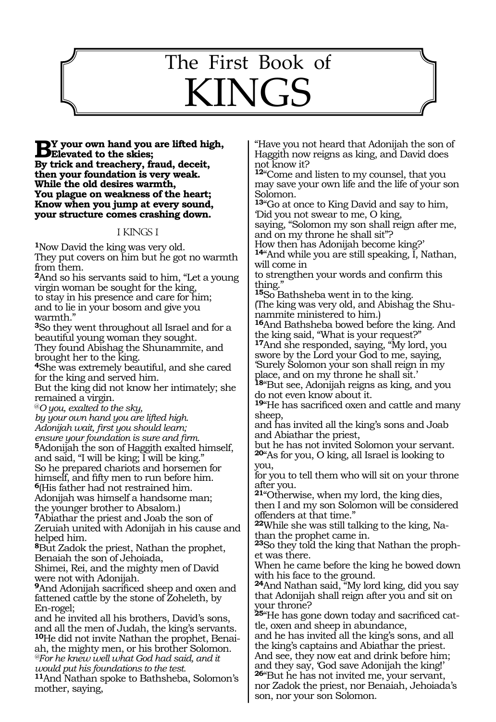# The First Book of KINGS

429

**B**Y your own hand you are lifted high,<br> **Elevated to the skies;**<br> **Extrick and trackers** froud descri-**By trick and treachery, fraud, deceit, then your foundation is very weak. While the old desires warmth, You plague on weakness of the heart; Know when you jump at every sound, your structure comes crashing down.**

### 1 KINGS 1

**<sup>1</sup>**Now David the king was very old. They put covers on him but he got no warmth from them.

**<sup>2</sup>**And so his servants said to him, "Let a young virgin woman be sought for the king, to stay in his presence and care for him; and to lie in your bosom and give you

warmth." **<sup>3</sup>**So they went throughout all Israel and for a beautiful young woman they sought.

They found Abishag the Shunammite, and brought her to the king.

**<sup>4</sup>**She was extremely beautiful, and she cared for the king and served him.

But the king did not know her intimately; she remained a virgin.

@*O you, exalted to the sky,*

*by your own hand you are lifted high.*

*Adonijah wait, first you should learn;*

*ensure your foundation is sure and firm.*

**<sup>5</sup>**Adonijah the son of Haggith exalted himself, and said, "I will be king; I will be king."

So he prepared chariots and horsemen for himself, and fifty men to run before him.

**<sup>6</sup>**(His father had not restrained him.

Adonijah was himself a handsome man; the younger brother to Absalom.)

**<sup>7</sup>**Abiathar the priest and Joab the son of Zeruiah united with Adonijah in his cause and helped him.

**<sup>8</sup>**But Zadok the priest, Nathan the prophet, Benaiah the son of Jehoiada,

Shimei, Rei, and the mighty men of David were not with Adonijah.

**<sup>9</sup>**And Adonijah sacrificed sheep and oxen and fattened cattle by the stone of Zoheleth, by En-rogel;

and he invited all his brothers, David's sons, and all the men of Judah, the king's servants.

**10**He did not invite Nathan the prophet, Benaiah, the mighty men, or his brother Solomon. *@For he knew well what God had said, and it would put his foundations to the test.*

**<sup>11</sup>**And Nathan spoke to Bathsheba, Solomon's mother, saying,

"Have you not heard that Adonijah the son of Haggith now reigns as king, and David does not know it?

**<sup>12</sup>**"Come and listen to my counsel, that you may save your own life and the life of your son Solomon.

**<sup>13</sup>**"Go at once to King David and say to him, 'Did you not swear to me, O king,

saying, "Solomon my son shall reign after me, and on my throne he shall sit"?

How then has Adonijah become king?'

**<sup>14</sup>**"And while you are still speaking, I, Nathan, will come in

to strengthen your words and confirm this thing.'

**<sup>15</sup>**So Bathsheba went in to the king. (The king was very old, and Abishag the Shunammite ministered to him.)

**<sup>16</sup>**And Bathsheba bowed before the king. And the king said, "What is your request?"

**<sup>17</sup>**And she responded, saying, "My lord, you swore by the Lord your God to me, saying, 'Surely Solomon your son shall reign in my place, and on my throne he shall sit.'

**<sup>18</sup>**"But see, Adonijah reigns as king, and you do not even know about it.

**<sup>19</sup>**"He has sacrificed oxen and cattle and many sheep,

and has invited all the king's sons and Joab and Abiathar the priest,

but he has not invited Solomon your servant. **<sup>20</sup>**"As for you, O king, all Israel is looking to you,

for you to tell them who will sit on your throne after you.

**<sup>21</sup>**"Otherwise, when my lord, the king dies, then I and my son Solomon will be considered offenders at that time."

**22**While she was still talking to the king, Nathan the prophet came in.

**23**So they told the king that Nathan the prophet was there.

When he came before the king he bowed down with his face to the ground.

**<sup>24</sup>**And Nathan said, "My lord king, did you say that Adonijah shall reign after you and sit on your throne?

**25**"He has gone down today and sacrificed cattle, oxen and sheep in abundance,

and he has invited all the king's sons, and all the king's captains and Abiathar the priest. And see, they now eat and drink before him; and they say, 'God save Adonijah the king!'

**<sup>26</sup>**"But he has not invited me, your servant, nor Zadok the priest, nor Benaiah, Jehoiada's son, nor your son Solomon.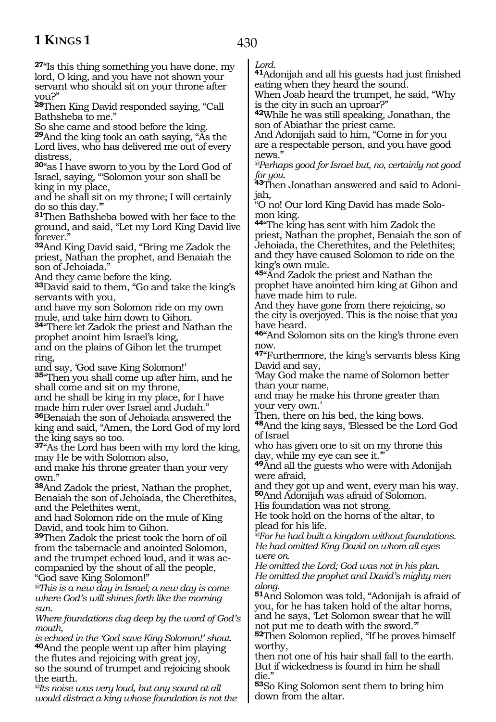**<sup>27</sup>**"Is this thing something you have done, my lord, O king, and you have not shown your servant who should sit on your throne after you?"

**<sup>28</sup>**Then King David responded saying, "Call Bathsheba to me."

So she came and stood before the king.

**<sup>29</sup>**And the king took an oath saying, "As the Lord lives, who has delivered me out of every distress,

**<sup>30</sup>**"as I have sworn to you by the Lord God of Israel, saying, "'Solomon your son shall be king in my place,

and he shall sit on my throne; I will certainly do so this day.'"

**<sup>31</sup>**Then Bathsheba bowed with her face to the ground, and said, "Let my Lord King David live forever."

**<sup>32</sup>**And King David said, "Bring me Zadok the priest, Nathan the prophet, and Benaiah the son of Jehoiada."

And they came before the king.

**<sup>33</sup>**David said to them, "Go and take the king's servants with you,

and have my son Solomon ride on my own mule, and take him down to Gihon.

**<sup>34</sup>**"There let Zadok the priest and Nathan the prophet anoint him Israel's king,

and on the plains of Gihon let the trumpet ring,

and say, 'God save King Solomon!'

**<sup>35</sup>**"Then you shall come up after him, and he shall come and sit on my throne,

and he shall be king in my place, for I have made him ruler over Israel and Judah." **<sup>36</sup>**Benaiah the son of Jehoiada answered the king and said, "Amen, the Lord God of my lord the king says so too.

**<sup>37</sup>**"As the Lord has been with my lord the king, may He be with Solomon also,

and make his throne greater than your very own."

**<sup>38</sup>**And Zadok the priest, Nathan the prophet, Benaiah the son of Jehoiada, the Cherethites, and the Pelethites went,

and had Solomon ride on the mule of King David, and took him to Gihon.

**<sup>39</sup>**Then Zadok the priest took the horn of oil from the tabernacle and anointed Solomon, and the trumpet echoed loud, and it was ac- companied by the shout of all the people, "God save King Solomon!"

*@This is a new day in Israel; a new day is come where God's will shines forth like the morning sun.*

*Where foundations dug deep by the word of God's mouth,*

*is echoed in the 'God save King Solomon!' shout.*  **<sup>40</sup>**And the people went up after him playing the flutes and rejoicing with great joy, so the sound of trumpet and rejoicing shook the earth.

*@Its noise was very loud, but any sound at all would distract a king whose foundation is not the*  *Lord.*

430

**<sup>41</sup>**Adonijah and all his guests had just finished eating when they heard the sound.

When Joab heard the trumpet, he said, "Why is the city in such an uproar?"

**<sup>42</sup>**While he was still speaking, Jonathan, the son of Abiathar the priest came.

And Adonijah said to him, "Come in for you are a respectable person, and you have good news.'

*@Perhaps good for Israel but, no, certainly not good for you.*

**43**Then Jonathan answered and said to Adonijah,

"O no! Our lord King David has made Solomon king.

**<sup>44</sup>**"The king has sent with him Zadok the priest, Nathan the prophet, Benaiah the son of Jehoiada, the Cherethites, and the Pelethites; and they have caused Solomon to ride on the king's own mule.

**<sup>45</sup>**"And Zadok the priest and Nathan the prophet have anointed him king at Gihon and have made him to rule.

And they have gone from there rejoicing, so the city is overjoyed. This is the noise that you have heard.

**<sup>46</sup>**"And Solomon sits on the king's throne even now.

**<sup>47</sup>**"Furthermore, the king's servants bless King David and say,

'May God make the name of Solomon better than your name,

and may he make his throne greater than your very own.'

Then, there on his bed, the king bows.

**<sup>48</sup>**And the king says, 'Blessed be the Lord God of Israel

who has given one to sit on my throne this day, while my eye can see it."

**<sup>49</sup>**And all the guests who were with Adonijah were afraid,

and they got up and went, every man his way. **<sup>50</sup>**And Adonijah was afraid of Solomon.

His foundation was not strong.

He took hold on the horns of the altar, to plead for his life.

*@For he had built a kingdom without foundations. He had omitted King David on whom all eyes were on.*

*He omitted the Lord; God was not in his plan. He omitted the prophet and David's mighty men along.*

**<sup>51</sup>**And Solomon was told, "Adonijah is afraid of you, for he has taken hold of the altar horns, and he says, 'Let Solomon swear that he will not put me to death with the sword.'"

**<sup>52</sup>**Then Solomon replied, "If he proves himself worthy,

then not one of his hair shall fall to the earth. But if wickedness is found in him he shall die."

**<sup>53</sup>**So King Solomon sent them to bring him down from the altar.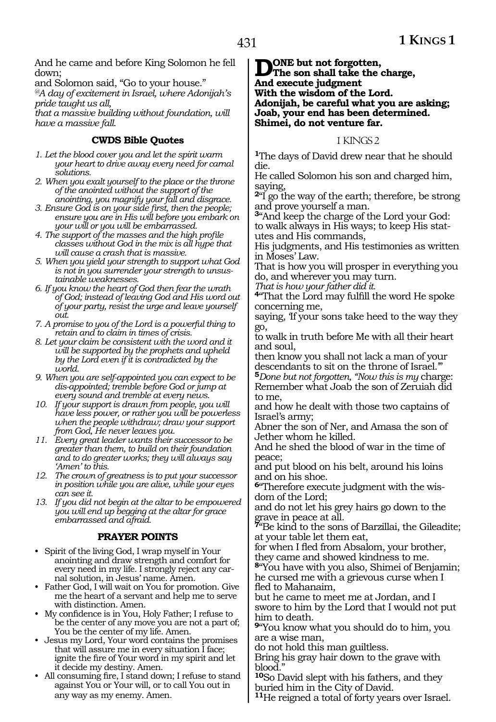And he came and before King Solomon he fell down;

and Solomon said, "Go to your house."

*@A day of excitement in Israel, where Adonijah's pride taught us all,*

*that a massive building without foundation, will have a massive fall.*

### **CWDS Bible Quotes**

- *1. Let the blood cover you and let the spirit warm your heart to drive away every need for carnal solutions.*
- *2. When you exalt yourself to the place or the throne of the anointed without the support of the anointing, you magnify your fall and disgrace.*
- *3. Ensure God is on your side first, then the people; ensure you are in His will before you embark on your will or you will be embarrassed.*
- *4. The support of the masses and the high profile classes without God in the mix is all hype that will cause a crash that is massive.*
- *5. When you yield your strength to support what God is not in you surrender your strength to unsustainable weaknesses.*
- *6. If you know the heart of God then fear the wrath of God; instead of leaving God and His word out of your party, resist the urge and leave yourself out.*
- *7. A promise to you of the Lord is a powerful thing to retain and to claim in times of crisis.*
- *8. Let your claim be consistent with the word and it will be supported by the prophets and upheld by the Lord even if it is contradicted by the world.*
- *9. When you are self-appointed you can expect to be dis-appointed; tremble before God or jump at every sound and tremble at every news.*
- *10. If your support is drawn from people, you will have less power, or rather you will be powerless when the people withdraw; draw your support from God, He never leaves you.*
- *11. Every great leader wants their successor to be greater than them, to build on their foundation and to do greater works; they will always say 'Amen' to this.*
- *12. The crown of greatness is to put your successor in position while you are alive, while your eyes can see it.*
- *13. If you did not begin at the altar to be empowered you will end up begging at the altar for grace embarrassed and afraid.*

### **PRAYER POINTS**

- Spirit of the living God, I wrap myself in Your anointing and draw strength and comfort for every need in my life. I strongly reject any carnal solution, in Jesus' name. Amen.
- Father God, I will wait on You for promotion. Give me the heart of a servant and help me to serve with distinction. Amen.
- My confidence is in You, Holy Father; I refuse to be the center of any move you are not a part of; You be the center of my life. Amen.
- Jesus my Lord, Your word contains the promises that will assure me in every situation I face; ignite the fire of Your word in my spirit and let it decide my destiny. Amen.
- All consuming fire, I stand down; I refuse to stand against You or Your will, or to call You out in any way as my enemy. Amen.

**D**ONE but not forgotten,<br>The son shall take the charge, **And execute judgment With the wisdom of the Lord. Adonijah, be careful what you are asking; Joab, your end has been determined. Shimei, do not venture far.**

### 1 KINGS 2

**<sup>1</sup>**The days of David drew near that he should die.

He called Solomon his son and charged him, saying,

**<sup>2</sup>**"I go the way of the earth; therefore, be strong and prove yourself a man.

**<sup>3</sup>**"And keep the charge of the Lord your God: to walk always in His ways; to keep His statutes and His commands,

His judgments, and His testimonies as written in Moses' Law.

That is how you will prosper in everything you do, and wherever you may turn.

*That is how your father did it.*

**<sup>4</sup>**"That the Lord may fulfill the word He spoke concerning me,

saying, 'If your sons take heed to the way they go,

to walk in truth before Me with all their heart and soul,

then know you shall not lack a man of your descendants to sit on the throne of Israel."

**<sup>5</sup>***Done but not forgotten, "Now this is my* charge: Remember what Joab the son of Zeruiah did to me,

and how he dealt with those two captains of Israel's army;

Abner the son of Ner, and Amasa the son of Jether whom he killed.

And he shed the blood of war in the time of peace;

and put blood on his belt, around his loins and on his shoe.

**6**"Therefore execute judgment with the wisdom of the Lord;

and do not let his grey hairs go down to the grave in peace at all.

**<sup>7</sup>**"Be kind to the sons of Barzillai, the Gileadite; at your table let them eat,

for when I fled from Absalom, your brother, they came and showed kindness to me.

**<sup>8</sup>**"You have with you also, Shimei of Benjamin; he cursed me with a grievous curse when I fled to Mahanaim,

but he came to meet me at Jordan, and I swore to him by the Lord that I would not put him to death.

**<sup>9</sup>**"You know what you should do to him, you are a wise man,

do not hold this man guiltless.

Bring his gray hair down to the grave with blood."

**<sup>10</sup>**So David slept with his fathers, and they buried him in the City of David.

**<sup>11</sup>**He reigned a total of forty years over Israel.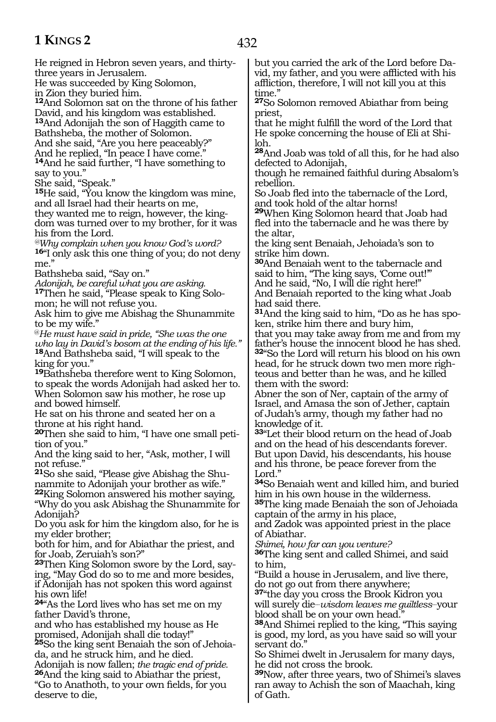He reigned in Hebron seven years, and thirtythree years in Jerusalem. He was succeeded by King Solomon, in Zion they buried him. **<sup>12</sup>**And Solomon sat on the throne of his father David, and his kingdom was established. **<sup>13</sup>**And Adonijah the son of Haggith came to Bathsheba, the mother of Solomon. And she said, "Are you here peaceably?" And he replied, "In peace I have come." **<sup>14</sup>**And he said further, "I have something to say to you." She said, "Speak." **<sup>15</sup>**He said, "You know the kingdom was mine, and all Israel had their hearts on me, they wanted me to reign, however, the kingdom was turned over to my brother, for it was his from the Lord. *@Why complain when you know God's word?* **<sup>16</sup>**"I only ask this one thing of you; do not deny me." Bathsheba said, "Say on." *Adonijah, be careful what you are asking.*  **17**Then he said, "Please speak to King Solomon; he will not refuse you. Ask him to give me Abishag the Shunammite to be my wife." @*He must have said in pride, "She was the one who lay in David's bosom at the ending of his life."* **<sup>18</sup>**And Bathsheba said, "I will speak to the king for you." **<sup>19</sup>**Bathsheba therefore went to King Solomon, to speak the words Adonijah had asked her to. When Solomon saw his mother, he rose up and bowed himself. He sat on his throne and seated her on a throne at his right hand. **20**Then she said to him, "I have one small petition of you." And the king said to her, "Ask, mother, I will not refuse." **21**So she said, "Please give Abishag the Shunammite to Adonijah your brother as wife." **<sup>22</sup>**King Solomon answered his mother saying, "Why do you ask Abishag the Shunammite for Adonijah? Do you ask for him the kingdom also, for he is my elder brother; both for him, and for Abiathar the priest, and for Joab, Zeruiah's son?" **23**Then King Solomon swore by the Lord, saying, "May God do so to me and more besides, if Adonijah has not spoken this word against his own life! **<sup>24</sup>**"As the Lord lives who has set me on my father David's throne, and who has established my house as He promised, Adonijah shall die today!" **25**So the king sent Benaiah the son of Jehoiada, and he struck him, and he died. Adonijah is now fallen; *the tragic end of pride.* **26**And the king said to Abiathar the priest, time." priest, loh. rebellion. the altar, Lord." to him,

"Go to Anathoth, to your own fields, for you

deserve to die,

but you carried the ark of the Lord before David, my father, and you were afflicted with his affliction, therefore, I will not kill you at this

**<sup>27</sup>**So Solomon removed Abiathar from being

that he might fulfill the word of the Lord that He spoke concerning the house of Eli at Shi-

**<sup>28</sup>**And Joab was told of all this, for he had also defected to Adonijah,

though he remained faithful during Absalom's

So Joab fled into the tabernacle of the Lord, and took hold of the altar horns!

**<sup>29</sup>**When King Solomon heard that Joab had fled into the tabernacle and he was there by

the king sent Benaiah, Jehoiada's son to strike him down.

**<sup>30</sup>**And Benaiah went to the tabernacle and said to him, "The king says, 'Come out!" And he said, "No, I will die right here!"

And Benaiah reported to the king what Joab had said there.

**31**And the king said to him, "Do as he has spoken, strike him there and bury him,

that you may take away from me and from my father's house the innocent blood he has shed. **<sup>32</sup>**"So the Lord will return his blood on his own head, for he struck down two men more righteous and better than he was, and he killed them with the sword:

Abner the son of Ner, captain of the army of Israel, and Amasa the son of Jether, captain of Judah's army, though my father had no knowledge of it.

**<sup>33</sup>**"Let their blood return on the head of Joab and on the head of his descendants forever. But upon David, his descendants, his house and his throne, be peace forever from the

**<sup>34</sup>**So Benaiah went and killed him, and buried him in his own house in the wilderness.

**<sup>35</sup>**The king made Benaiah the son of Jehoiada captain of the army in his place,

and Zadok was appointed priest in the place of Abiathar.

*Shimei, how far can you venture?*

**<sup>36</sup>**The king sent and called Shimei, and said

"Build a house in Jerusalem, and live there, do not go out from there anywhere;

**<sup>37</sup>**"the day you cross the Brook Kidron you will surely die\_\_*wisdom leaves me guiltless*\_\_your blood shall be on your own head.

**<sup>38</sup>**And Shimei replied to the king, "This saying is good, my lord, as you have said so will your servant do."

So Shimei dwelt in Jerusalem for many days, he did not cross the brook.

**<sup>39</sup>**Now, after three years, two of Shimei's slaves ran away to Achish the son of Maachah, king of Gath.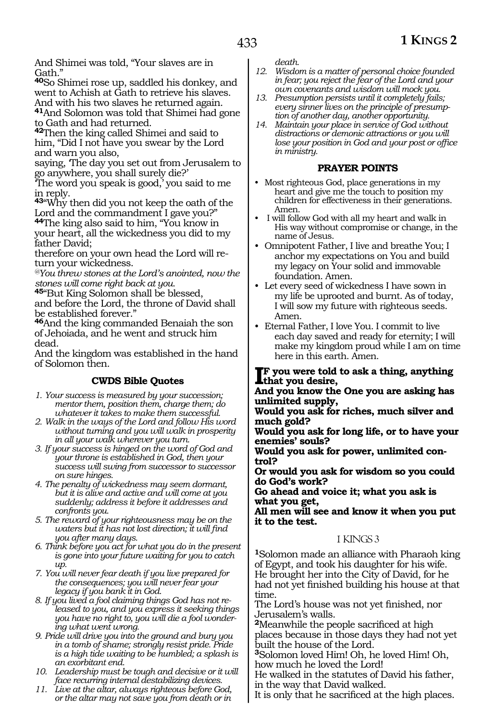And Shimei was told, "Your slaves are in Gath."

**<sup>40</sup>**So Shimei rose up, saddled his donkey, and went to Achish at Gath to retrieve his slaves. And with his two slaves he returned again.

**<sup>41</sup>**And Solomon was told that Shimei had gone to Gath and had returned.

**<sup>42</sup>**Then the king called Shimei and said to him, "Did I not have you swear by the Lord and warn you also,

saying, 'The day you set out from Jerusalem to go anywhere, you shall surely die?'

'The word you speak is good,' you said to me in reply.

**<sup>43</sup>**"Why then did you not keep the oath of the Lord and the commandment I gave you?" **<sup>44</sup>**The king also said to him, "You know in your heart, all the wickedness you did to my father David;

therefore on your own head the Lord will return your wickedness.

*@You threw stones at the Lord's anointed, now the stones will come right back at you.* 

**<sup>45</sup>**"But King Solomon shall be blessed, and before the Lord, the throne of David shall be established forever."

**<sup>46</sup>**And the king commanded Benaiah the son of Jehoiada, and he went and struck him dead.

And the kingdom was established in the hand of Solomon then.

### **CWDS Bible Quotes**

- *1. Your success is measured by your succession; mentor them, position them, charge them; do whatever it takes to make them successful.*
- *2. Walk in the ways of the Lord and follow His word without turning and you will walk in prosperity in all your walk wherever you turn.*
- *3. If your success is hinged on the word of God and your throne is established in God, then your success will swing from successor to successor on sure hinges.*
- *4. The penalty of wickedness may seem dormant, but it is alive and active and will come at you suddenly; address it before it addresses and confronts you.*
- *5. The reward of your righteousness may be on the waters but it has not lost direction; it will find you after many days.*
- *6. Think before you act for what you do in the present is gone into your future waiting for you to catch up.*
- *7. You will never fear death if you live prepared for the consequences; you will never fear your legacy if you bank it in God.*
- *8. If you lived a fool claiming things God has not released to you, and you express it seeking things you have no right to, you will die a fool wondering what went wrong.*
- *9. Pride will drive you into the ground and bury you in a tomb of shame; strongly resist pride. Pride is a high tide waiting to be humbled; a splash is an exorbitant end.*
- *10. Leadership must be tough and decisive or it will face recurring internal destabilizing devices.*
- *11. Live at the altar, always righteous before God, or the altar may not save you from death or in*

*death.*

- *12. Wisdom is a matter of personal choice founded in fear; you reject the fear of the Lord and your own covenants and wisdom will mock you.*
- *13. Presumption persists until it completely fails; every sinner lives on the principle of presumption of another day, another opportunity.*
- *14. Maintain your place in service of God without distractions or demonic attractions or you will lose your position in God and your post or office in ministry.*

#### **PRAYER POINTS**

- Most righteous God, place generations in my heart and give me the touch to position my children for effectiveness in their generations. Amen.
- I will follow God with all my heart and walk in His way without compromise or change, in the name of Jesus.
- Omnipotent Father, I live and breathe You; I anchor my expectations on You and build my legacy on Your solid and immovable foundation. Amen.
- Let every seed of wickedness I have sown in my life be uprooted and burnt. As of today, I will sow my future with righteous seeds. Amen.
- Eternal Father, I love You. I commit to live each day saved and ready for eternity; I will make my kingdom proud while I am on time here in this earth. Amen.

### **IF** you were told<br>that you desire,<br>and you lynew the **F** you were told to ask a thing, anything

**And you know the One you are asking has unlimited supply,**

**Would you ask for riches, much silver and much gold?**

**Would you ask for long life, or to have your enemies' souls?**

**Would you ask for power, unlimited control?**

**Or would you ask for wisdom so you could do God's work?**

**Go ahead and voice it; what you ask is what you get,**

**All men will see and know it when you put it to the test.**

### 1 KINGS 3

**<sup>1</sup>**Solomon made an alliance with Pharaoh king of Egypt, and took his daughter for his wife. He brought her into the City of David, for he had not yet finished building his house at that time.

The Lord's house was not yet finished, nor Jerusalem's walls.

**<sup>2</sup>**Meanwhile the people sacrificed at high places because in those days they had not yet built the house of the Lord.

**<sup>3</sup>**Solomon loved Him! Oh, he loved Him! Oh, how much he loved the Lord!

He walked in the statutes of David his father, in the way that David walked.

It is only that he sacrificed at the high places.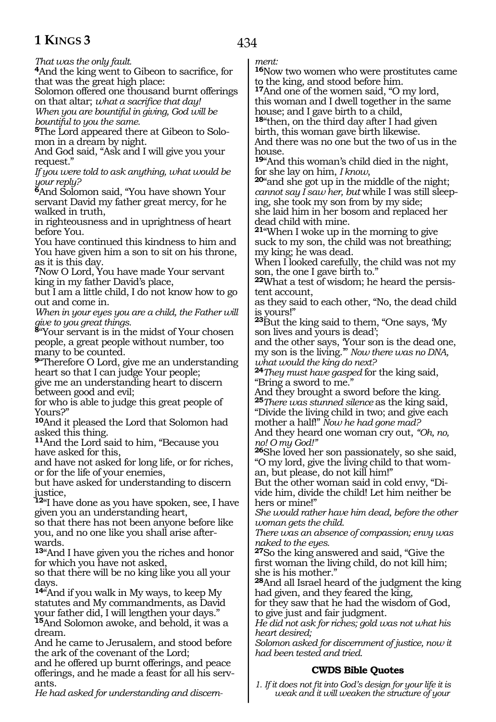*That was the only fault.*

**<sup>4</sup>**And the king went to Gibeon to sacrifice, for that was the great high place:

Solomon offered one thousand burnt offerings on that altar; *what a sacrifice that day!*

*When you are bountiful in giving, God will be bountiful to you the same.* 

**5**The Lord appeared there at Gibeon to Solomon in a dream by night.

And God said, "Ask and I will give you your request."

*If you were told to ask anything, what would be your reply?*

**<sup>6</sup>**And Solomon said, "You have shown Your servant David my father great mercy, for he walked in truth,

in righteousness and in uprightness of heart before You.

You have continued this kindness to him and You have given him a son to sit on his throne, as it is this day.

**<sup>7</sup>**Now O Lord, You have made Your servant king in my father David's place,

but I am a little child, I do not know how to go out and come in.

*When in your eyes you are a child, the Father will give to you great things.*

**<sup>8</sup>**"Your servant is in the midst of Your chosen people, a great people without number, too many to be counted.

**<sup>9</sup>**"Therefore O Lord, give me an understanding heart so that I can judge Your people;

give me an understanding heart to discern between good and evil;

for who is able to judge this great people of Yours?"

**<sup>10</sup>**And it pleased the Lord that Solomon had asked this thing.

**<sup>11</sup>**And the Lord said to him, "Because you have asked for this,

and have not asked for long life, or for riches, or for the life of your enemies,

but have asked for understanding to discern justice,

**<sup>12</sup>**"I have done as you have spoken, see, I have given you an understanding heart,

so that there has not been anyone before like you, and no one like you shall arise afterwards.

**<sup>13</sup>**"And I have given you the riches and honor for which you have not asked,

so that there will be no king like you all your days.

**<sup>14</sup>**"And if you walk in My ways, to keep My statutes and My commandments, as David your father did, I will lengthen your days." **<sup>15</sup>**And Solomon awoke, and behold, it was a dream.

And he came to Jerusalem, and stood before the ark of the covenant of the Lord;

and he offered up burnt offerings, and peace offerings, and he made a feast for all his servants.

*He had asked for understanding and discern-*

*ment:*

**<sup>16</sup>**Now two women who were prostitutes came to the king, and stood before him.

**<sup>17</sup>**And one of the women said, "O my lord, this woman and I dwell together in the same house; and I gave birth to a child,

**<sup>18</sup>**"then, on the third day after I had given birth, this woman gave birth likewise.

And there was no one but the two of us in the house.

**<sup>19</sup>**"And this woman's child died in the night,

**<sup>20</sup>**"and she got up in the middle of the night; *cannot say I saw her, but* while I was still sleeping, she took my son from by my side; she laid him in her bosom and replaced her dead child with mine.

**<sup>21</sup>**"When I woke up in the morning to give suck to my son, the child was not breathing; my king; he was dead.

When I looked carefully, the child was not my son, the one I gave birth to."

**22**What a test of wisdom; he heard the persistent account,

as they said to each other, "No, the dead child is yours!"

**<sup>23</sup>**But the king said to them, "One says, 'My son lives and yours is dead';

and the other says, 'Your son is the dead one, my son is the living.'" *Now there was no DNA, what would the king do next?* 

**<sup>24</sup>***They must have gasped* for the king said, "Bring a sword to me."

And they brought a sword before the king. **<sup>25</sup>***There was stunned silence* as the king said,

"Divide the living child in two; and give each mother a half!" *Now he had gone mad?*

And they heard one woman cry out, *"Oh, no, no! O my God!"*

**<sup>26</sup>**She loved her son passionately, so she said, "O my lord, give the living child to that woman, but please, do not kill him!"

But the other woman said in cold envy, "Divide him, divide the child! Let him neither be hers or mine!"

*She would rather have him dead, before the other woman gets the child.*

*There was an absence of compassion; envy was naked to the eyes.*

**<sup>27</sup>**So the king answered and said, "Give the first woman the living child, do not kill him; she is his mother."

**<sup>28</sup>**And all Israel heard of the judgment the king had given, and they feared the king,

for they saw that he had the wisdom of God, to give just and fair judgment.

*He did not ask for riches; gold was not what his heart desired;*

*Solomon asked for discernment of justice, now it had been tested and tried.*

### **CWDS Bible Quotes**

*1. If it does not fit into God's design for your life it is weak and it will weaken the structure of your*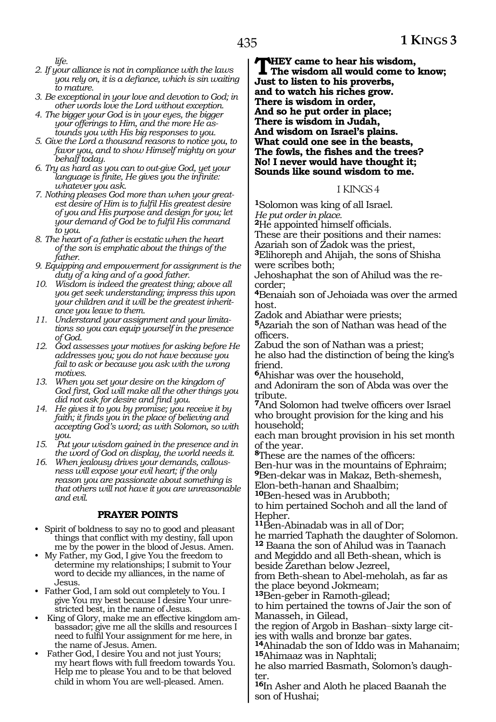*life.*

- *2. If your alliance is not in compliance with the laws you rely on, it is a defiance, which is sin waiting to mature.*
- *3. Be exceptional in your love and devotion to God; in other words love the Lord without exception.*
- *4. The bigger your God is in your eyes, the bigger your offerings to Him, and the more He astounds you with His big responses to you.*
- *5. Give the Lord a thousand reasons to notice you, to favor you, and to show Himself mighty on your behalf today.*
- *6. Try as hard as you can to out-give God, yet your language is finite, He gives you the infinite: whatever you ask.*
- *7. Nothing pleases God more than when your greatest desire of Him is to fulfil His greatest desire of you and His purpose and design for you; let your demand of God be to fulfil His command to you.*
- *8. The heart of a father is ecstatic when the heart of the son is emphatic about the things of the father.*
- *9. Equipping and empowerment for assignment is the duty of a king and of a good father.*
- *10. Wisdom is indeed the greatest thing; above all you get seek understanding; impress this upon your children and it will be the greatest inheritance you leave to them.*
- *11. Understand your assignment and your limitations so you can equip yourself in the presence of God.*
- *12. God assesses your motives for asking before He addresses you; you do not have because you fail to ask or because you ask with the wrong motives.*
- *13. When you set your desire on the kingdom of God first, God will make all the other things you did not ask for desire and find you.*
- *14. He gives it to you by promise; you receive it by faith; it finds you in the place of believing and accepting God's word; as with Solomon, so with you.*
- *15. Put your wisdom gained in the presence and in the word of God on display, the world needs it.*
- *16. When jealousy drives your demands, callousness will expose your evil heart; if the only reason you are passionate about something is that others will not have it you are unreasonable and evil.*

### **PRAYER POINTS**

- Spirit of boldness to say no to good and pleasant things that conflict with my destiny, fall upon me by the power in the blood of Jesus. Amen.
- My Father, my God, I give You the freedom to determine my relationships; I submit to Your word to decide my alliances, in the name of Jesus.
- Father God, I am sold out completely to You. I give You my best because I desire Your unrestricted best, in the name of Jesus.
- King of Glory, make me an effective kingdom ambassador; give me all the skills and resources I need to fulfil Your assignment for me here, in the name of Jesus. Amen.
- Father God, I desire You and not just Yours; my heart flows with full freedom towards You. Help me to please You and to be that beloved child in whom You are well-pleased. Amen.

**THEY came to hear his wisdom,**<br>The wisdom all would come to know;<br>list to list a his approach. **Just to listen to his proverbs, and to watch his riches grow. There is wisdom in order, And so he put order in place; There is wisdom in Judah, And wisdom on Israel's plains. What could one see in the beasts, The fowls, the fishes and the trees? No! I never would have thought it; Sounds like sound wisdom to me.**

#### 1 KINGS 4

**<sup>1</sup>**Solomon was king of all Israel. *He put order in place.*

**<sup>2</sup>**He appointed himself officials.

These are their positions and their names:

Azariah son of Zadok was the priest, **<sup>3</sup>**Elihoreph and Ahijah, the sons of Shisha

were scribes both; Jehoshaphat the son of Ahilud was the recorder;

**<sup>4</sup>**Benaiah son of Jehoiada was over the armed host.

Zadok and Abiathar were priests;

**<sup>5</sup>**Azariah the son of Nathan was head of the officers.

Zabud the son of Nathan was a priest; he also had the distinction of being the king's friend.

**<sup>6</sup>**Ahishar was over the household, and Adoniram the son of Abda was over the tribute.

**<sup>7</sup>**And Solomon had twelve officers over Israel who brought provision for the king and his household;

each man brought provision in his set month of the year.

**<sup>8</sup>**These are the names of the officers: Ben-hur was in the mountains of Ephraim; **<sup>9</sup>**Ben-dekar was in Makaz, Beth-shemesh, Elon-beth-hanan and Shaalbim;

**<sup>10</sup>**Ben-hesed was in Arubboth;

to him pertained Sochoh and all the land of Hepher.

**<sup>11</sup>**Ben-Abinadab was in all of Dor;

he married Taphath the daughter of Solomon. **<sup>12</sup>** Baana the son of Ahilud was in Taanach

and Megiddo and all Beth-shean, which is beside Zarethan below Jezreel,

from Beth-shean to Abel-meholah, as far as the place beyond Jokmeam;

**<sup>13</sup>**Ben-geber in Ramoth-gilead;

to him pertained the towns of Jair the son of Manasseh, in Gilead,

the region of Argob in Bashan\_\_sixty large cities with walls and bronze bar gates.

**<sup>14</sup>**Ahinadab the son of Iddo was in Mahanaim; **<sup>15</sup>**Ahimaaz was in Naphtali;

he also married Basmath, Solomon's daugh- ter.

**<sup>16</sup>**In Asher and Aloth he placed Baanah the son of Hushai;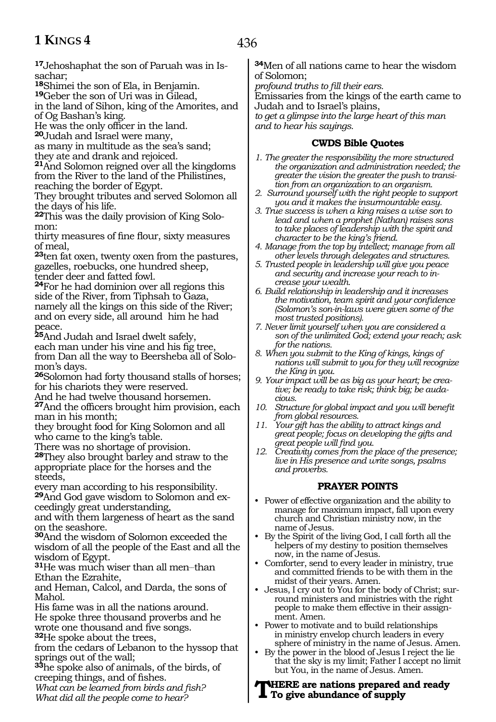**17**Jehoshaphat the son of Paruah was in Is-<br>sachar:

**<sup>18</sup>**Shimei the son of Ela, in Benjamin. **<sup>19</sup>**Geber the son of Uri was in Gilead,

in the land of Sihon, king of the Amorites, and of Og Bashan's king.

He was the only officer in the land.

**<sup>20</sup>**Judah and Israel were many,

as many in multitude as the sea's sand;

they ate and drank and rejoiced.

**<sup>21</sup>**And Solomon reigned over all the kingdoms from the River to the land of the Philistines, reaching the border of Egypt.

They brought tributes and served Solomon all the days of his life.

**<sup>22</sup>**This was the daily provision of King Solo- mon:

thirty measures of fine flour, sixty measures of meal,

**<sup>23</sup>**ten fat oxen, twenty oxen from the pastures, gazelles, roebucks, one hundred sheep, tender deer and fatted fowl.

**<sup>24</sup>**For he had dominion over all regions this side of the River, from Tiphsah to Gaza, namely all the kings on this side of the River; and on every side, all around him he had peace.

**<sup>25</sup>**And Judah and Israel dwelt safely, each man under his vine and his fig tree, from Dan all the way to Beersheba all of Solomon's days.

**<sup>26</sup>**Solomon had forty thousand stalls of horses; for his chariots they were reserved.

And he had twelve thousand horsemen.

**<sup>27</sup>**And the officers brought him provision, each man in his month;

they brought food for King Solomon and all who came to the king's table.

There was no shortage of provision.

**<sup>28</sup>**They also brought barley and straw to the appropriate place for the horses and the steeds,

every man according to his responsibility. **29**And God gave wisdom to Solomon and exceedingly great understanding,

and with them largeness of heart as the sand on the seashore.

**<sup>30</sup>**And the wisdom of Solomon exceeded the wisdom of all the people of the East and all the wisdom of Egypt.

**<sup>31</sup>**He was much wiser than all men\_\_than Ethan the Ezrahite,

and Heman, Calcol, and Darda, the sons of Mahol.

His fame was in all the nations around. He spoke three thousand proverbs and he wrote one thousand and five songs. **<sup>32</sup>**He spoke about the trees,

from the cedars of Lebanon to the hyssop that springs out of the wall;

**<sup>33</sup>**he spoke also of animals, of the birds, of creeping things, and of fishes.

*What can be learned from birds and fish? What did all the people come to hear?*

**<sup>34</sup>**Men of all nations came to hear the wisdom of Solomon;

*profound truths to fill their ears.*

Emissaries from the kings of the earth came to Judah and to Israel's plains,

*to get a glimpse into the large heart of this man and to hear his sayings.*

### **CWDS Bible Quotes**

- *1. The greater the responsibility the more structured the organization and administration needed; the greater the vision the greater the push to transition from an organization to an organism.*
- *2. Surround yourself with the right people to support you and it makes the insurmountable easy.*
- *3. True success is when a king raises a wise son to lead and when a prophet (Nathan) raises sons to take places of leadership with the spirit and character to be the king's friend.*
- *4. Manage from the top by intellect; manage from all other levels through delegates and structures.*
- *5. Trusted people in leadership will give you peace and security and increase your reach to increase your wealth.*
- *6. Build relationship in leadership and it increases the motivation, team spirit and your confidence (Solomon's son-in-laws were given some of the most trusted positions).*
- *7. Never limit yourself when you are considered a son of the unlimited God; extend your reach; ask for the nations.*
- *8. When you submit to the King of kings, kings of nations will submit to you for they will recognize the King in you.*
- *9. Your impact will be as big as your heart; be creative; be ready to take risk; think big; be audacious.*
- *10. Structure for global impact and you will benefit from global resources.*
- *11. Your gift has the ability to attract kings and great people; focus on developing the gifts and great people will find you.*
- *12. Creativity comes from the place of the presence; live in His presence and write songs, psalms and proverbs.*

### **PRAYER POINTS**

- Power of effective organization and the ability to manage for maximum impact, fall upon every church and Christian ministry now, in the name of Jesus.
- By the Spirit of the living God, I call forth all the helpers of my destiny to position themselves now, in the name of Jesus.
- Comforter, send to every leader in ministry, true and committed friends to be with them in the midst of their years. Amen.
- Jesus, I cry out to You for the body of Christ; surround ministers and ministries with the right people to make them effective in their assignment. Amen.
- Power to motivate and to build relationships in ministry envelop church leaders in every sphere of ministry in the name of Jesus. Amen.
- By the power in the blood of Jesus I reject the lie that the sky is my limit; Father I accept no limit but You, in the name of Jesus. Amen.

### **There are nations prepared and ready To give abundance of supply**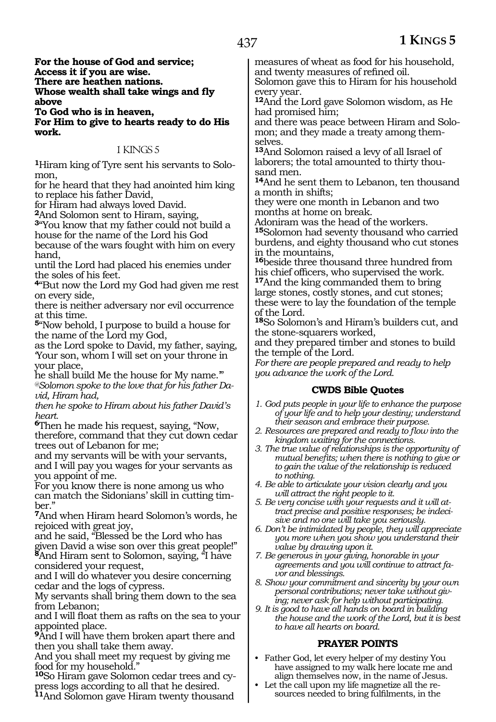**For the house of God and service; Access it if you are wise. There are heathen nations. Whose wealth shall take wings and fly above**

**To God who is in heaven, For Him to give to hearts ready to do His work.**

### 1 KINGS 5

**<sup>1</sup>**Hiram king of Tyre sent his servants to Solo- mon,

for he heard that they had anointed him king to replace his father David,

for Hiram had always loved David.

**<sup>2</sup>**And Solomon sent to Hiram, saying,

**<sup>3</sup>**"You know that my father could not build a house for the name of the Lord his God

because of the wars fought with him on every hand,

until the Lord had placed his enemies under the soles of his feet.

**<sup>4</sup>**"But now the Lord my God had given me rest on every side,

there is neither adversary nor evil occurrence at this time.

**<sup>5</sup>**"Now behold, I purpose to build a house for the name of the Lord my God,

as the Lord spoke to David, my father, saying, 'Your son, whom I will set on your throne in your place,

he shall build Me the house for My name.'" *@Solomon spoke to the love that for his father David, Hiram had,* 

*then he spoke to Hiram about his father David's heart.*

**<sup>6</sup>**Then he made his request, saying, "Now, therefore, command that they cut down cedar trees out of Lebanon for me;

and my servants will be with your servants, and I will pay you wages for your servants as you appoint of me.

For you know there is none among us who can match the Sidonians' skill in cutting timber."

**<sup>7</sup>**And when Hiram heard Solomon's words, he rejoiced with great joy,

and he said, "Blessed be the Lord who has given David a wise son over this great people!" **<sup>8</sup>**And Hiram sent to Solomon, saying, "I have considered your request,

and I will do whatever you desire concerning cedar and the logs of cypress.

My servants shall bring them down to the sea from Lebanon;

and I will float them as rafts on the sea to your appointed place.

**<sup>9</sup>**And I will have them broken apart there and then you shall take them away.

And you shall meet my request by giving me food for my household."

**<sup>10</sup>**So Hiram gave Solomon cedar trees and cy- press logs according to all that he desired. **<sup>11</sup>**And Solomon gave Hiram twenty thousand

measures of wheat as food for his household, and twenty measures of refined oil.

Solomon gave this to Hiram for his household every year.

**<sup>12</sup>**And the Lord gave Solomon wisdom, as He had promised him;

and there was peace between Hiram and Solomon; and they made a treaty among themselves.

**<sup>13</sup>**And Solomon raised a levy of all Israel of laborers; the total amounted to thirty thousand men.

**<sup>14</sup>**And he sent them to Lebanon, ten thousand a month in shifts;

they were one month in Lebanon and two months at home on break.

Adoniram was the head of the workers.

**<sup>15</sup>**Solomon had seventy thousand who carried burdens, and eighty thousand who cut stones in the mountains,

**<sup>16</sup>**beside three thousand three hundred from his chief officers, who supervised the work. **<sup>17</sup>**And the king commanded them to bring large stones, costly stones, and cut stones; these were to lay the foundation of the temple of the Lord.

**<sup>18</sup>**So Solomon's and Hiram's builders cut, and the stone-squarers worked,

and they prepared timber and stones to build the temple of the Lord.

*For there are people prepared and ready to help you advance the work of the Lord.*

### **CWDS Bible Quotes**

- *1. God puts people in your life to enhance the purpose of your life and to help your destiny; understand their season and embrace their purpose.*
- *2. Resources are prepared and ready to flow into the kingdom waiting for the connections.*
- *3. The true value of relationships is the opportunity of mutual benefits; when there is nothing to give or to gain the value of the relationship is reduced to nothing.*
- *4. Be able to articulate your vision clearly and you will attract the right people to it.*
- *5. Be very concise with your requests and it will attract precise and positive responses; be indecisive and no one will take you seriously.*
- *6. Don't be intimidated by people, they will appreciate you more when you show you understand their value by drawing upon it.*
- *7. Be generous in your giving, honorable in your agreements and you will continue to attract favor and blessings.*
- *8. Show your commitment and sincerity by your own personal contributions; never take without giving; never ask for help without participating.*
- *9. It is good to have all hands on board in building the house and the work of the Lord, but it is best to have all hearts on board.*

### **PRAYER POINTS**

- Father God, let every helper of my destiny You have assigned to my walk here locate me and align themselves now, in the name of Jesus.
- Let the call upon my life magnetize all the resources needed to bring fulfilments, in the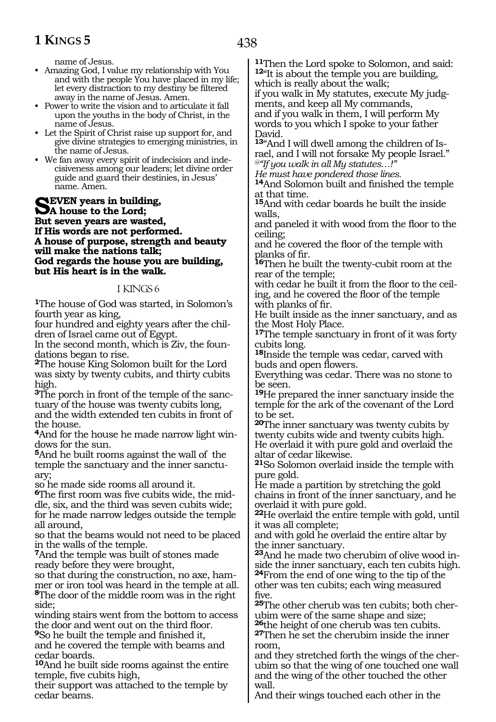438

name of Jesus.

- Amazing God, I value my relationship with You and with the people You have placed in my life; let every distraction to my destiny be filtered away in the name of Jesus. Amen.
- Power to write the vision and to articulate it fall upon the youths in the body of Christ, in the name of Jesus.
- Let the Spirit of Christ raise up support for, and give divine strategies to emerging ministries, in the name of Jesus.
- We fan away every spirit of indecision and indecisiveness among our leaders; let divine order guide and guard their destinies, in Jesus' name. Amen.

**SEVEN** years in building,<br> **SA** house to the Lord;<br> **Rut seven years are worted But seven years are wasted, If His words are not performed. A house of purpose, strength and beauty will make the nations talk; God regards the house you are building, but His heart is in the walk.**

#### 1 KINGS 6

**<sup>1</sup>**The house of God was started, in Solomon's fourth year as king,

four hundred and eighty years after the chil- dren of Israel came out of Egypt.

In the second month, which is Ziv, the foun- dations began to rise.

**<sup>2</sup>**The house King Solomon built for the Lord was sixty by twenty cubits, and thirty cubits high.

**<sup>3</sup>**The porch in front of the temple of the sanc- tuary of the house was twenty cubits long, and the width extended ten cubits in front of the house.

**4**And for the house he made narrow light windows for the sun.

**<sup>5</sup>**And he built rooms against the wall of the temple the sanctuary and the inner sanctuary;

so he made side rooms all around it.

**6**The first room was five cubits wide, the middle, six, and the third was seven cubits wide; for he made narrow ledges outside the temple all around,

so that the beams would not need to be placed in the walls of the temple.

**<sup>7</sup>**And the temple was built of stones made ready before they were brought,

so that during the construction, no axe, hammer or iron tool was heard in the temple at all. **<sup>8</sup>**The door of the middle room was in the right side;

winding stairs went from the bottom to access the door and went out on the third floor.

**<sup>9</sup>**So he built the temple and finished it, and he covered the temple with beams and cedar boards.

**<sup>10</sup>**And he built side rooms against the entire temple, five cubits high,

their support was attached to the temple by cedar beams.

**<sup>11</sup>**Then the Lord spoke to Solomon, and said: **<sup>12</sup>**"It is about the temple you are building, which is really about the walk;

if you walk in My statutes, execute My judgments, and keep all My commands, and if you walk in them, I will perform My words to you which I spoke to your father David.

**13**"And I will dwell among the children of Israel, and I will not forsake My people Israel." *@"If you walk in all My statutes…!"*

*He must have pondered those lines.*

**<sup>14</sup>**And Solomon built and finished the temple at that time.

**<sup>15</sup>**And with cedar boards he built the inside walls,

and paneled it with wood from the floor to the ceiling;

and he covered the floor of the temple with planks of fir.

**<sup>16</sup>**Then he built the twenty-cubit room at the rear of the temple;

with cedar he built it from the floor to the ceiling, and he covered the floor of the temple with planks of fir.

He built inside as the inner sanctuary, and as the Most Holy Place.

**<sup>17</sup>**The temple sanctuary in front of it was forty cubits long.

**<sup>18</sup>**Inside the temple was cedar, carved with buds and open flowers.

Everything was cedar. There was no stone to be seen.

**<sup>19</sup>**He prepared the inner sanctuary inside the temple for the ark of the covenant of the Lord to be set.

**<sup>20</sup>**The inner sanctuary was twenty cubits by twenty cubits wide and twenty cubits high. He overlaid it with pure gold and overlaid the altar of cedar likewise.

**<sup>21</sup>**So Solomon overlaid inside the temple with pure gold.

He made a partition by stretching the gold chains in front of the inner sanctuary, and he overlaid it with pure gold.

**<sup>22</sup>**He overlaid the entire temple with gold, until it was all complete;

and with gold he overlaid the entire altar by the inner sanctuary.

**<sup>23</sup>**And he made two cherubim of olive wood in- side the inner sanctuary, each ten cubits high. **<sup>24</sup>**From the end of one wing to the tip of the other was ten cubits; each wing measured five.

**25**The other cherub was ten cubits; both cherubim were of the same shape and size;<br><sup>26</sup>the height of one cherub was ten cubits.

**27**Then he set the cherubim inside the inner

room,<br>and they stretched forth the wings of the cherubim so that the wing of one touched one wall and the wing of the other touched the other wall.

And their wings touched each other in the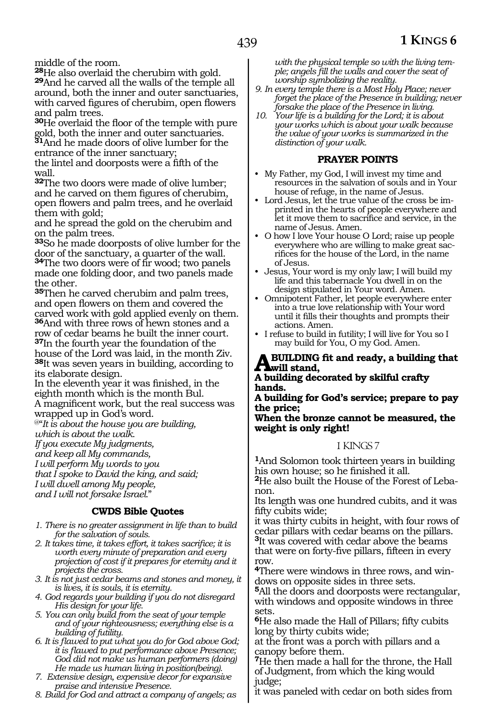middle of the room.<br><sup>28</sup>He also overlaid the cherubim with gold. **29**And he carved all the walls of the temple all around, both the inner and outer sanctuaries, with carved figures of cherubim, open flowers and palm trees.

**<sup>30</sup>**He overlaid the floor of the temple with pure gold, both the inner and outer sanctuaries. **<sup>31</sup>**And he made doors of olive lumber for the entrance of the inner sanctuary;

the lintel and doorposts were a fifth of the wall.

**<sup>32</sup>**The two doors were made of olive lumber; and he carved on them figures of cherubim, open flowers and palm trees, and he overlaid them with gold;

and he spread the gold on the cherubim and on the palm trees.

**<sup>33</sup>**So he made doorposts of olive lumber for the door of the sanctuary, a quarter of the wall. **<sup>34</sup>**The two doors were of fir wood; two panels made one folding door, and two panels made the other.

**<sup>35</sup>**Then he carved cherubim and palm trees, and open flowers on them and covered the carved work with gold applied evenly on them. **<sup>36</sup>**And with three rows of hewn stones and a row of cedar beams he built the inner court. **<sup>37</sup>**In the fourth year the foundation of the house of the Lord was laid, in the month Ziv. **<sup>38</sup>**It was seven years in building, according to its elaborate design.

In the eleventh year it was finished, in the eighth month which is the month Bul. A magnificent work, but the real success was wrapped up in God's word.

@"*It is about the house you are building,*

*which is about the walk.*

*If you execute My judgments,*

*and keep all My commands,*

*I will perform My words to you*

*that I spoke to David the king, and said;*

*I will dwell among My people,*

*and I will not forsake Israel.*"

### **CWDS Bible Quotes**

- *1. There is no greater assignment in life than to build for the salvation of souls.*
- *2. It takes time, it takes effort, it takes sacrifice; it is worth every minute of preparation and every projection of cost if it prepares for eternity and it projects the cross.*
- *3. It is not just cedar beams and stones and money, it is lives, it is souls, it is eternity.*
- *4. God regards your building if you do not disregard His design for your life.*
- *5. You can only build from the seat of your temple and of your righteousness; everything else is a building of futility.*
- *6. It is flawed to put what you do for God above God; it is flawed to put performance above Presence; God did not make us human performers (doing) He made us human living in position(being).*
- *7. Extensive design, expensive decor for expansive praise and intensive Presence.*
- *8. Build for God and attract a company of angels; as*

*with the physical temple so with the living temple; angels fill the walls and cover the seat of worship symbolizing the reality.*

- *9. In every temple there is a Most Holy Place; never forget the place of the Presence in building; never forsake the place of the Presence in living.*
- *10. Your life is a building for the Lord; it is about your works which is about your walk because the value of your works is summarized in the distinction of your walk.*

### **PRAYER POINTS**

- My Father, my God, I will invest my time and resources in the salvation of souls and in Your house of refuge, in the name of Jesus.
- Lord Jesus, let the true value of the cross be imprinted in the hearts of people everywhere and let it move them to sacrifice and service, in the name of Jesus. Amen.
- O how I love Your house O Lord; raise up people everywhere who are willing to make great sacrifices for the house of the Lord, in the name of Jesus.
- Jesus, Your word is my only law; I will build my life and this tabernacle You dwell in on the design stipulated in Your word. Amen.
- Omnipotent Father, let people everywhere enter into a true love relationship with Your word until it fills their thoughts and prompts their actions. Amen.
- I refuse to build in futility; I will live for You so I may build for You, O my God. Amen.

### **A building fit and ready, a building that will stand,**

#### **A building decorated by skilful crafty hands.**

**A building for God's service; prepare to pay the price;**

**When the bronze cannot be measured, the weight is only right!**

### 1 KINGS 7

**<sup>1</sup>**And Solomon took thirteen years in building his own house; so he finished it all.

**2**He also built the House of the Forest of Lebanon.

Its length was one hundred cubits, and it was fifty cubits wide;

it was thirty cubits in height, with four rows of cedar pillars with cedar beams on the pillars. **<sup>3</sup>**It was covered with cedar above the beams that were on forty-five pillars, fifteen in every row.

**4**There were windows in three rows, and windows on opposite sides in three sets.

**<sup>5</sup>**All the doors and doorposts were rectangular, with windows and opposite windows in three sets.

**<sup>6</sup>**He also made the Hall of Pillars; fifty cubits long by thirty cubits wide;

at the front was a porch with pillars and a canopy before them.

**<sup>7</sup>**He then made a hall for the throne, the Hall of Judgment, from which the king would judge;

it was paneled with cedar on both sides from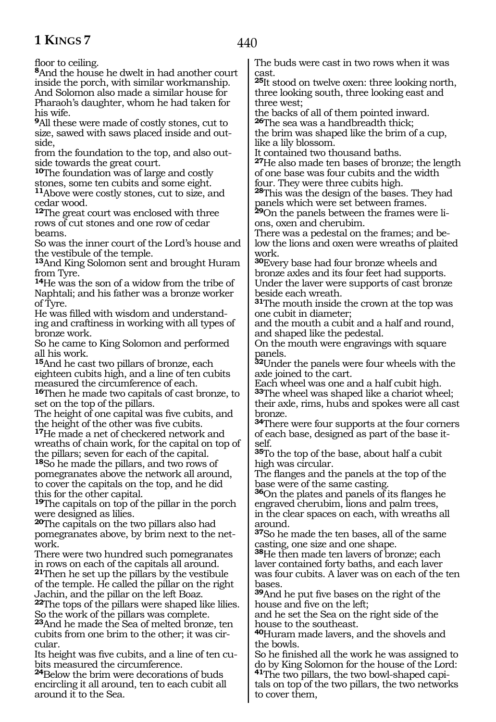floor to ceiling.

**<sup>8</sup>**And the house he dwelt in had another court inside the porch, with similar workmanship. And Solomon also made a similar house for Pharaoh's daughter, whom he had taken for his wife.

**<sup>9</sup>**All these were made of costly stones, cut to size, sawed with saws placed inside and outside,

from the foundation to the top, and also outside towards the great court.

**<sup>10</sup>**The foundation was of large and costly stones, some ten cubits and some eight. **<sup>11</sup>**Above were costly stones, cut to size, and cedar wood.

**<sup>12</sup>**The great court was enclosed with three rows of cut stones and one row of cedar beams.

So was the inner court of the Lord's house and the vestibule of the temple.

**<sup>13</sup>**And King Solomon sent and brought Huram from Tyre.

**<sup>14</sup>**He was the son of a widow from the tribe of Naphtali; and his father was a bronze worker of Tyre.

He was filled with wisdom and understanding and craftiness in working with all types of bronze work.

So he came to King Solomon and performed all his work.

**<sup>15</sup>**And he cast two pillars of bronze, each eighteen cubits high, and a line of ten cubits measured the circumference of each.

**<sup>16</sup>**Then he made two capitals of cast bronze, to set on the top of the pillars.

The height of one capital was five cubits, and the height of the other was five cubits.

**<sup>17</sup>**He made a net of checkered network and wreaths of chain work, for the capital on top of the pillars; seven for each of the capital.

**<sup>18</sup>**So he made the pillars, and two rows of pomegranates above the network all around, to cover the capitals on the top, and he did this for the other capital.

**<sup>19</sup>**The capitals on top of the pillar in the porch were designed as lilies.

**<sup>20</sup>**The capitals on the two pillars also had pomegranates above, by brim next to the network.

There were two hundred such pomegranates in rows on each of the capitals all around.

**<sup>21</sup>**Then he set up the pillars by the vestibule of the temple. He called the pillar on the right Jachin, and the pillar on the left Boaz.

**<sup>22</sup>**The tops of the pillars were shaped like lilies. So the work of the pillars was complete.

**<sup>23</sup>**And he made the Sea of melted bronze, ten cubits from one brim to the other; it was circular.

Its height was five cubits, and a line of ten cubits measured the circumference.

**<sup>24</sup>**Below the brim were decorations of buds encircling it all around, ten to each cubit all around it to the Sea.

The buds were cast in two rows when it was cast.

**<sup>25</sup>**It stood on twelve oxen: three looking north, three looking south, three looking east and three west;

the backs of all of them pointed inward. **<sup>26</sup>**The sea was a handbreadth thick;

the brim was shaped like the brim of a cup, like a lily blossom.

It contained two thousand baths.

**<sup>27</sup>**He also made ten bases of bronze; the length of one base was four cubits and the width four. They were three cubits high.

**<sup>28</sup>**This was the design of the bases. They had panels which were set between frames.

**29**On the panels between the frames were lions, oxen and cherubim.

There was a pedestal on the frames; and below the lions and oxen were wreaths of plaited work.

**<sup>30</sup>**Every base had four bronze wheels and bronze axles and its four feet had supports. Under the laver were supports of cast bronze beside each wreath.

**<sup>31</sup>**The mouth inside the crown at the top was one cubit in diameter;

and the mouth a cubit and a half and round, and shaped like the pedestal.

On the mouth were engravings with square panels.

**<sup>32</sup>**Under the panels were four wheels with the axle joined to the cart.

Each wheel was one and a half cubit high. **<sup>33</sup>**The wheel was shaped like a chariot wheel; their axle, rims, hubs and spokes were all cast bronze.

**<sup>34</sup>**There were four supports at the four corners of each base, designed as part of the base itself.

**<sup>35</sup>**To the top of the base, about half a cubit high was circular.

The flanges and the panels at the top of the base were of the same casting.

**<sup>36</sup>**On the plates and panels of its flanges he engraved cherubim, lions and palm trees, in the clear spaces on each, with wreaths all around.

**<sup>37</sup>**So he made the ten bases, all of the same casting, one size and one shape.

**<sup>38</sup>**He then made ten lavers of bronze; each laver contained forty baths, and each laver was four cubits. A laver was on each of the ten bases.

**<sup>39</sup>**And he put five bases on the right of the house and five on the left;

and he set the Sea on the right side of the house to the southeast.

**<sup>40</sup>**Huram made lavers, and the shovels and the bowls.

So he finished all the work he was assigned to do by King Solomon for the house of the Lord: **41**The two pillars, the two bowl-shaped capi-

tals on top of the two pillars, the two networks to cover them,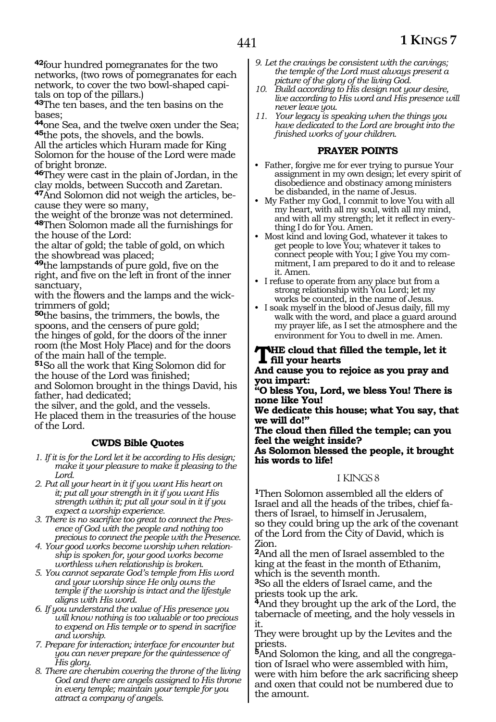**<sup>42</sup>**four hundred pomegranates for the two networks, (two rows of pomegranates for each network, to cover the two bowl-shaped capitals on top of the pillars.)

**<sup>43</sup>**The ten bases, and the ten basins on the bases;

**<sup>44</sup>**one Sea, and the twelve oxen under the Sea; **<sup>45</sup>**the pots, the shovels, and the bowls.

All the articles which Huram made for King Solomon for the house of the Lord were made of bright bronze.

**<sup>46</sup>**They were cast in the plain of Jordan, in the clay molds, between Succoth and Zaretan.

**47**And Solomon did not weigh the articles, because they were so many,

the weight of the bronze was not determined. **<sup>48</sup>**Then Solomon made all the furnishings for the house of the Lord:

the altar of gold; the table of gold, on which the showbread was placed;

**<sup>49</sup>**the lampstands of pure gold, five on the right, and five on the left in front of the inner sanctuary,

with the flowers and the lamps and the wicktrimmers of gold;

**<sup>50</sup>**the basins, the trimmers, the bowls, the spoons, and the censers of pure gold; the hinges of gold, for the doors of the inner room (the Most Holy Place) and for the doors of the main hall of the temple.

**<sup>51</sup>**So all the work that King Solomon did for the house of the Lord was finished;

and Solomon brought in the things David, his father, had dedicated;

the silver, and the gold, and the vessels. He placed them in the treasuries of the house of the Lord.

### **CWDS Bible Quotes**

- *1. If it is for the Lord let it be according to His design; make it your pleasure to make it pleasing to the Lord.*
- *2. Put all your heart in it if you want His heart on it; put all your strength in it if you want His strength within it; put all your soul in it if you expect a worship experience.*
- *3. There is no sacrifice too great to connect the Presence of God with the people and nothing too precious to connect the people with the Presence.*
- *4. Your good works become worship when relationship is spoken for, your good works become worthless when relationship is broken.*
- *5. You cannot separate God's temple from His word and your worship since He only owns the temple if the worship is intact and the lifestyle aligns with His word.*
- *6. If you understand the value of His presence you will know nothing is too valuable or too precious to expend on His temple or to spend in sacrifice and worship.*
- *7. Prepare for interaction; interface for encounter but you can never prepare for the quintessence of His glory.*
- *8. There are cherubim covering the throne of the living God and there are angels assigned to His throne in every temple; maintain your temple for you attract a company of angels.*
- *9. Let the cravings be consistent with the carvings; the temple of the Lord must always present a picture of the glory of the living God.*
- *10. Build according to His design not your desire, live according to His word and His presence will never leave you.*
- *11. Your legacy is speaking when the things you have dedicated to the Lord are brought into the finished works of your children.*

### **PRAYER POINTS**

- Father, forgive me for ever trying to pursue Your assignment in my own design; let every spirit of disobedience and obstinacy among ministers be disbanded, in the name of Jesus.
- My Father my God, I commit to love You with all my heart, with all my soul, with all my mind, and with all my strength; let it reflect in everything I do for You. Amen.
- Most kind and loving God, whatever it takes to get people to love You; whatever it takes to connect people with You; I give You my commitment, I am prepared to do it and to release it. Amen.
- I refuse to operate from any place but from a strong relationship with You Lord; let my works be counted, in the name of Jesus.
- I soak myself in the blood of Jesus daily, fill my walk with the word, and place a guard around my prayer life, as I set the atmosphere and the environment for You to dwell in me. Amen.

### **The cloud that filled the temple, let it fill your hearts**

**And cause you to rejoice as you pray and you impart:**

**"O bless You, Lord, we bless You! There is none like You!**

**We dedicate this house; what You say, that we will do!"**

**The cloud then filled the temple; can you feel the weight inside?**

**As Solomon blessed the people, it brought his words to life!**

### 1 KINGS 8

**<sup>1</sup>**Then Solomon assembled all the elders of Israel and all the heads of the tribes, chief fathers of Israel, to himself in Jerusalem, so they could bring up the ark of the covenant of the Lord from the City of David, which is Zion.

**<sup>2</sup>**And all the men of Israel assembled to the king at the feast in the month of Ethanim, which is the seventh month.

**<sup>3</sup>**So all the elders of Israel came, and the priests took up the ark.

**<sup>4</sup>**And they brought up the ark of the Lord, the tabernacle of meeting, and the holy vessels in it.

They were brought up by the Levites and the priests.

**5**And Solomon the king, and all the congregation of Israel who were assembled with him, were with him before the ark sacrificing sheep and oxen that could not be numbered due to the amount.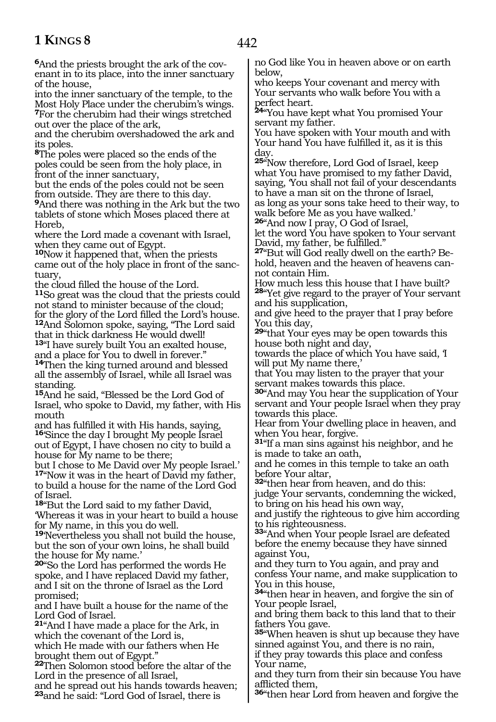**6**And the priests brought the ark of the covenant in to its place, into the inner sanctuary of the house,

into the inner sanctuary of the temple, to the Most Holy Place under the cherubim's wings. **<sup>7</sup>**For the cherubim had their wings stretched out over the place of the ark,

and the cherubim overshadowed the ark and its poles.

**<sup>8</sup>**The poles were placed so the ends of the poles could be seen from the holy place, in front of the inner sanctuary,

but the ends of the poles could not be seen from outside. They are there to this day.

**<sup>9</sup>**And there was nothing in the Ark but the two tablets of stone which Moses placed there at Horeb,

where the Lord made a covenant with Israel, when they came out of Egypt.

**<sup>10</sup>**Now it happened that, when the priests came out of the holy place in front of the sanctuary,

the cloud filled the house of the Lord. **<sup>11</sup>**So great was the cloud that the priests could

not stand to minister because of the cloud; for the glory of the Lord filled the Lord's house. **<sup>12</sup>**And Solomon spoke, saying, "The Lord said

that in thick darkness He would dwell! **<sup>13</sup>**"I have surely built You an exalted house,

and a place for You to dwell in forever."

**<sup>14</sup>**Then the king turned around and blessed all the assembly of Israel, while all Israel was standing.

**<sup>15</sup>**And he said, "Blessed be the Lord God of Israel, who spoke to David, my father, with His mouth

and has fulfilled it with His hands, saying, **<sup>16</sup>**'Since the day I brought My people Israel out of Egypt, I have chosen no city to build a house for My name to be there;

but I chose to Me David over My people Israel.' **<sup>17</sup>**"Now it was in the heart of David my father, to build a house for the name of the Lord God of Israel.

**<sup>18</sup>**"But the Lord said to my father David, 'Whereas it was in your heart to build a house for My name, in this you do well.

**<sup>19</sup>**'Nevertheless you shall not build the house, but the son of your own loins, he shall build the house for My name.'

**<sup>20</sup>**"So the Lord has performed the words He spoke, and I have replaced David my father, and I sit on the throne of Israel as the Lord promised;

and I have built a house for the name of the Lord God of Israel.

**<sup>21</sup>**"And I have made a place for the Ark, in which the covenant of the Lord is,

which He made with our fathers when He brought them out of Egypt."

**<sup>22</sup>**Then Solomon stood before the altar of the Lord in the presence of all Israel,

and he spread out his hands towards heaven; **<sup>23</sup>**and he said: "Lord God of Israel, there is

no God like You in heaven above or on earth below,

who keeps Your covenant and mercy with Your servants who walk before You with a perfect heart.

**<sup>24</sup>**"You have kept what You promised Your servant my father.

You have spoken with Your mouth and with Your hand You have fulfilled it, as it is this day.

**<sup>25</sup>**"Now therefore, Lord God of Israel, keep what You have promised to my father David, saying, 'You shall not fail of your descendants to have a man sit on the throne of Israel, as long as your sons take heed to their way, to walk before Me as you have walked.'

**<sup>26</sup>**"And now I pray, O God of Israel, let the word You have spoken to Your servant David, my father, be fulfilled."

**27**"But will God really dwell on the earth? Behold, heaven and the heaven of heavens cannot contain Him.

How much less this house that I have built? **<sup>28</sup>**"Yet give regard to the prayer of Your servant and his supplication,

and give heed to the prayer that I pray before You this day,

**<sup>29</sup>**"that Your eyes may be open towards this house both night and day,

towards the place of which You have said, 'I will put My name there,'

that You may listen to the prayer that your servant makes towards this place.

**<sup>30</sup>**"And may You hear the supplication of Your servant and Your people Israel when they pray towards this place.

Hear from Your dwelling place in heaven, and when You hear, forgive.

**<sup>31</sup>**"If a man sins against his neighbor, and he is made to take an oath,

and he comes in this temple to take an oath before Your altar,

**<sup>32</sup>**"then hear from heaven, and do this:

judge Your servants, condemning the wicked, to bring on his head his own way,

and justify the righteous to give him according to his righteousness.

**<sup>33</sup>**"And when Your people Israel are defeated before the enemy because they have sinned against You,

and they turn to You again, and pray and confess Your name, and make supplication to You in this house,

**<sup>34</sup>**"then hear in heaven, and forgive the sin of Your people Israel,

and bring them back to this land that to their fathers You gave.

**<sup>35</sup>**"When heaven is shut up because they have sinned against You, and there is no rain,

if they pray towards this place and confess Your name,

and they turn from their sin because You have afflicted them,

**<sup>36</sup>**"then hear Lord from heaven and forgive the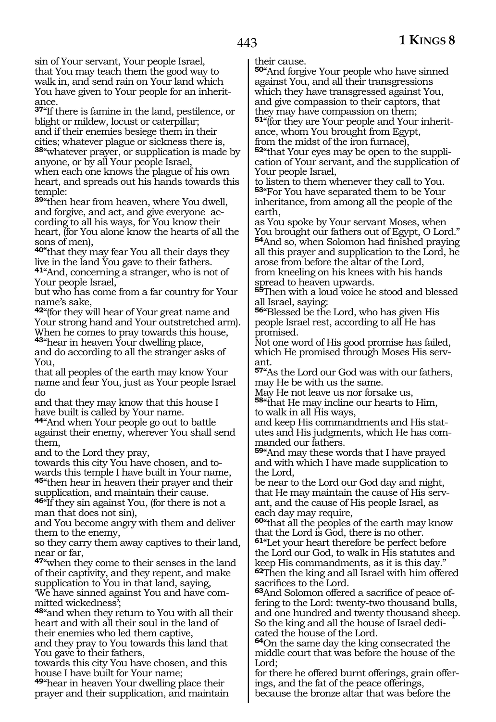sin of Your servant, Your people Israel, that You may teach them the good way to walk in, and send rain on Your land which You have given to Your people for an inheritance.

**<sup>37</sup>**"If there is famine in the land, pestilence, or blight or mildew, locust or caterpillar; and if their enemies besiege them in their cities; whatever plague or sickness there is, **<sup>38</sup>**"whatever prayer, or supplication is made by anyone, or by all Your people Israel, when each one knows the plague of his own heart, and spreads out his hands towards this temple:

**<sup>39</sup>**"then hear from heaven, where You dwell, and forgive, and act, and give everyone according to all his ways, for You know their heart, (for You alone know the hearts of all the sons of men),

**40"**that they may fear You all their days they live in the land You gave to their fathers. **<sup>41</sup>**"And, concerning a stranger, who is not of Your people Israel,

but who has come from a far country for Your name's sake,

**<sup>42</sup>**"(for they will hear of Your great name and Your strong hand and Your outstretched arm). When he comes to pray towards this house, **<sup>43</sup>**"hear in heaven Your dwelling place,

and do according to all the stranger asks of You,

that all peoples of the earth may know Your name and fear You, just as Your people Israel do

and that they may know that this house I have built is called by Your name.

**<sup>44</sup>**"And when Your people go out to battle against their enemy, wherever You shall send them,

and to the Lord they pray,

towards this city You have chosen, and towards this temple I have built in Your name, **<sup>45</sup>**"then hear in heaven their prayer and their supplication, and maintain their cause.

**<sup>46</sup>**"If they sin against You, (for there is not a man that does not sin),

and You become angry with them and deliver them to the enemy,

so they carry them away captives to their land, near or far,

**<sup>47</sup>**"when they come to their senses in the land of their captivity, and they repent, and make supplication to You in that land, saying,

'We have sinned against You and have committed wickedness';

**<sup>48</sup>**"and when they return to You with all their heart and with all their soul in the land of their enemies who led them captive, and they pray to You towards this land that

You gave to their fathers,

towards this city You have chosen, and this house I have built for Your name;

**<sup>49</sup>**"hear in heaven Your dwelling place their prayer and their supplication, and maintain their cause.

**<sup>50</sup>**"And forgive Your people who have sinned against You, and all their transgressions which they have transgressed against You, and give compassion to their captors, that they may have compassion on them; **51**"(for they are Your people and Your inheritance, whom You brought from Egypt, from the midst of the iron furnace), **<sup>52</sup>**"that Your eyes may be open to the suppli- cation of Your servant, and the supplication of

Your people Israel,

to listen to them whenever they call to You. **<sup>53</sup>**"For You have separated them to be Your inheritance, from among all the people of the earth,

as You spoke by Your servant Moses, when You brought our fathers out of Egypt, O Lord." **<sup>54</sup>**And so, when Solomon had finished praying all this prayer and supplication to the Lord, he arose from before the altar of the Lord, from kneeling on his knees with his hands spread to heaven upwards.

**<sup>55</sup>**Then with a loud voice he stood and blessed all Israel, saying:

**<sup>56</sup>**"Blessed be the Lord, who has given His people Israel rest, according to all He has promised.

Not one word of His good promise has failed, which He promised through Moses His servant.

**<sup>57</sup>**"As the Lord our God was with our fathers, may He be with us the same.

May He not leave us nor forsake us, **<sup>58</sup>**"that He may incline our hearts to Him,

to walk in all His ways, and keep His commandments and His statutes and His judgments, which He has commanded our fathers.

**<sup>59</sup>**"And may these words that I have prayed and with which I have made supplication to the Lord,

be near to the Lord our God day and night, that He may maintain the cause of His servant, and the cause of His people Israel, as each day may require,

**<sup>60</sup>**"that all the peoples of the earth may know that the Lord is God, there is no other.

**<sup>61</sup>**"Let your heart therefore be perfect before the Lord our God, to walk in His statutes and keep His commandments, as it is this day." **<sup>62</sup>**Then the king and all Israel with him offered sacrifices to the Lord.

**63**And Solomon offered a sacrifice of peace offering to the Lord: twenty-two thousand bulls, and one hundred and twenty thousand sheep. So the king and all the house of Israel dedicated the house of the Lord.

**<sup>64</sup>**On the same day the king consecrated the middle court that was before the house of the Lord;

for there he offered burnt offerings, grain offer- ings, and the fat of the peace offerings,

because the bronze altar that was before the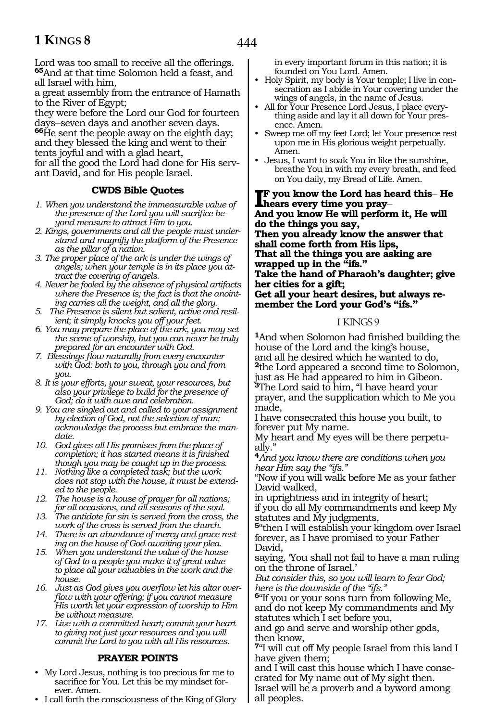Lord was too small to receive all the offerings. **<sup>65</sup>**And at that time Solomon held a feast, and all Israel with him,

a great assembly from the entrance of Hamath to the River of Egypt;

they were before the Lord our God for fourteen<br>days-seven days and another seven days.

**66**He sent the people away on the eighth day; and they blessed the king and went to their tents joyful and with a glad heart,

for all the good the Lord had done for His servant David, and for His people Israel.

### **CWDS Bible Quotes**

- *1. When you understand the immeasurable value of the presence of the Lord you will sacrifice beyond measure to attract Him to you.*
- *2. Kings, governments and all the people must understand and magnify the platform of the Presence as the pillar of a nation.*
- *3. The proper place of the ark is under the wings of angels; when your temple is in its place you attract the covering of angels.*
- *4. Never be fooled by the absence of physical artifacts where the Presence is; the fact is that the anointing carries all the weight, and all the glory.*
- *5. The Presence is silent but salient, active and resilient; it simply knocks you off your feet.*
- *6. You may prepare the place of the ark, you may set the scene of worship, but you can never be truly prepared for an encounter with God.*
- *7. Blessings flow naturally from every encounter with God: both to you, through you and from you.*
- *8. It is your efforts, your sweat, your resources, but also your privilege to build for the presence of God; do it with awe and celebration.*
- *9. You are singled out and called to your assignment by election of God, not the selection of man; acknowledge the process but embrace the mandate.*
- *10. God gives all His promises from the place of completion; it has started means it is finished though you may be caught up in the process.*
- *11. Nothing like a completed task; but the work does not stop with the house, it must be extended to the people.*
- *12. The house is a house of prayer for all nations; for all occasions, and all seasons of the soul.*
- *13. The antidote for sin is served from the cross, the work of the cross is served from the church.*
- *14. There is an abundance of mercy and grace resting on the house of God awaiting your plea.*
- *15. When you understand the value of the house of God to a people you make it of great value to place all your valuables in the work and the house.*
- *16. Just as God gives you overflow let his altar overflow with your offering; if you cannot measure His worth let your expression of worship to Him be without measure.*
- *17. Live with a committed heart; commit your heart to giving not just your resources and you will commit the Lord to you with all His resources.*

### **PRAYER POINTS**

- My Lord Jesus, nothing is too precious for me to sacrifice for You. Let this be my mindset forever. Amen.
- I call forth the consciousness of the King of Glory

in every important forum in this nation; it is founded on You Lord. Amen.

- Holy Spirit, my body is Your temple; I live in consecration as I abide in Your covering under the wings of angels, in the name of Jesus.
- All for Your Presence Lord Jesus, I place everything aside and lay it all down for Your presence. Amen.
- Sweep me off my feet Lord; let Your presence rest upon me in His glorious weight perpetually. Amen.
- Jesus, I want to soak You in like the sunshine, breathe You in with my every breath, and feed on You daily, my Bread of Life. Amen.

**I**F you know the Lord has he<br>hears every time you pray—<br>And you lynam Ho will perform **f you know the Lord has heard this\_\_ He And you know He will perform it, He will do the things you say, Then you already know the answer that shall come forth from His lips, That all the things you are asking are wrapped up in the "ifs." Take the hand of Pharaoh's daughter; give her cities for a gift; Get all your heart desires, but always remember the Lord your God's "ifs."**

### 1 KINGS 9

**<sup>1</sup>**And when Solomon had finished building the house of the Lord and the king's house, and all he desired which he wanted to do, **<sup>2</sup>**the Lord appeared a second time to Solomon, just as He had appeared to him in Gibeon. **<sup>3</sup>**The Lord said to him, "I have heard your prayer, and the supplication which to Me you made,

I have consecrated this house you built, to forever put My name.

My heart and My eyes will be there perpetually."

**<sup>4</sup>***And you know there are conditions when you hear Him say the "ifs."*

"Now if you will walk before Me as your father David walked,

in uprightness and in integrity of heart; if you do all My commandments and keep My statutes and My judgments,

**<sup>5</sup>**"then I will establish your kingdom over Israel forever, as I have promised to your Father David,

saying, 'You shall not fail to have a man ruling on the throne of Israel.'

*But consider this, so you will learn to fear God; here is the downside of the "ifs."*

**<sup>6</sup>**"If you or your sons turn from following Me, and do not keep My commandments and My statutes which I set before you,

and go and serve and worship other gods, then know,

**<sup>7</sup>**"I will cut off My people Israel from this land I have given them;

and I will cast this house which I have consecrated for My name out of My sight then. Israel will be a proverb and a byword among all peoples.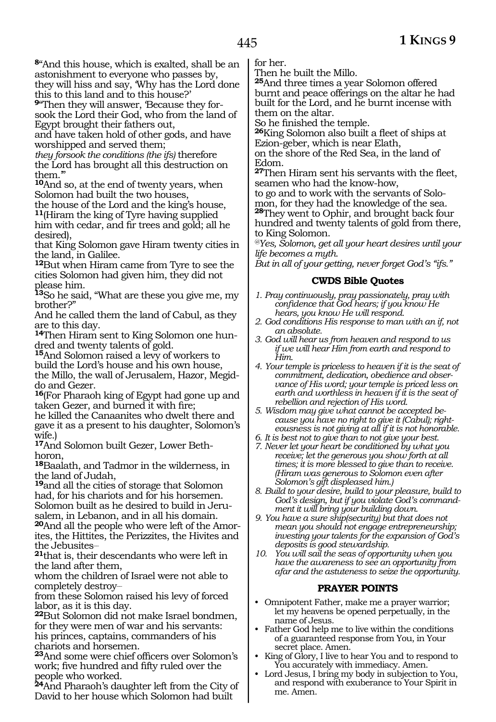**<sup>8</sup>**"And this house, which is exalted, shall be an astonishment to everyone who passes by, they will hiss and say, 'Why has the Lord done

this to this land and to this house?' **9**"Then they will answer, 'Because they forsook the Lord their God, who from the land of Egypt brought their fathers out,

and have taken hold of other gods, and have worshipped and served them;

*they forsook the conditions (the ifs)* therefore the Lord has brought all this destruction on them.'"

**<sup>10</sup>**And so, at the end of twenty years, when Solomon had built the two houses,

the house of the Lord and the king's house, **<sup>11</sup>**(Hiram the king of Tyre having supplied him with cedar, and fir trees and gold; all he desired),

that King Solomon gave Hiram twenty cities in the land, in Galilee.

**<sup>12</sup>**But when Hiram came from Tyre to see the cities Solomon had given him, they did not please him.

**<sup>13</sup>**So he said, "What are these you give me, my brother?"

And he called them the land of Cabul, as they are to this day.

**14**Then Hiram sent to King Solomon one hundred and twenty talents of gold.

**<sup>15</sup>**And Solomon raised a levy of workers to build the Lord's house and his own house,

the Millo, the wall of Jerusalem, Hazor, Megiddo and Gezer.

**<sup>16</sup>**(For Pharaoh king of Egypt had gone up and taken Gezer, and burned it with fire;

he killed the Canaanites who dwelt there and gave it as a present to his daughter, Solomon's wife.)

**17**And Solomon built Gezer, Lower Bethhoron,

**<sup>18</sup>**Baalath, and Tadmor in the wilderness, in the land of Judah,

**<sup>19</sup>**and all the cities of storage that Solomon had, for his chariots and for his horsemen. Solomon built as he desired to build in Jerusalem, in Lebanon, and in all his domain.

**20**And all the people who were left of the Amorites, the Hittites, the Perizzites, the Hivites and the Jebusites\_\_

**<sup>21</sup>**that is, their descendants who were left in the land after them,

whom the children of Israel were not able to completely destroy\_\_

from these Solomon raised his levy of forced labor, as it is this day.

**<sup>22</sup>**But Solomon did not make Israel bondmen, for they were men of war and his servants: his princes, captains, commanders of his chariots and horsemen.

**<sup>23</sup>**And some were chief officers over Solomon's work; five hundred and fifty ruled over the people who worked.

**<sup>24</sup>**And Pharaoh's daughter left from the City of David to her house which Solomon had built

for her.

Then he built the Millo.

**<sup>25</sup>**And three times a year Solomon offered burnt and peace offerings on the altar he had built for the Lord, and he burnt incense with them on the altar.

So he finished the temple.

**<sup>26</sup>**King Solomon also built a fleet of ships at Ezion-geber, which is near Elath,

on the shore of the Red Sea, in the land of Edom.

**<sup>27</sup>**Then Hiram sent his servants with the fleet, seamen who had the know-how,

to go and to work with the servants of Solomon, for they had the knowledge of the sea. **<sup>28</sup>**They went to Ophir, and brought back four hundred and twenty talents of gold from there, to King Solomon.

*@Yes, Solomon, get all your heart desires until your life becomes a myth.*

*But in all of your getting, never forget God's "ifs."*

### **CWDS Bible Quotes**

- *1. Pray continuously, pray passionately, pray with confidence that God hears; if you know He hears, you know He will respond.*
- *2. God conditions His response to man with an if, not an absolute.*
- *3. God will hear us from heaven and respond to us if we will hear Him from earth and respond to Him.*
- *4. Your temple is priceless to heaven if it is the seat of commitment, dedication, obedience and observance of His word; your temple is priced less on earth and worthless in heaven if it is the seat of rebellion and rejection of His word.*
- *5. Wisdom may give what cannot be accepted because you have no right to give it (Cabul); righteousness is not giving at all if it is not honorable.*
- *6. It is best not to give than to not give your best.*
- *7. Never let your heart be conditioned by what you receive; let the generous you show forth at all times; it is more blessed to give than to receive. (Hiram was generous to Solomon even after Solomon's gift displeased him.)*
- *8. Build to your desire, build to your pleasure, build to God's design, but if you violate God's commandment it will bring your building down.*
- *9. You have a sure ship(security) but that does not mean you should not engage entrepreneurship; investing your talents for the expansion of God's deposits is good stewardship.*
- *10. You will sail the seas of opportunity when you have the awareness to see an opportunity from afar and the astuteness to seize the opportunity.*

### **PRAYER POINTS**

- Omnipotent Father, make me a prayer warrior; let my heavens be opened perpetually, in the name of Jesus.
- Father God help me to live within the conditions of a guaranteed response from You, in Your secret place. Amen.
- King of Glory, I live to hear You and to respond to You accurately with immediacy. Amen.
- Lord Jesus, I bring my body in subjection to You, and respond with exuberance to Your Spirit in me. Amen.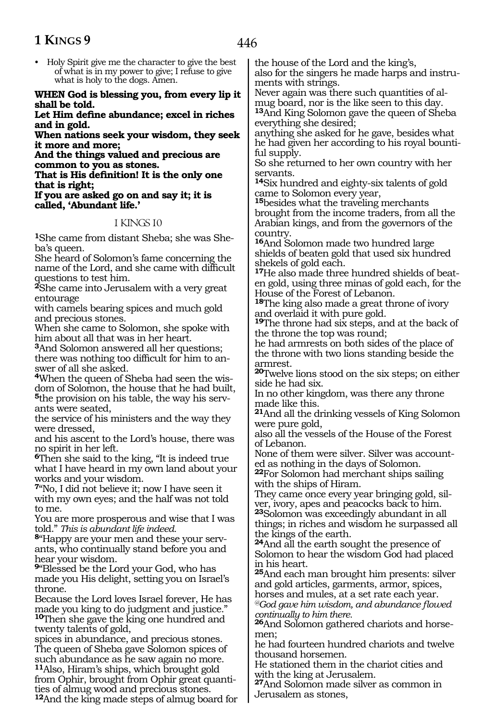• Holy Spirit give me the character to give the best of what is in my power to give; I refuse to give what is holy to the dogs. Amen.

#### **When God is blessing you, from every lip it shall be told.**

**Let Him define abundance; excel in riches and in gold.**

**When nations seek your wisdom, they seek it more and more;**

**And the things valued and precious are common to you as stones.**

**That is His definition! It is the only one that is right;**

#### **If you are asked go on and say it; it is called, 'Abundant life.'**

### 1 KINGS 10

**1**She came from distant Sheba; she was Sheba's queen.

She heard of Solomon's fame concerning the name of the Lord, and she came with difficult questions to test him.

**<sup>2</sup>**She came into Jerusalem with a very great entourage

with camels bearing spices and much gold and precious stones.

When she came to Solomon, she spoke with him about all that was in her heart.

**<sup>3</sup>**And Solomon answered all her questions; there was nothing too difficult for him to answer of all she asked.

**4**When the queen of Sheba had seen the wisdom of Solomon, the house that he had built,

**5**the provision on his table, the way his servants were seated,

the service of his ministers and the way they were dressed,

and his ascent to the Lord's house, there was no spirit in her left.

**<sup>6</sup>**Then she said to the king, "It is indeed true what I have heard in my own land about your works and your wisdom.

**<sup>7</sup>**"No, I did not believe it; now I have seen it with my own eyes; and the half was not told to me.

You are more prosperous and wise that I was

told." *This is abundant life indeed.* **8**"Happy are your men and these your servants, who continually stand before you and hear your wisdom.

**<sup>9</sup>**"Blessed be the Lord your God, who has made you His delight, setting you on Israel's throne.

Because the Lord loves Israel forever, He has made you king to do judgment and justice." **<sup>10</sup>**Then she gave the king one hundred and twenty talents of gold,

spices in abundance, and precious stones. The queen of Sheba gave Solomon spices of such abundance as he saw again no more. **<sup>11</sup>**Also, Hiram's ships, which brought gold from Ophir, brought from Ophir great quantities of almug wood and precious stones.

**<sup>12</sup>**And the king made steps of almug board for

the house of the Lord and the king's,

also for the singers he made harps and instruments with strings.

Never again was there such quantities of almug board, nor is the like seen to this day. **<sup>13</sup>**And King Solomon gave the queen of Sheba everything she desired;

anything she asked for he gave, besides what he had given her according to his royal bountiful supply.

So she returned to her own country with her servants.

**<sup>14</sup>**Six hundred and eighty-six talents of gold came to Solomon every year,

**<sup>15</sup>**besides what the traveling merchants brought from the income traders, from all the Arabian kings, and from the governors of the country.

**<sup>16</sup>**And Solomon made two hundred large shields of beaten gold that used six hundred shekels of gold each.

**17**He also made three hundred shields of beaten gold, using three minas of gold each, for the House of the Forest of Lebanon.

**<sup>18</sup>**The king also made a great throne of ivory and overlaid it with pure gold.

**<sup>19</sup>**The throne had six steps, and at the back of the throne the top was round;

he had armrests on both sides of the place of the throne with two lions standing beside the armrest.

**<sup>20</sup>**Twelve lions stood on the six steps; on either side he had six.

In no other kingdom, was there any throne made like this.

**<sup>21</sup>**And all the drinking vessels of King Solomon were pure gold,

also all the vessels of the House of the Forest of Lebanon.

None of them were silver. Silver was accounted as nothing in the days of Solomon.

**<sup>22</sup>**For Solomon had merchant ships sailing with the ships of Hiram.

They came once every year bringing gold, silver, ivory, apes and peacocks back to him. **<sup>23</sup>**Solomon was exceedingly abundant in all things; in riches and wisdom he surpassed all the kings of the earth.

**<sup>24</sup>**And all the earth sought the presence of Solomon to hear the wisdom God had placed in his heart.

**<sup>25</sup>**And each man brought him presents: silver and gold articles, garments, armor, spices,

horses and mules, at a set rate each year.

*@God gave him wisdom, and abundance flowed continually to him there.*

**26**And Solomon gathered chariots and horsemen;

he had fourteen hundred chariots and twelve thousand horsemen.

He stationed them in the chariot cities and with the king at Jerusalem.

**<sup>27</sup>**And Solomon made silver as common in Jerusalem as stones,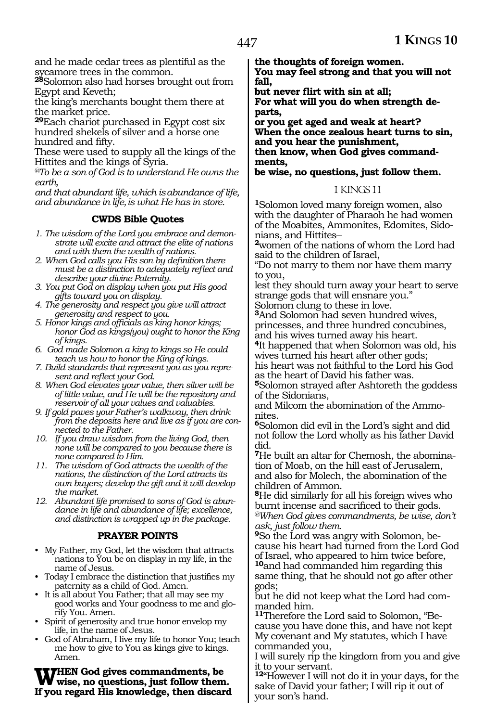and he made cedar trees as plentiful as the sycamore trees in the common.

**<sup>28</sup>**Solomon also had horses brought out from Egypt and Keveth;

the king's merchants bought them there at the market price.

**<sup>29</sup>**Each chariot purchased in Egypt cost six hundred shekels of silver and a horse one hundred and fifty.

These were used to supply all the kings of the Hittites and the kings of Syria.

*@To be a son of God is to understand He owns the earth,*

*and that abundant life, which isabundance of life, and abundance in life,is what He has in store.*

### **CWDS Bible Quotes**

- *1. The wisdom of the Lord you embrace and demonstrate will excite and attract the elite of nations and with them the wealth of nations.*
- *2. When God calls you His son by definition there must be a distinction to adequately reflect and describe your divine Paternity.*
- *3. You put God on display when you put His good gifts toward you on display.*
- *4. The generosity and respect you give will attract generosity and respect to you.*
- *5. Honor kings and officials as king honor kings; honor God as kings(you) ought to honor the King of kings.*
- *6. God made Solomon a king to kings so He could teach us how to honor the King of kings.*
- *7. Build standards that represent you as you represent and reflect your God.*
- *8. When God elevates your value, then silver will be of little value, and He will be the repository and reservoir of all your values and valuables.*
- *9. If gold paves your Father's walkway, then drink from the deposits here and live as if you are connected to the Father.*
- *10. If you draw wisdom from the living God, then none will be compared to you because there is none compared to Him.*
- *11. The wisdom of God attracts the wealth of the nations, the distinction of the Lord attracts its own buyers; develop the gift and it will develop the market.*
- *12. Abundant life promised to sons of God is abundance in life and abundance of life; excellence, and distinction is wrapped up in the package.*

### **PRAYER POINTS**

- My Father, my God, let the wisdom that attracts nations to You be on display in my life, in the name of Jesus.
- Today I embrace the distinction that justifies my paternity as a child of God. Amen.
- It is all about You Father; that all may see my good works and Your goodness to me and glorify You. Amen.
- Spirit of generosity and true honor envelop my life, in the name of Jesus.
- God of Abraham, I live my life to honor You; teach me how to give to You as kings give to kings. Amen.

**THEN God gives commandments, be wise, no questions, just follow them. If you regard His knowledge, then discard**  **the thoughts of foreign women.**

**You may feel strong and that you will not fall,** 

**but never flirt with sin at all; For what will you do when strength departs,** 

**or you get aged and weak at heart? When the once zealous heart turns to sin, and you hear the punishment,**

**then know, when God gives commandments,** 

**be wise, no questions, just follow them.**

#### 1 KINGS 11

**<sup>1</sup>**Solomon loved many foreign women, also with the daughter of Pharaoh he had women of the Moabites, Ammonites, Edomites, Sidonians, and Hittites\_\_

**<sup>2</sup>**women of the nations of whom the Lord had said to the children of Israel,

"Do not marry to them nor have them marry to you,

lest they should turn away your heart to serve strange gods that will ensnare you."

Solomon clung to these in love.

**<sup>3</sup>**And Solomon had seven hundred wives, princesses, and three hundred concubines, and his wives turned away his heart.

**<sup>4</sup>**It happened that when Solomon was old, his wives turned his heart after other gods;

his heart was not faithful to the Lord his God as the heart of David his father was.

**<sup>5</sup>**Solomon strayed after Ashtoreth the goddess of the Sidonians,

and Milcom the abomination of the Ammonites.

**<sup>6</sup>**Solomon did evil in the Lord's sight and did not follow the Lord wholly as his father David did.

**7**He built an altar for Chemosh, the abomination of Moab, on the hill east of Jerusalem, and also for Molech, the abomination of the children of Ammon.

**<sup>8</sup>**He did similarly for all his foreign wives who burnt incense and sacrificed to their gods. *@When God gives commandments, be wise, don't ask, just follow them.*

**9**So the Lord was angry with Solomon, because his heart had turned from the Lord God of Israel, who appeared to him twice before, **<sup>10</sup>**and had commanded him regarding this same thing, that he should not go after other gods;

but he did not keep what the Lord had com- manded him.

**11**Therefore the Lord said to Solomon, "Because you have done this, and have not kept My covenant and My statutes, which I have commanded you,

I will surely rip the kingdom from you and give it to your servant.

**<sup>12</sup>**"However I will not do it in your days, for the sake of David your father; I will rip it out of your son's hand.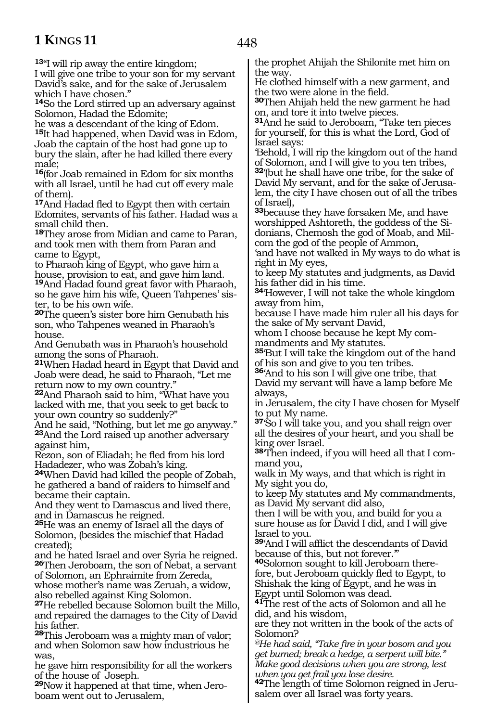**<sup>13</sup>**"I will rip away the entire kingdom;

I will give one tribe to your son for my servant David's sake, and for the sake of Jerusalem which I have chosen."

**<sup>14</sup>**So the Lord stirred up an adversary against Solomon, Hadad the Edomite;

he was a descendant of the king of Edom. **<sup>15</sup>**It had happened, when David was in Edom, Joab the captain of the host had gone up to bury the slain, after he had killed there every male;

**<sup>16</sup>**(for Joab remained in Edom for six months with all Israel, until he had cut off every male of them).

**<sup>17</sup>**And Hadad fled to Egypt then with certain Edomites, servants of his father. Hadad was a small child then.

**<sup>18</sup>**They arose from Midian and came to Paran, and took men with them from Paran and came to Egypt,

to Pharaoh king of Egypt, who gave him a house, provision to eat, and gave him land. **<sup>19</sup>**And Hadad found great favor with Pharaoh, so he gave him his wife, Queen Tahpenes' sister, to be his own wife.

**<sup>20</sup>**The queen's sister bore him Genubath his son, who Tahpenes weaned in Pharaoh's house.

And Genubath was in Pharaoh's household among the sons of Pharaoh.

**<sup>21</sup>**When Hadad heard in Egypt that David and Joab were dead, he said to Pharaoh, "Let me return now to my own country."

**<sup>22</sup>**And Pharaoh said to him, "What have you lacked with me, that you seek to get back to your own country so suddenly?"

And he said, "Nothing, but let me go anyway." **<sup>23</sup>**And the Lord raised up another adversary against him,

Rezon, son of Eliadah; he fled from his lord Hadadezer, who was Zobah's king.

**<sup>24</sup>**When David had killed the people of Zobah, he gathered a band of raiders to himself and became their captain.

And they went to Damascus and lived there, and in Damascus he reigned.

**<sup>25</sup>**He was an enemy of Israel all the days of Solomon, (besides the mischief that Hadad created);

and he hated Israel and over Syria he reigned. **<sup>26</sup>**Then Jeroboam, the son of Nebat, a servant of Solomon, an Ephraimite from Zereda, whose mother's name was Zeruah, a widow,

also rebelled against King Solomon. **<sup>27</sup>**He rebelled because Solomon built the Millo, and repaired the damages to the City of David his father.

**<sup>28</sup>**This Jeroboam was a mighty man of valor; and when Solomon saw how industrious he was,

he gave him responsibility for all the workers of the house of Joseph.

**29**Now it happened at that time, when Jeroboam went out to Jerusalem,

the prophet Ahijah the Shilonite met him on the way.

He clothed himself with a new garment, and the two were alone in the field.

**<sup>30</sup>**Then Ahijah held the new garment he had on, and tore it into twelve pieces.

**<sup>31</sup>**And he said to Jeroboam, "Take ten pieces for yourself, for this is what the Lord, God of Israel says:

'Behold, I will rip the kingdom out of the hand of Solomon, and I will give to you ten tribes,

**<sup>32</sup>**'(but he shall have one tribe, for the sake of David My servant, and for the sake of Jerusalem, the city I have chosen out of all the tribes of Israel),

**<sup>33</sup>**because they have forsaken Me, and have worshipped Ashtoreth, the goddess of the Sidonians, Chemosh the god of Moab, and Milcom the god of the people of Ammon,

'and have not walked in My ways to do what is right in My eyes,

to keep My statutes and judgments, as David his father did in his time.

**<sup>34</sup>**'However, I will not take the whole kingdom away from him,

because I have made him ruler all his days for the sake of My servant David,

whom I choose because he kept My commandments and My statutes.

**<sup>35</sup>**'But I will take the kingdom out of the hand of his son and give to you ten tribes.

**<sup>36</sup>**'And to his son I will give one tribe, that David my servant will have a lamp before Me always,

in Jerusalem, the city I have chosen for Myself to put My name.

**<sup>37</sup>**'So I will take you, and you shall reign over all the desires of your heart, and you shall be king over Israel.

**<sup>38</sup>**'Then indeed, if you will heed all that I com- mand you,

walk in My ways, and that which is right in My sight you do,

to keep My statutes and My commandments, as David My servant did also,

then I will be with you, and build for you a sure house as for David I did, and I will give Israel to you.

**<sup>39</sup>**'And I will afflict the descendants of David

because of this, but not forever."<br>**40**Solomon sought to kill Jeroboam therefore, but Jeroboam quickly fled to Egypt, to Shishak the king of Egypt, and he was in Egypt until Solomon was dead.

**<sup>41</sup>**The rest of the acts of Solomon and all he did, and his wisdom,

are they not written in the book of the acts of Solomon?

*@He had said, "Take fire in your bosom and you get burned; break a hedge, a serpent will bite." Make good decisions when you are strong, lest when you get frail you lose desire.*

**<sup>42</sup>**The length of time Solomon reigned in Jeru- salem over all Israel was forty years.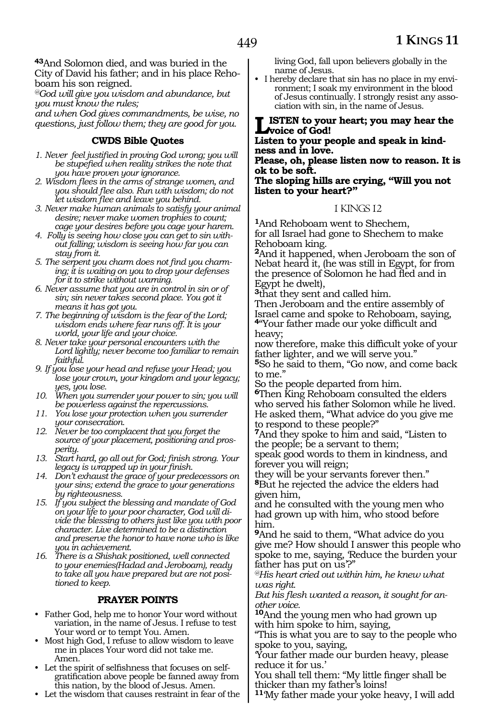**<sup>43</sup>**And Solomon died, and was buried in the City of David his father; and in his place Rehoboam his son reigned.

*@God will give you wisdom and abundance, but you must know the rules;*

*and when God gives commandments, be wise, no questions, just follow them; they are good for you.*

### **CWDS Bible Quotes**

- *1. Never feel justified in proving God wrong; you will be stupefied when reality strikes the note that you have proven your ignorance.*
- *2. Wisdom flees in the arms of strange women, and you should flee also. Run with wisdom; do not let wisdom flee and leave you behind.*
- *3. Never make human animals to satisfy your animal desire; never make women trophies to count; cage your desires before you cage your harem.*
- *4. Folly is seeing how close you can get to sin without falling; wisdom is seeing how far you can stay from it.*
- *5. The serpent you charm does not find you charming; it is waiting on you to drop your defenses for it to strike without warning.*
- *6. Never assume that you are in control in sin or of sin; sin never takes second place. You got it means it has got you.*
- *7. The beginning of wisdom is the fear of the Lord; wisdom ends where fear runs off. It is your world, your life and your choice.*
- *8. Never take your personal encounters with the Lord lightly; never become too familiar to remain faithful.*
- *9. If you lose your head and refuse your Head; you lose your crown, your kingdom and your legacy; yes, you lose.*
- *10. When you surrender your power to sin; you will be powerless against the repercussions.*
- *11. You lose your protection when you surrender your consecration.*
- *12. Never be too complacent that you forget the source of your placement, positioning and prosperity.*
- *13. Start hard, go all out for God; finish strong. Your legacy is wrapped up in your finish.*
- *14. Don't exhaust the grace of your predecessors on your sins; extend the grace to your generations by righteousness.*
- *15. If you subject the blessing and mandate of God on your life to your poor character, God will divide the blessing to others just like you with poor character. Live determined to be a distinction and preserve the honor to have none who is like you in achievement.*
- *16. There is a Shishak positioned, well connected to your enemies(Hadad and Jeroboam), ready to take all you have prepared but are not positioned to keep.*

### **PRAYER POINTS**

- Father God, help me to honor Your word without variation, in the name of Jesus. I refuse to test Your word or to tempt You. Amen.
- Most high God, I refuse to allow wisdom to leave me in places Your word did not take me. Amen.
- Let the spirit of selfishness that focuses on selfgratification above people be fanned away from this nation, by the blood of Jesus. Amen.
- Let the wisdom that causes restraint in fear of the

living God, fall upon believers globally in the name of Jesus.

• I hereby declare that sin has no place in my environment; I soak my environment in the blood of Jesus continually. I strongly resist any association with sin, in the name of Jesus.

#### **LISTEN** to your heart; you may hear the **voice of God!**

#### **Listen to your people and speak in kindness and in love.**

**Please, oh, please listen now to reason. It is ok to be soft.**

**The sloping hills are crying, "Will you not listen to your heart?"**

### 1 KINGS 12

**<sup>1</sup>**And Rehoboam went to Shechem, for all Israel had gone to Shechem to make Rehoboam king.

**<sup>2</sup>**And it happened, when Jeroboam the son of Nebat heard it, (he was still in Egypt, for from the presence of Solomon he had fled and in Egypt he dwelt),

**<sup>3</sup>**that they sent and called him.

Then Jeroboam and the entire assembly of Israel came and spoke to Rehoboam, saying, **<sup>4</sup>**"Your father made our yoke difficult and heavy;

now therefore, make this difficult yoke of your father lighter, and we will serve you."

**<sup>5</sup>**So he said to them, "Go now, and come back to me."

So the people departed from him.

**<sup>6</sup>**Then King Rehoboam consulted the elders who served his father Solomon while he lived. He asked them, "What advice do you give me to respond to these people?"

**<sup>7</sup>**And they spoke to him and said, "Listen to the people; be a servant to them;

speak good words to them in kindness, and forever you will reign;

they will be your servants forever then." **<sup>8</sup>**But he rejected the advice the elders had given him,

and he consulted with the young men who had grown up with him, who stood before him.

**<sup>9</sup>**And he said to them, "What advice do you give me? How should I answer this people who spoke to me, saying, 'Reduce the burden your father has put on us'?"

*@His heart cried out within him, he knew what was right.*

*But his flesh wanted a reason, it sought for another voice.*

**<sup>10</sup>**And the young men who had grown up with him spoke to him, saying,

"This is what you are to say to the people who spoke to you, saying,

'Your father made our burden heavy, please reduce it for us.'

You shall tell them: "My little finger shall be thicker than my father's loins!

**<sup>11</sup>**'My father made your yoke heavy, I will add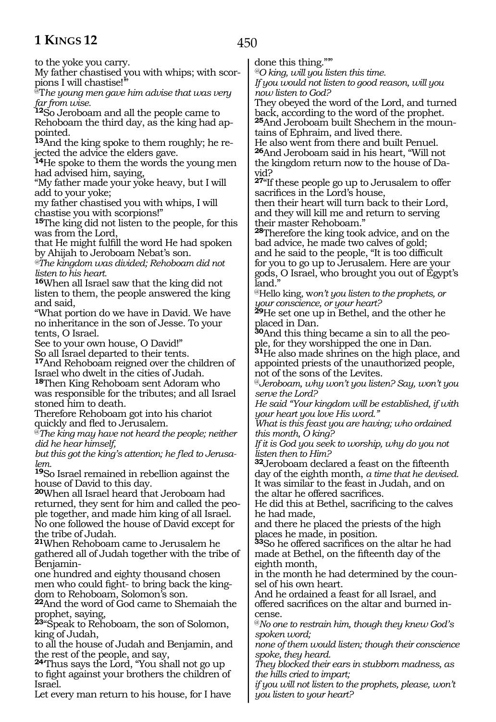450

to the yoke you carry.

My father chastised you with whips; with scor- pions I will chastise!'"

@T*he young men gave him advise that was very far from wise.* 

**<sup>12</sup>**So Jeroboam and all the people came to Rehoboam the third day, as the king had ap- pointed.

**13**And the king spoke to them roughly; he re-<br>jected the advice the elders gave.

**<sup>14</sup>**He spoke to them the words the young men had advised him, saying,

"My father made your yoke heavy, but I will add to your yoke;

my father chastised you with whips, I will chastise you with scorpions!"

**<sup>15</sup>**The king did not listen to the people, for this was from the Lord,

that He might fulfill the word He had spoken by Ahijah to Jeroboam Nebat's son.

*@The kingdom was divided; Rehoboam did not listen to his heart.* 

**<sup>16</sup>**When all Israel saw that the king did not listen to them, the people answered the king and said,

"What portion do we have in David. We have no inheritance in the son of Jesse. To your tents, O Israel.

See to your own house, O David!"

So all Israel departed to their tents.

**<sup>17</sup>**And Rehoboam reigned over the children of Israel who dwelt in the cities of Judah.

**<sup>18</sup>**Then King Rehoboam sent Adoram who was responsible for the tributes; and all Israel stoned him to death.

Therefore Rehoboam got into his chariot quickly and fled to Jerusalem.

@*The king may have not heard the people; neither did he hear himself,* 

*but this got the king's attention; he fled to Jerusalem.* 

**<sup>19</sup>**So Israel remained in rebellion against the house of David to this day.

**<sup>20</sup>**When all Israel heard that Jeroboam had returned, they sent for him and called the people together, and made him king of all Israel. No one followed the house of David except for the tribe of Judah.

**<sup>21</sup>**When Rehoboam came to Jerusalem he gathered all of Judah together with the tribe of Benjamin-

one hundred and eighty thousand chosen men who could fight- to bring back the king- dom to Rehoboam, Solomon's son.

**<sup>22</sup>**And the word of God came to Shemaiah the prophet, saying,

**<sup>23</sup>**"Speak to Rehoboam, the son of Solomon, king of Judah,

to all the house of Judah and Benjamin, and the rest of the people, and say,

**<sup>24</sup>**'Thus says the Lord, "You shall not go up to fight against your brothers the children of Israel.

Let every man return to his house, for I have

done this thing.""

*@O king, will you listen this time. If you would not listen to good reason, will you now listen to God?* 

They obeyed the word of the Lord, and turned back, according to the word of the prophet. **<sup>25</sup>**And Jeroboam built Shechem in the moun- tains of Ephraim, and lived there.

He also went from there and built Penuel.

**<sup>26</sup>**And Jeroboam said in his heart, "Will not the kingdom return now to the house of Da- vid?

**<sup>27</sup>**"If these people go up to Jerusalem to offer sacrifices in the Lord's house,

then their heart will turn back to their Lord, and they will kill me and return to serving their master Rehoboam."

**<sup>28</sup>**Therefore the king took advice, and on the bad advice, he made two calves of gold; and he said to the people, "It is too difficult for you to go up to Jerusalem. Here are your gods, O Israel, who brought you out of Egypt's land."

@Hello king, w*on't you listen to the prophets, or your conscience, or your heart?* 

**<sup>29</sup>**He set one up in Bethel, and the other he placed in Dan.

**30**And this thing became a sin to all the people, for they worshipped the one in Dan.

**<sup>31</sup>**He also made shrines on the high place, and appointed priests of the unauthorized people, not of the sons of the Levites.

@*Jeroboam, why won't you listen? Say, won't you serve the Lord?*

*He said "Your kingdom will be established, if with your heart you love His word."* 

*What is this feast you are having; who ordained this month, O king?* 

*If it is God you seek to worship, why do you not listen then to Him?* 

**<sup>32</sup>**Jeroboam declared a feast on the fifteenth day of the eighth month, *a time that he devised.*  It was similar to the feast in Judah, and on the altar he offered sacrifices.

He did this at Bethel, sacrificing to the calves he had made,

and there he placed the priests of the high places he made, in position.

**<sup>33</sup>**So he offered sacrifices on the altar he had made at Bethel, on the fifteenth day of the eighth month,

in the month he had determined by the coun- sel of his own heart.

And he ordained a feast for all Israel, and offered sacrifices on the altar and burned in- cense.

@*No one to restrain him, though they knew God's spoken word;* 

*none of them would listen; though their conscience spoke, they heard.* 

*They blocked their ears in stubborn madness, as the hills cried to impart;*

*if you will not listen to the prophets, please, won't you listen to your heart?*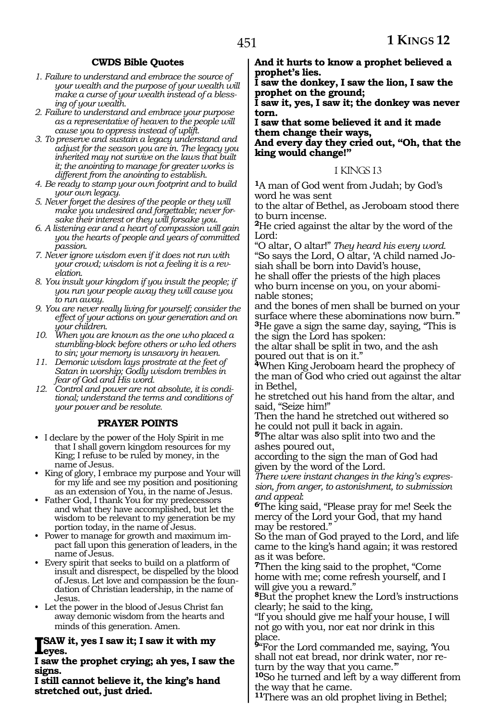### **CWDS Bible Quotes**

- *1. Failure to understand and embrace the source of your wealth and the purpose of your wealth will make a curse of your wealth instead of a blessing of your wealth.*
- *2. Failure to understand and embrace your purpose as a representative of heaven to the people will cause you to oppress instead of uplift.*
- *3. To preserve and sustain a legacy understand and adjust for the season you are in. The legacy you inherited may not survive on the laws that built it; the anointing to manage for greater works is different from the anointing to establish.*
- *4. Be ready to stamp your own footprint and to build your own legacy.*
- *5. Never forget the desires of the people or they will make you undesired and forgettable; never forsake their interest or they will forsake you.*
- *6. A listening ear and a heart of compassion will gain you the hearts of people and years of committed passion.*
- *7. Never ignore wisdom even if it does not run with your crowd; wisdom is not a feeling it is a revelation.*
- *8. You insult your kingdom if you insult the people; if you run your people away they will cause you to run away.*
- *9. You are never really living for yourself; consider the effect of your actions on your generation and on your children.*
- *10. When you are known as the one who placed a stumbling-block before others or who led others to sin; your memory is unsavory in heaven.*
- *11. Demonic wisdom lays prostrate at the feet of Satan in worship; Godly wisdom trembles in fear of God and His word.*
- *12. Control and power are not absolute, it is conditional; understand the terms and conditions of your power and be resolute.*

### **PRAYER POINTS**

- I declare by the power of the Holy Spirit in me that I shall govern kingdom resources for my King; I refuse to be ruled by money, in the name of Jesus.
- King of glory, I embrace my purpose and Your will for my life and see my position and positioning as an extension of You, in the name of Jesus.
- Father God, I thank You for my predecessors and what they have accomplished, but let the wisdom to be relevant to my generation be my portion today, in the name of Jesus.
- Power to manage for growth and maximum impact fall upon this generation of leaders, in the name of Jesus.
- Every spirit that seeks to build on a platform of insult and disrespect, be dispelled by the blood of Jesus. Let love and compassion be the foundation of Christian leadership, in the name of Jesus.
- Let the power in the blood of Jesus Christ fan away demonic wisdom from the hearts and minds of this generation. Amen.

### **ISAW it, yes I saw it; I saw it with my eyes.**

**I saw the prophet crying; ah yes, I saw the signs.** 

**I still cannot believe it, the king's hand stretched out, just dried.** 

**And it hurts to know a prophet believed a prophet's lies.** 

**I saw the donkey, I saw the lion, I saw the prophet on the ground;** 

**I saw it, yes, I saw it; the donkey was never torn.** 

**I saw that some believed it and it made them change their ways, And every day they cried out, "Oh, that the king would change!"** 

#### 1 KINGS 13

**<sup>1</sup>**A man of God went from Judah; by God's word he was sent

to the altar of Bethel, as Jeroboam stood there to burn incense.

**<sup>2</sup>**He cried against the altar by the word of the Lord:

"O altar, O altar!" *They heard his every word.* "So says the Lord, O altar, 'A child named Josiah shall be born into David's house, he shall offer the priests of the high places who burn incense on you, on your abominable stones;

and the bones of men shall be burned on your surface where these abominations now burn." **<sup>3</sup>**He gave a sign the same day, saying, "This is the sign the Lord has spoken:

the altar shall be split in two, and the ash poured out that is on it."

**<sup>4</sup>**When King Jeroboam heard the prophecy of the man of God who cried out against the altar in Bethel,

he stretched out his hand from the altar, and said, "Seize him!"

Then the hand he stretched out withered so he could not pull it back in again.

**<sup>5</sup>**The altar was also split into two and the ashes poured out,

according to the sign the man of God had given by the word of the Lord.

*There were instant changes in the king's expression, from anger, to astonishment, to submission* 

*and appeal*: **6**The king said, "Please pray for me! Seek the mercy of the Lord your God, that my hand may be restored."

So the man of God prayed to the Lord, and life came to the king's hand again; it was restored as it was before.

**<sup>7</sup>**Then the king said to the prophet, "Come home with me; come refresh yourself, and I will give you a reward."

**<sup>8</sup>**But the prophet knew the Lord's instructions clearly; he said to the king,

"If you should give me half your house, I will not go with you, nor eat nor drink in this place.

**<sup>9</sup>**"For the Lord commanded me, saying, 'You shall not eat bread, nor drink water, nor return by the way that you came."

**<sup>10</sup>**So he turned and left by a way different from the way that he came.

**<sup>11</sup>**There was an old prophet living in Bethel;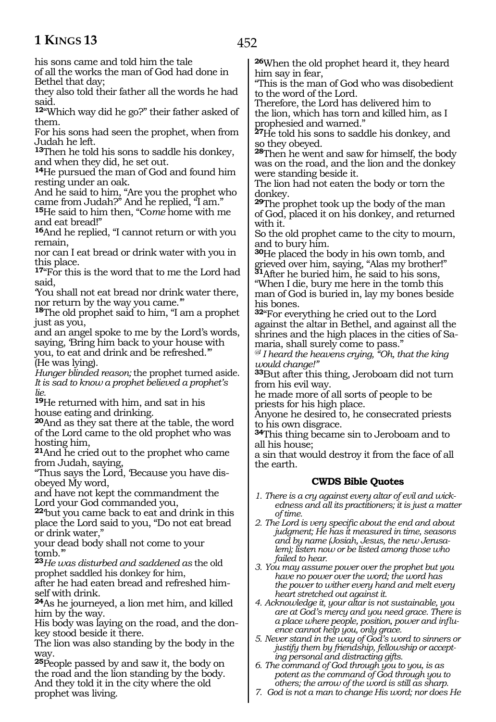452

his sons came and told him the tale

of all the works the man of God had done in Bethel that day;

they also told their father all the words he had said.

**<sup>12</sup>**"Which way did he go?" their father asked of them.

For his sons had seen the prophet, when from Judah he left.

**<sup>13</sup>**Then he told his sons to saddle his donkey, and when they did, he set out.

**<sup>14</sup>**He pursued the man of God and found him resting under an oak.

And he said to him, "Are you the prophet who came from Judah?" And he replied, "I am."

**<sup>15</sup>**He said to him then, "Co*me* home with me and eat bread!"

**<sup>16</sup>**And he replied, "I cannot return or with you remain,

nor can I eat bread or drink water with you in this place.

17<sup>"</sup>For this is the word that to me the Lord had said,

'You shall not eat bread nor drink water there, nor return by the way you came.'"

**<sup>18</sup>**The old prophet said to him, "I am a prophet just as you,

and an angel spoke to me by the Lord's words, saying, 'Bring him back to your house with

you, to eat and drink and be refreshed.'" (He was lying).

*Hunger blinded reason;* the prophet turned aside. *It is sad to know a prophet believed a prophet's lie.* 

**<sup>19</sup>**He returned with him, and sat in his house eating and drinking.

**<sup>20</sup>**And as they sat there at the table, the word of the Lord came to the old prophet who was hosting him,

**<sup>21</sup>**And he cried out to the prophet who came from Judah, saying,

"Thus says the Lord, 'Because you have disobeyed My word,

and have not kept the commandment the Lord your God commanded you,

**<sup>22</sup>**'but you came back to eat and drink in this place the Lord said to you, "Do not eat bread or drink water,"

your dead body shall not come to your tomb.'"

**<sup>23</sup>***He was disturbed and saddened as* the old prophet saddled his donkey for him,

after he had eaten bread and refreshed himself with drink.

**<sup>24</sup>**As he journeyed, a lion met him, and killed him by the way.

His body was laying on the road, and the donkey stood beside it there.

The lion was also standing by the body in the way.

**<sup>25</sup>**People passed by and saw it, the body on the road and the lion standing by the body. And they told it in the city where the old prophet was living.

**<sup>26</sup>**When the old prophet heard it, they heard him say in fear,

"This is the man of God who was disobedient to the word of the Lord.

Therefore, the Lord has delivered him to the lion, which has torn and killed him, as I prophesied and warned."

**<sup>27</sup>**He told his sons to saddle his donkey, and so they obeyed.

**<sup>28</sup>**Then he went and saw for himself, the body was on the road, and the lion and the donkey were standing beside it.

The lion had not eaten the body or torn the donkey.

**<sup>29</sup>**The prophet took up the body of the man of God, placed it on his donkey, and returned with it.

So the old prophet came to the city to mourn, and to bury him.

**<sup>30</sup>**He placed the body in his own tomb, and grieved over him, saying, "Alas my brother!" **<sup>31</sup>**After he buried him, he said to his sons,

"When I die, bury me here in the tomb this man of God is buried in, lay my bones beside his bones.

**<sup>32</sup>**"For everything he cried out to the Lord against the altar in Bethel, and against all the shrines and the high places in the cities of Samaria, shall surely come to pass."

*@I I heard the heavens crying, "Oh, that the king would change!"* 

**<sup>33</sup>**But after this thing, Jeroboam did not turn from his evil way.

he made more of all sorts of people to be priests for his high place.

Anyone he desired to, he consecrated priests to his own disgrace.

**<sup>34</sup>**This thing became sin to Jeroboam and to all his house;

a sin that would destroy it from the face of all the earth.

### **CWDS Bible Quotes**

- *1. There is a cry against every altar of evil and wickedness and all its practitioners; it is just a matter of time.*
- *2. The Lord is very specific about the end and about judgment; He has it measured in time, seasons and by name (Josiah, Jesus, the new Jerusalem); listen now or be listed among those who failed to hear.*
- *3. You may assume power over the prophet but you have no power over the word; the word has the power to wither every hand and melt every heart stretched out against it.*
- *4. Acknowledge it, your altar is not sustainable, you are at God's mercy and you need grace. There is a place where people, position, power and influence cannot help you, only grace.*
- *5. Never stand in the way of God's word to sinners or justify them by friendship, fellowship or accepting personal and distracting gifts.*
- *6. The command of God through you to you, is as potent as the command of God through you to others; the arrow of the word is still as sharp.*
- *7. God is not a man to change His word; nor does He*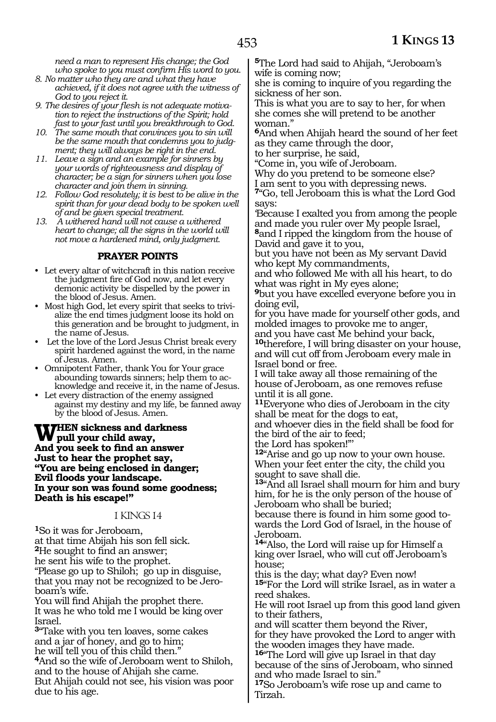*need a man to represent His change; the God who spoke to you must confirm His word to you.* 

- *8. No matter who they are and what they have achieved, if it does not agree with the witness of God to you reject it.*
- *9. The desires of your flesh is not adequate motivation to reject the instructions of the Spirit; hold fast to your fast until you breakthrough to God.*
- *10. The same mouth that convinces you to sin will be the same mouth that condemns you to judgment; they will always be right in the end.*
- *11. Leave a sign and an example for sinners by your words of righteousness and display of character; be a sign for sinners when you lose character and join them in sinning.*
- *12. Follow God resolutely; it is best to be alive in the spirit than for your dead body to be spoken well of and be given special treatment.*
- *13. A withered hand will not cause a withered heart to change; all the signs in the world will not move a hardened mind, only judgment.*

### **PRAYER POINTS**

- Let every altar of witchcraft in this nation receive the judgment fire of God now, and let every demonic activity be dispelled by the power in the blood of Jesus. Amen.
- Most high God, let every spirit that seeks to trivialize the end times judgment loose its hold on this generation and be brought to judgment, in the name of Jesus.
- Let the love of the Lord Jesus Christ break every spirit hardened against the word, in the name of Jesus. Amen.
- Omnipotent Father, thank You for Your grace abounding towards sinners; help them to acknowledge and receive it, in the name of Jesus.
- Let every distraction of the enemy assigned against my destiny and my life, be fanned away by the blood of Jesus. Amen.

**When sickness and darkness pull your child away, And you seek to find an answer Just to hear the prophet say, "You are being enclosed in danger; Evil floods your landscape. In your son was found some goodness; Death is his escape!"**

#### 1 KINGS 14

**<sup>1</sup>**So it was for Jeroboam, at that time Abijah his son fell sick. **<sup>2</sup>**He sought to find an answer; he sent his wife to the prophet. "Please go up to Shiloh; go up in disguise, that you may not be recognized to be Jeroboam's wife.

You will find Ahijah the prophet there. It was he who told me I would be king over Israel.

**<sup>3</sup>**"Take with you ten loaves, some cakes and a jar of honey, and go to him; he will tell you of this child then." **<sup>4</sup>**And so the wife of Jeroboam went to Shiloh,

and to the house of Ahijah she came. But Ahijah could not see, his vision was poor due to his age.

**<sup>5</sup>**The Lord had said to Ahijah, "Jeroboam's wife is coming now;

she is coming to inquire of you regarding the sickness of her son.

This is what you are to say to her, for when she comes she will pretend to be another woman."

**<sup>6</sup>**And when Ahijah heard the sound of her feet as they came through the door,

to her surprise, he said,

"Come in, you wife of Jeroboam.

Why do you pretend to be someone else?

I am sent to you with depressing news.

**<sup>7</sup>**"Go, tell Jeroboam this is what the Lord God says:

'Because I exalted you from among the people and made you ruler over My people Israel, **<sup>8</sup>**and I ripped the kingdom from the house of David and gave it to you,

but you have not been as My servant David who kept My commandments,

and who followed Me with all his heart, to do what was right in My eyes alone;

**<sup>9</sup>**but you have excelled everyone before you in doing evil,

for you have made for yourself other gods, and molded images to provoke me to anger,

and you have cast Me behind your back, **<sup>10</sup>**therefore, I will bring disaster on your house, and will cut off from Jeroboam every male in Israel bond or free.

I will take away all those remaining of the house of Jeroboam, as one removes refuse until it is all gone.

**<sup>11</sup>**Everyone who dies of Jeroboam in the city shall be meat for the dogs to eat,

and whoever dies in the field shall be food for the bird of the air to feed;

the Lord has spoken!"'

**<sup>12</sup>**"Arise and go up now to your own house. When your feet enter the city, the child you sought to save shall die.

**<sup>13</sup>**"And all Israel shall mourn for him and bury him, for he is the only person of the house of Jeroboam who shall be buried;

because there is found in him some good towards the Lord God of Israel, in the house of Jeroboam.

**<sup>14</sup>**"Also, the Lord will raise up for Himself a king over Israel, who will cut off Jeroboam's house;

this is the day; what day? Even now! **<sup>15</sup>**"For the Lord will strike Israel, as in water a reed shakes.

He will root Israel up from this good land given to their fathers,

and will scatter them beyond the River, for they have provoked the Lord to anger with the wooden images they have made.

**<sup>16</sup>**"The Lord will give up Israel in that day because of the sins of Jeroboam, who sinned and who made Israel to sin."

**<sup>17</sup>**So Jeroboam's wife rose up and came to Tirzah.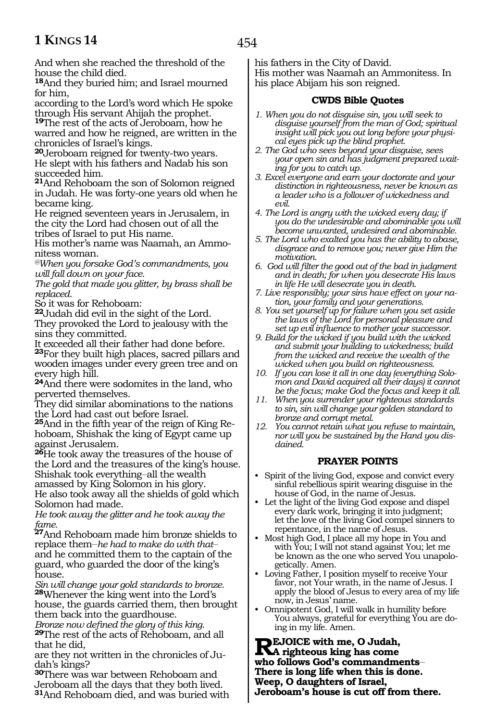454

And when she reached the threshold of the house the child died.

**<sup>18</sup>**And they buried him; and Israel mourned for him,

according to the Lord's word which He spoke through His servant Ahijah the prophet.

**<sup>19</sup>**The rest of the acts of Jeroboam, how he warred and how he reigned, are written in the chronicles of Israel's kings.

**<sup>20</sup>**Jeroboam reigned for twenty-two years. He slept with his fathers and Nadab his son succeeded him.

**<sup>21</sup>**And Rehoboam the son of Solomon reigned in Judah. He was forty-one years old when he became king.

He reigned seventeen years in Jerusalem, in the city the Lord had chosen out of all the tribes of Israel to put His name.

His mother's name was Naamah, an Ammonitess woman.

*@When you forsake God's commandments, you will fall down on your face.* 

*The gold that made you glitter, by brass shall be replaced.*

So it was for Rehoboam:

**<sup>22</sup>**Judah did evil in the sight of the Lord. They provoked the Lord to jealousy with the sins they committed.

It exceeded all their father had done before. **<sup>23</sup>**For they built high places, sacred pillars and wooden images under every green tree and on every high hill.

**<sup>24</sup>**And there were sodomites in the land, who perverted themselves.

They did similar abominations to the nations the Lord had cast out before Israel.

**25**And in the fifth year of the reign of King Rehoboam, Shishak the king of Egypt came up against Jerusalem.

**<sup>26</sup>**He took away the treasures of the house of the Lord and the treasures of the king's house. Shishak took everything-all the wealth

amassed by King Solomon in his glory. He also took away all the shields of gold which Solomon had made.

*He took away the glitter and he took away the fame.*

**<sup>27</sup>**And Rehoboam made him bronze shields to replace them\_\_*he had to make do with that*\_\_ and he committed them to the captain of the guard, who guarded the door of the king's house.

*Sin will change your gold standards to bronze.* **<sup>28</sup>**Whenever the king went into the Lord's house, the guards carried them, then brought them back into the guardhouse.

*Bronze now defined the glory of this king.* **<sup>29</sup>**The rest of the acts of Rehoboam, and all that he did,

are they not written in the chronicles of Ju- dah's kings?

**<sup>30</sup>**There was war between Rehoboam and Jeroboam all the days that they both lived. **<sup>31</sup>**And Rehoboam died, and was buried with his fathers in the City of David. His mother was Naamah an Ammonitess. In his place Abijam his son reigned.

### **CWDS Bible Quotes**

- *1. When you do not disguise sin, you will seek to disguise yourself from the man of God; spiritual insight will pick you out long before your physical eyes pick up the blind prophet.*
- *2. The God who sees beyond your disguise, sees your open sin and has judgment prepared waiting for you to catch up.*
- *3. Excel everyone and earn your doctorate and your distinction in righteousness, never be known as a leader who is a follower of wickedness and evil.*
- *4. The Lord is angry with the wicked every day; if you do the undesirable and abominable you will become unwanted, undesired and abominable.*
- *5. The Lord who exalted you has the ability to abase, disgrace and to remove you; never give Him the motivation.*
- *6. God will filter the good out of the bad in judgment and in death; for when you desecrate His laws in life He will desecrate you in death.*
- *7. Live responsibly; your sins have effect on your nation, your family and your generations.*
- *8. You set yourself up for failure when you set aside the laws of the Lord for personal pleasure and set up evil influence to mother your successor.*
- *9. Build for the wicked if you build with the wicked and submit your building to wickedness; build from the wicked and receive the wealth of the wicked when you build on righteousness.*
- *10. If you can lose it all in one day (everything Solomon and David acquired all their days) it cannot be the focus; make God the focus and keep it all.*
- *11. When you surrender your righteous standards to sin, sin will change your golden standard to bronze and corrupt metal.*
- *12. You cannot retain what you refuse to maintain, nor will you be sustained by the Hand you disdained.*

### **PRAYER POINTS**

- Spirit of the living God, expose and convict every sinful rebellious spirit wearing disguise in the house of God, in the name of Jesus.
- Let the light of the living God expose and dispel every dark work, bringing it into judgment; let the love of the living God compel sinners to repentance, in the name of Jesus.
- Most high God, I place all my hope in You and with You; I will not stand against You; let me be known as the one who served You unapologetically. Amen.
- Loving Father, I position myself to receive Your favor, not Your wrath, in the name of Jesus. I apply the blood of Jesus to every area of my life now, in Jesus' name.
- Omnipotent God, I will walk in humility before You always, grateful for everything You are doing in my life. Amen.

**Rejoice with me, O Judah, A righteous king has come who follows God's commandments\_\_ There is long life when this is done. Weep, O daughters of Israel, Jeroboam's house is cut off from there.**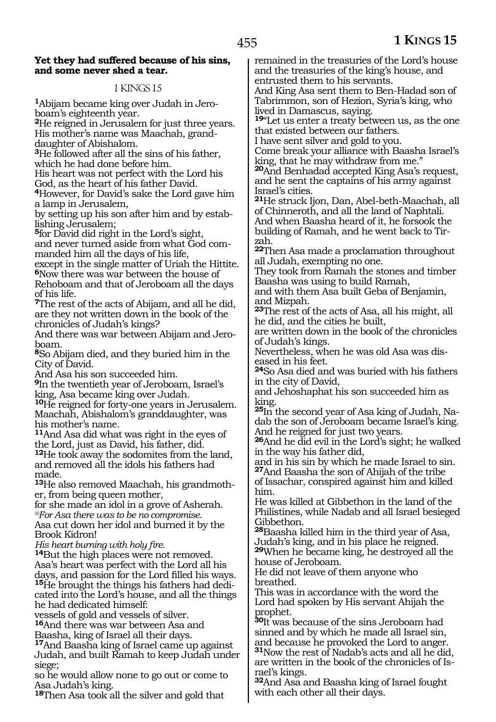#### **Yet they had suffered because of his sins, and some never shed a tear.**

### 1 KINGS 15

**1**Abijam became king over Judah in Jeroboam's eighteenth year.

**<sup>2</sup>**He reigned in Jerusalem for just three years. His mother's name was Maachah, granddaughter of Abishalom.

**<sup>3</sup>**He followed after all the sins of his father, which he had done before him.

His heart was not perfect with the Lord his God, as the heart of his father David.

**<sup>4</sup>**However, for David's sake the Lord gave him a lamp in Jerusalem,

by setting up his son after him and by establishing Jerusalem;

**<sup>5</sup>**for David did right in the Lord's sight, and never turned aside from what God commanded him all the days of his life,

except in the single matter of Uriah the Hittite. **<sup>6</sup>**Now there was war between the house of Rehoboam and that of Jeroboam all the days of his life.

**<sup>7</sup>**The rest of the acts of Abijam, and all he did, are they not written down in the book of the chronicles of Judah's kings?

And there was war between Abijam and Jeroboam.

**<sup>8</sup>**So Abijam died, and they buried him in the City of David.

And Asa his son succeeded him.

**<sup>9</sup>**In the twentieth year of Jeroboam, Israel's king, Asa became king over Judah.

**<sup>10</sup>**He reigned for forty-one years in Jerusalem. Maachah, Abishalom's granddaughter, was his mother's name.

**<sup>11</sup>**And Asa did what was right in the eyes of the Lord, just as David, his father, did.

<sup>12</sup>He took away the sodomites from the land, and removed all the idols his fathers had made.

**13**He also removed Maachah, his grandmother, from being queen mother,

for she made an idol in a grove of Asherah. *@For Asa there was to be no compromise.* Asa cut down her idol and burned it by the Brook Kidron!

*His heart burning with holy fire.*

**<sup>14</sup>**But the high places were not removed. Asa's heart was perfect with the Lord all his days, and passion for the Lord filled his ways. **<sup>15</sup>**He brought the things his fathers had dedi- cated into the Lord's house, and all the things he had dedicated himself:

vessels of gold and vessels of silver. **<sup>16</sup>**And there was war between Asa and

Baasha, king of Israel all their days.

**<sup>17</sup>**And Baasha king of Israel came up against Judah, and built Ramah to keep Judah under siege;

so he would allow none to go out or come to Asa Judah's king.

**<sup>18</sup>**Then Asa took all the silver and gold that

remained in the treasuries of the Lord's house and the treasuries of the king's house, and entrusted them to his servants.

And King Asa sent them to Ben-Hadad son of Tabrimmon, son of Hezion, Syria's king, who lived in Damascus, saying.

**<sup>19</sup>**"Let us enter a treaty between us, as the one that existed between our fathers.

I have sent silver and gold to you.

Come break your alliance with Baasha Israel's king, that he may withdraw from me."

**<sup>20</sup>**And Benhadad accepted King Asa's request, and he sent the captains of his army against Israel's cities.

**<sup>21</sup>**He struck Ijon, Dan, Abel-beth-Maachah, all of Chinneroth, and all the land of Naphtali. And when Baasha heard of it, he forsook the building of Ramah, and he went back to Tirzah.

**<sup>22</sup>**Then Asa made a proclamation throughout all Judah, exempting no one.

They took from Ramah the stones and timber Baasha was using to build Ramah,

and with them Asa built Geba of Benjamin, and Mizpah.

**<sup>23</sup>**The rest of the acts of Asa, all his might, all he did, and the cities he built,

are written down in the book of the chronicles of Judah's kings.

Nevertheless, when he was old Asa was diseased in his feet.

**<sup>24</sup>**So Asa died and was buried with his fathers in the city of David,

and Jehoshaphat his son succeeded him as king.

**25**In the second year of Asa king of Judah, Nadab the son of Jeroboam became Israel's king. And he reigned for just two years.

**<sup>26</sup>**And he did evil in the Lord's sight; he walked in the way his father did,

and in his sin by which he made Israel to sin. **<sup>27</sup>**And Baasha the son of Ahijah of the tribe

of Issachar, conspired against him and killed him.

He was killed at Gibbethon in the land of the Philistines, while Nadab and all Israel besieged Gibbethon.

**<sup>28</sup>**Baasha killed him in the third year of Asa, Judah's king, and in his place he reigned.

**<sup>29</sup>**When he became king, he destroyed all the house of Jeroboam.

He did not leave of them anyone who breathed.

This was in accordance with the word the Lord had spoken by His servant Ahijah the prophet.

**<sup>30</sup>**It was because of the sins Jeroboam had sinned and by which he made all Israel sin, and because he provoked the Lord to anger. **<sup>31</sup>**Now the rest of Nadab's acts and all he did, are written in the book of the chronicles of Is- rael's kings.

**<sup>32</sup>**And Asa and Baasha king of Israel fought with each other all their days.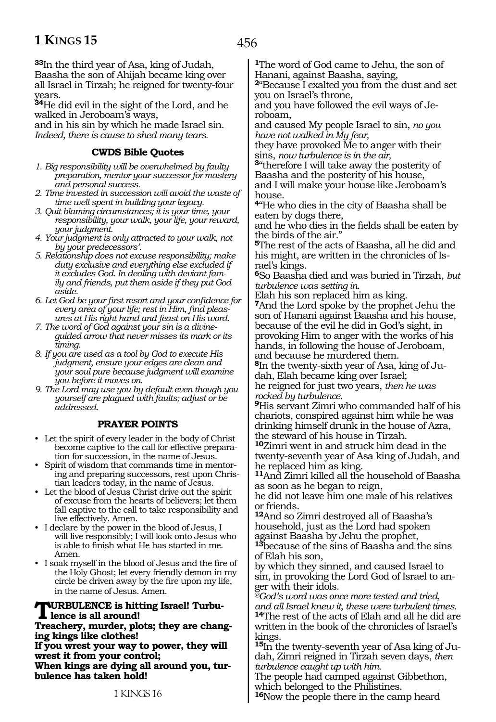**<sup>33</sup>**In the third year of Asa, king of Judah, Baasha the son of Ahijah became king over all Israel in Tirzah; he reigned for twenty-four years.

**<sup>34</sup>**He did evil in the sight of the Lord, and he walked in Jeroboam's ways, and in his sin by which he made Israel sin.

*Indeed, there is cause to shed many tears.*

### **CWDS Bible Quotes**

- *1. Big responsibility will be overwhelmed by faulty preparation, mentor your successor for mastery and personal success.*
- *2. Time invested in succession will avoid the waste of time well spent in building your legacy.*
- *3. Quit blaming circumstances; it is your time, your responsibility, your walk, your life, your reward, your judgment.*
- *4. Your judgment is only attracted to your walk, not by your predecessors'.*
- *5. Relationship does not excuse responsibility; make duty exclusive and everything else excluded if it excludes God. In dealing with deviant family and friends, put them aside if they put God aside.*
- *6. Let God be your first resort and your confidence for every area of your life; rest in Him, find pleasures at His right hand and feast on His word.*
- *7. The word of God against your sin is a divineguided arrow that never misses its mark or its timing.*
- *8. If you are used as a tool by God to execute His judgment, ensure your edges are clean and your soul pure because judgment will examine you before it moves on.*
- *9. The Lord may use you by default even though you yourself are plagued with faults; adjust or be addressed.*

### **PRAYER POINTS**

- Let the spirit of every leader in the body of Christ become captive to the call for effective preparation for succession, in the name of Jesus.
- Spirit of wisdom that commands time in mentoring and preparing successors, rest upon Christian leaders today, in the name of Jesus.
- Let the blood of Jesus Christ drive out the spirit of excuse from the hearts of believers; let them fall captive to the call to take responsibility and live effectively. Amen.
- I declare by the power in the blood of Jesus, I will live responsibly; I will look onto Jesus who is able to finish what He has started in me. Amen.
- I soak myself in the blood of Jesus and the fire of the Holy Ghost; let every friendly demon in my circle be driven away by the fire upon my life, in the name of Jesus. Amen.

#### **Turbulence is hitting Israel! Turbulence is all around!**

**Treachery, murder, plots; they are changing kings like clothes!**

**If you wrest your way to power, they will wrest it from your control; When kings are dying all around you, turbulence has taken hold!**

**<sup>1</sup>**The word of God came to Jehu, the son of Hanani, against Baasha, saying,

**<sup>2</sup>**"Because I exalted you from the dust and set you on Israel's throne,

and you have followed the evil ways of Jeroboam,

and caused My people Israel to sin, *no you have not walked in My fear,* 

they have provoked Me to anger with their sins, *now turbulence is in the air,*

**<sup>3</sup>**"therefore I will take away the posterity of Baasha and the posterity of his house, and I will make your house like Jeroboam's

house. **<sup>4</sup>**"He who dies in the city of Baasha shall be eaten by dogs there,

and he who dies in the fields shall be eaten by the birds of the air."

**<sup>5</sup>**The rest of the acts of Baasha, all he did and his might, are written in the chronicles of Israel's kings.

**<sup>6</sup>**So Baasha died and was buried in Tirzah, *but turbulence was setting in*.

Elah his son replaced him as king.

**<sup>7</sup>**And the Lord spoke by the prophet Jehu the son of Hanani against Baasha and his house, because of the evil he did in God's sight, in provoking Him to anger with the works of his hands, in following the house of Jeroboam, and because he murdered them.

**8**In the twenty-sixth year of Asa, king of Judah, Elah became king over Israel; he reigned for just two years, *then he was* 

*rocked by turbulence.* 

**<sup>9</sup>**His servant Zimri who commanded half of his chariots, conspired against him while he was drinking himself drunk in the house of Azra, the steward of his house in Tirzah.

**<sup>10</sup>**Zimri went in and struck him dead in the twenty-seventh year of Asa king of Judah, and he replaced him as king.

**<sup>11</sup>**And Zimri killed all the household of Baasha as soon as he began to reign,

he did not leave him one male of his relatives or friends.

**<sup>12</sup>**And so Zimri destroyed all of Baasha's household, just as the Lord had spoken against Baasha by Jehu the prophet,

**<sup>13</sup>**because of the sins of Baasha and the sins of Elah his son,

by which they sinned, and caused Israel to sin, in provoking the Lord God of Israel to anger with their idols.

*@God's word was once more tested and tried, and all Israel knew it, these were turbulent times.* 

**<sup>14</sup>**The rest of the acts of Elah and all he did are written in the book of the chronicles of Israel's kings.

**15**In the twenty-seventh year of Asa king of Judah, Zimri reigned in Tirzah seven days, *then turbulence caught up with him.*

The people had camped against Gibbethon, which belonged to the Philistines.

**<sup>16</sup>**Now the people there in the camp heard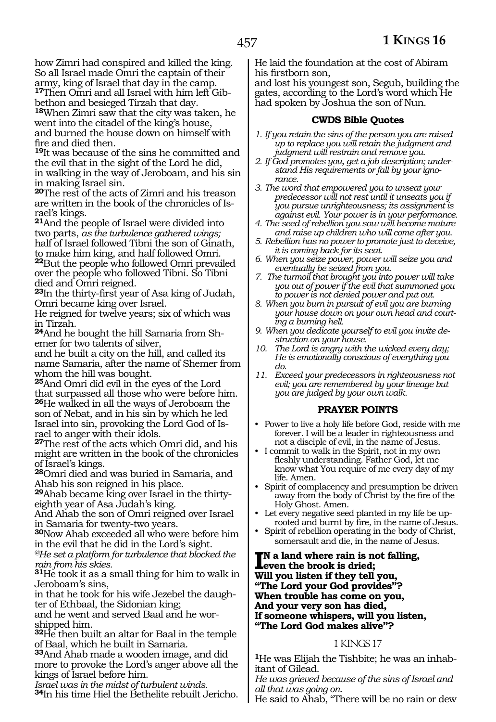how Zimri had conspired and killed the king. So all Israel made Omri the captain of their army, king of Israel that day in the camp. **<sup>17</sup>**Then Omri and all Israel with him left Gib- bethon and besieged Tirzah that day.

**<sup>18</sup>**When Zimri saw that the city was taken, he went into the citadel of the king's house, and burned the house down on himself with fire and died then.

**<sup>19</sup>**It was because of the sins he committed and the evil that in the sight of the Lord he did, in walking in the way of Jeroboam, and his sin in making Israel sin.

**<sup>20</sup>**The rest of the acts of Zimri and his treason are written in the book of the chronicles of Israel's kings.

**<sup>21</sup>**And the people of Israel were divided into two parts, *as the turbulence gathered wings;*  half of Israel followed Tibni the son of Ginath, to make him king, and half followed Omri. **<sup>22</sup>**But the people who followed Omri prevailed over the people who followed Tibni. So Tibni died and Omri reigned.

**<sup>23</sup>**In the thirty-first year of Asa king of Judah, Omri became king over Israel.

He reigned for twelve years; six of which was in Tirzah.

**24**And he bought the hill Samaria from Shemer for two talents of silver,

and he built a city on the hill, and called its name Samaria, after the name of Shemer from whom the hill was bought.

**<sup>25</sup>**And Omri did evil in the eyes of the Lord that surpassed all those who were before him. **<sup>26</sup>**He walked in all the ways of Jeroboam the son of Nebat, and in his sin by which he led Israel into sin, provoking the Lord God of Israel to anger with their idols.

**<sup>27</sup>**The rest of the acts which Omri did, and his might are written in the book of the chronicles of Israel's kings.

**<sup>28</sup>**Omri died and was buried in Samaria, and Ahab his son reigned in his place.

**29**Ahab became king over Israel in the thirtyeighth year of Asa Judah's king.

And Ahab the son of Omri reigned over Israel in Samaria for twenty-two years.

**<sup>30</sup>**Now Ahab exceeded all who were before him in the evil that he did in the Lord's sight.

*@He set a platform for turbulence that blocked the rain from his skies.*

**<sup>31</sup>**He took it as a small thing for him to walk in Jeroboam's sins,

in that he took for his wife Jezebel the daughter of Ethbaal, the Sidonian king;

and he went and served Baal and he worshipped him.

**<sup>32</sup>**He then built an altar for Baal in the temple of Baal, which he built in Samaria.

**<sup>33</sup>**And Ahab made a wooden image, and did more to provoke the Lord's anger above all the kings of Israel before him.

*Israel was in the midst of turbulent winds.* **<sup>34</sup>**In his time Hiel the Bethelite rebuilt Jericho. He laid the foundation at the cost of Abiram his firstborn son,

and lost his youngest son, Segub, building the gates, according to the Lord's word which He had spoken by Joshua the son of Nun.

### **CWDS Bible Quotes**

- *1. If you retain the sins of the person you are raised up to replace you will retain the judgment and judgment will restrain and remove you.*
- *2. If God promotes you, get a job description; understand His requirements or fall by your ignorance.*
- *3. The word that empowered you to unseat your predecessor will not rest until it unseats you if you pursue unrighteousness; its assignment is against evil. Your power is in your performance.*
- *4. The seed of rebellion you sow will become mature and raise up children who will come after you.*
- *5. Rebellion has no power to promote just to deceive, it is coming back for its seat.*
- *6. When you seize power, power will seize you and eventually be seized from you.*
- *7. The turmoil that brought you into power will take you out of power if the evil that summoned you to power is not denied power and put out.*
- *8. When you burn in pursuit of evil you are burning your house down on your own head and courting a burning hell.*
- *9. When you dedicate yourself to evil you invite destruction on your house.*
- *10. The Lord is angry with the wicked every day; He is emotionally conscious of everything you do.*
- *11. Exceed your predecessors in righteousness not evil; you are remembered by your lineage but you are judged by your own walk.*

### **PRAYER POINTS**

- Power to live a holy life before God, reside with me forever. I will be a leader in righteousness and not a disciple of evil, in the name of Jesus.
- I commit to walk in the Spirit, not in my own fleshly understanding. Father God, let me know what You require of me every day of my life. Amen.
- Spirit of complacency and presumption be driven away from the body of Christ by the fire of the Holy Ghost. Amen.
- Let every negative seed planted in my life be uprooted and burnt by fire, in the name of Jesus.
- Spirit of rebellion operating in the body of Christ, somersault and die, in the name of Jesus.

**II**N a land where rain is not fail<br>Leven the brook is dried;<br>Will you listen if they tell you, **n a land where rain is not falling, even the brook is dried; "The Lord your God provides"? When trouble has come on you, And your very son has died, If someone whispers, will you listen, "The Lord God makes alive"?**

### 1 KINGS 17

**1**He was Elijah the Tishbite; he was an inhabitant of Gilead.

*He was grieved because of the sins of Israel and all that was going on.*

He said to Ahab, "There will be no rain or dew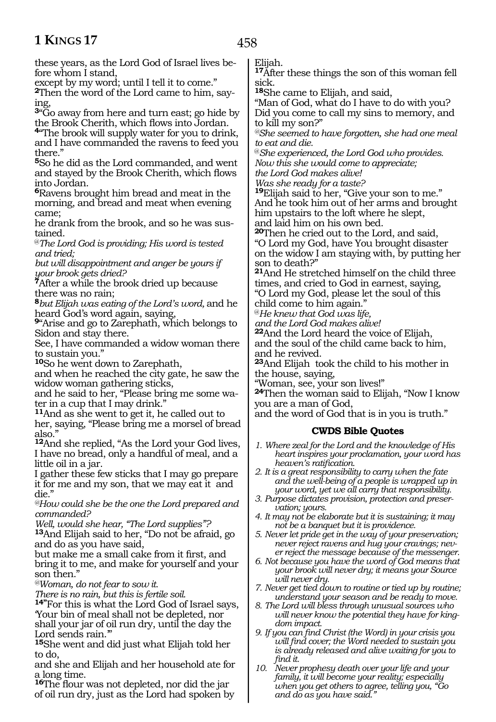these years, as the Lord God of Israel lives before whom I stand,

except by my word; until I tell it to come."

**2**Then the word of the Lord came to him, saying,

**<sup>3</sup>**"Go away from here and turn east; go hide by the Brook Cherith, which flows into Jordan.

**<sup>4</sup>**"The brook will supply water for you to drink, and I have commanded the ravens to feed you there."

**<sup>5</sup>**So he did as the Lord commanded, and went and stayed by the Brook Cherith, which flows into Jordan.

**<sup>6</sup>**Ravens brought him bread and meat in the morning, and bread and meat when evening came;

he drank from the brook, and so he was sus- tained.

@*The Lord God is providing; His word is tested and tried;*

*but will disappointment and anger be yours if your brook gets dried?*

**<sup>7</sup>**After a while the brook dried up because there was no rain;

**<sup>8</sup>***but Elijah was eating of the Lord's word,* and he heard God's word again, saying,

**<sup>9</sup>**"Arise and go to Zarephath, which belongs to Sidon and stay there.

See, I have commanded a widow woman there to sustain you."

**<sup>10</sup>**So he went down to Zarephath,

and when he reached the city gate, he saw the widow woman gathering sticks,

and he said to her, "Please bring me some wa- ter in a cup that I may drink."

**<sup>11</sup>**And as she went to get it, he called out to

her, saying, "Please bring me a morsel of bread also."

**<sup>12</sup>**And she replied, "As the Lord your God lives, I have no bread, only a handful of meal, and a little oil in a jar.

I gather these few sticks that I may go prepare it for me and my son, that we may eat it and die."

*@How could she be the one the Lord prepared and commanded?*

*Well, would she hear, "The Lord supplies"?*

**<sup>13</sup>**And Elijah said to her, "Do not be afraid, go and do as you have said,

but make me a small cake from it first, and bring it to me, and make for yourself and your son then."

*@Woman, do not fear to sow it.*

*There is no rain, but this is fertile soil.*

**14"**For this is what the Lord God of Israel says, 'Your bin of meal shall not be depleted, nor shall your jar of oil run dry, until the day the Lord sends rain.'"

**<sup>15</sup>**She went and did just what Elijah told her to do,

and she and Elijah and her household ate for a long time.

**<sup>16</sup>**The flour was not depleted, nor did the jar of oil run dry, just as the Lord had spoken by Elijah.

**<sup>17</sup>**After these things the son of this woman fell sick.

**<sup>18</sup>**She came to Elijah, and said,

"Man of God, what do I have to do with you? Did you come to call my sins to memory, and to kill my son?"

*@She seemed to have forgotten, she had one meal to eat and die.*

@*She experienced, the Lord God who provides. Now this she would come to appreciate;*

*the Lord God makes alive!*

*Was she ready for a taste?*

**<sup>19</sup>**Elijah said to her, "Give your son to me." And he took him out of her arms and brought him upstairs to the loft where he slept, and laid him on his own bed.

**<sup>20</sup>**Then he cried out to the Lord, and said,

"O Lord my God, have You brought disaster on the widow I am staying with, by putting her son to death?"

**<sup>21</sup>**And He stretched himself on the child three times, and cried to God in earnest, saying,

"O Lord my God, please let the soul of this child come to him again."

@*He knew that God was life,* 

*and the Lord God makes alive!*

**<sup>22</sup>**And the Lord heard the voice of Elijah, and the soul of the child came back to him, and he revived.

**<sup>23</sup>**And Elijah took the child to his mother in the house, saying,

"Woman, see, your son lives!"

**<sup>24</sup>**Then the woman said to Elijah, "Now I know you are a man of God,

and the word of God that is in you is truth."

### **CWDS Bible Quotes**

*1. Where zeal for the Lord and the knowledge of His heart inspires your proclamation, your word has heaven's ratification.*

*2. It is a great responsibility to carry when the fate and the well-being of a people is wrapped up in your word, yet we all carry that responsibility.*

- *3. Purpose dictates provision, protection and preservation; yours.*
- *4. It may not be elaborate but it is sustaining; it may not be a banquet but it is providence.*
- *5. Never let pride get in the way of your preservation; never reject ravens and hug your cravings; never reject the message because of the messenger.*
- *6. Not because you have the word of God means that your brook will never dry; it means your Source will never dry.*
- *7. Never get tied down to routine or tied up by routine; understand your season and be ready to move.*
- *8. The Lord will bless through unusual sources who will never know the potential they have for kingdom impact.*
- *9. If you can find Christ (the Word) in your crisis you will find cover; the Word needed to sustain you is already released and alive waiting for you to find it.*
- *10. Never prophesy death over your life and your family, it will become your reality; especially when you get others to agree, telling you, "Go and do as you have said."*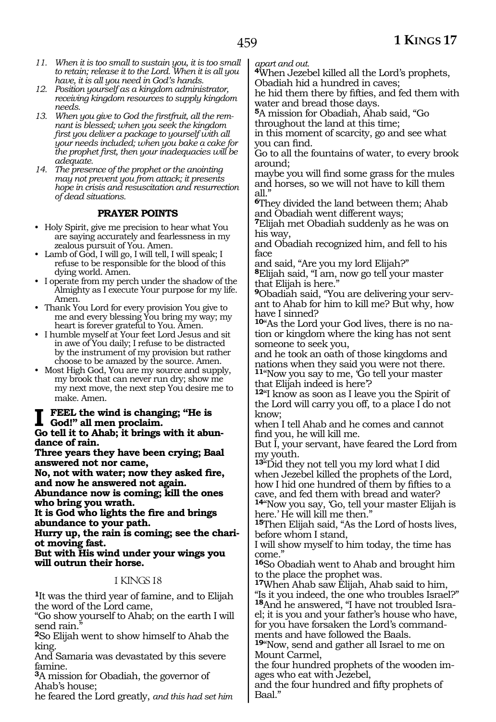- *11. When it is too small to sustain you, it is too small to retain; release it to the Lord. When it is all you have, it is all you need in God's hands.*
- *12. Position yourself as a kingdom administrator, receiving kingdom resources to supply kingdom needs.*
- *13. When you give to God the firstfruit, all the remnant is blessed; when you seek the kingdom first you deliver a package to yourself with all your needs included; when you bake a cake for the prophet first, then your inadequacies will be adequate.*
- *14. The presence of the prophet or the anointing may not prevent you from attack; it presents hope in crisis and resuscitation and resurrection of dead situations.*

### **PRAYER POINTS**

- Holy Spirit, give me precision to hear what You are saying accurately and fearlessness in my zealous pursuit of You. Amen.
- Lamb of God, I will go, I will tell, I will speak; I refuse to be responsible for the blood of this dying world. Amen.
- I operate from my perch under the shadow of the Almighty as I execute Your purpose for my life. Amen.
- Thank You Lord for every provision You give to me and every blessing You bring my way; my heart is forever grateful to You. Amen.
- I humble myself at Your feet Lord Jesus and sit in awe of You daily; I refuse to be distracted by the instrument of my provision but rather choose to be amazed by the source. Amen.
- Most High God, You are my source and supply, my brook that can never run dry; show me my next move, the next step You desire me to make. Amen.

## **I feel the wind is changing; "He is God!" all men proclaim.**

**Go tell it to Ahab; it brings with it abun- dance of rain.**

**Three years they have been crying; Baal answered not nor came,**

**No, not with water; now they asked fire, and now he answered not again.**

**Abundance now is coming; kill the ones who bring you wrath.**

**It is God who lights the fire and brings abundance to your path.**

**Hurry up, the rain is coming; see the chariot moving fast.**

#### **But with His wind under your wings you will outrun their horse.**

### 1 KINGS 18

**<sup>1</sup>**It was the third year of famine, and to Elijah the word of the Lord came,

"Go show yourself to Ahab; on the earth I will send rain.

**<sup>2</sup>**So Elijah went to show himself to Ahab the king.

And Samaria was devastated by this severe famine.

**<sup>3</sup>**A mission for Obadiah, the governor of Ahab's house;

he feared the Lord greatly, *and this had set him* 

*apart and out.* **<sup>4</sup>**When Jezebel killed all the Lord's prophets, Obadiah hid a hundred in caves;

he hid them there by fifties, and fed them with water and bread those days.

**<sup>5</sup>**A mission for Obadiah, Ahab said, "Go throughout the land at this time;

in this moment of scarcity, go and see what you can find.

Go to all the fountains of water, to every brook around;

maybe you will find some grass for the mules and horses, so we will not have to kill them all."

**<sup>6</sup>**They divided the land between them; Ahab and Obadiah went different ways;

**<sup>7</sup>**Elijah met Obadiah suddenly as he was on his way,

and Obadiah recognized him, and fell to his face

and said, "Are you my lord Elijah?"

**<sup>8</sup>**Elijah said, "I am, now go tell your master that Elijah is here."

**<sup>9</sup>**Obadiah said, "You are delivering your servant to Ahab for him to kill me? But why, how have I sinned?

**10**"As the Lord your God lives, there is no nation or kingdom where the king has not sent someone to seek you,

and he took an oath of those kingdoms and nations when they said you were not there. **<sup>11</sup>**"Now you say to me, 'Go tell your master

that Elijah indeed is here'?

**<sup>12</sup>**"I know as soon as I leave you the Spirit of the Lord will carry you off, to a place I do not know;

when I tell Ahab and he comes and cannot find you, he will kill me.

But I, your servant, have feared the Lord from my youth.

**<sup>13</sup>**"Did they not tell you my lord what I did when Jezebel killed the prophets of the Lord, how I hid one hundred of them by fifties to a cave, and fed them with bread and water?

**<sup>14</sup>**"Now you say, 'Go, tell your master Elijah is here.' He will kill me then."

**<sup>15</sup>**Then Elijah said, "As the Lord of hosts lives, before whom I stand,

I will show myself to him today, the time has come."

**<sup>16</sup>**So Obadiah went to Ahab and brought him to the place the prophet was.

**<sup>17</sup>**When Ahab saw Elijah, Ahab said to him, "Is it you indeed, the one who troubles Israel?" **18**And he answered, "I have not troubled Israel; it is you and your father's house who have, for you have forsaken the Lord's commandments and have followed the Baals.

**<sup>19</sup>**"Now, send and gather all Israel to me on Mount Carmel,

the four hundred prophets of the wooden images who eat with Jezebel,

and the four hundred and fifty prophets of Baal."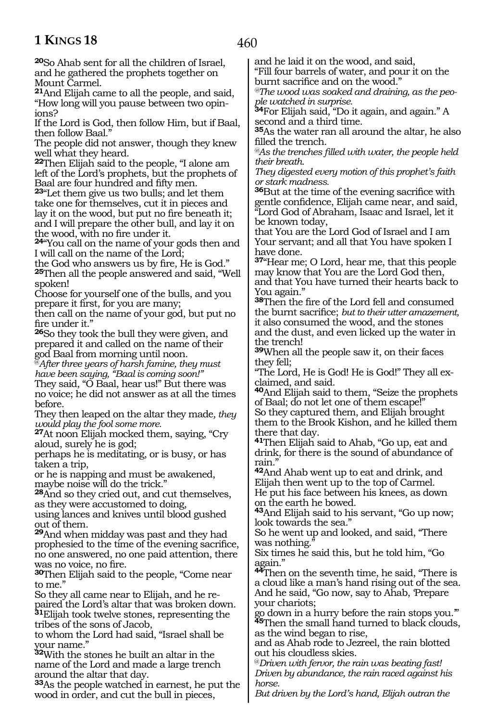460

**<sup>20</sup>**So Ahab sent for all the children of Israel, and he gathered the prophets together on Mount Carmel.

**<sup>21</sup>**And Elijah came to all the people, and said, "How long will you pause between two opinions?

If the Lord is God, then follow Him, but if Baal, then follow Baal."

The people did not answer, though they knew well what they heard.

**<sup>22</sup>**Then Elijah said to the people, "I alone am left of the Lord's prophets, but the prophets of Baal are four hundred and fifty men.

**<sup>23</sup>**"Let them give us two bulls; and let them take one for themselves, cut it in pieces and lay it on the wood, but put no fire beneath it; and I will prepare the other bull, and lay it on the wood, with no fire under it.

**<sup>24</sup>**"You call on the name of your gods then and I will call on the name of the Lord;

the God who answers us by fire, He is God." **<sup>25</sup>**Then all the people answered and said, "Well spoken!

Choose for yourself one of the bulls, and you prepare it first, for you are many;

then call on the name of your god, but put no fire under it."

**<sup>26</sup>**So they took the bull they were given, and prepared it and called on the name of their god Baal from morning until noon.

@*After three years of harsh famine, they must have been saying, "Baal is coming soon!"* 

They said, "O Baal, hear us!" But there was no voice; he did not answer as at all the times before.

They then leaped on the altar they made*, they would play the fool some more.*

**<sup>27</sup>**At noon Elijah mocked them, saying, "Cry aloud, surely he is god;

perhaps he is meditating, or is busy, or has taken a trip,

or he is napping and must be awakened, maybe noise will do the trick."

**<sup>28</sup>**And so they cried out, and cut themselves, as they were accustomed to doing,

using lances and knives until blood gushed out of them.

**<sup>29</sup>**And when midday was past and they had prophesied to the time of the evening sacrifice, no one answered, no one paid attention, there was no voice, no fire.

**<sup>30</sup>**Then Elijah said to the people, "Come near to me."

So they all came near to Elijah, and he repaired the Lord's altar that was broken down. **<sup>31</sup>**Elijah took twelve stones, representing the tribes of the sons of Jacob,

to whom the Lord had said, "Israel shall be your name."

**<sup>32</sup>**With the stones he built an altar in the name of the Lord and made a large trench around the altar that day.

**<sup>33</sup>**As the people watched in earnest, he put the wood in order, and cut the bull in pieces,

and he laid it on the wood, and said, "Fill four barrels of water, and pour it on the

burnt sacrifice and on the wood." *@The wood was soaked and draining, as the peo-*

*ple watched in surprise.*

**<sup>34</sup>**For Elijah said, "Do it again, and again." A second and a third time.

**<sup>35</sup>**As the water ran all around the altar, he also filled the trench.

*@As the trenches filled with water, the people held their breath.*

*They digested every motion of this prophet's faith or stark madness.*

**<sup>36</sup>**But at the time of the evening sacrifice with gentle confidence, Elijah came near, and said, "Lord God of Abraham, Isaac and Israel, let it be known today,

that You are the Lord God of Israel and I am Your servant; and all that You have spoken I have done.

**<sup>37</sup>**"Hear me; O Lord, hear me, that this people may know that You are the Lord God then, and that You have turned their hearts back to You again."

**<sup>38</sup>**Then the fire of the Lord fell and consumed the burnt sacrifice; *but to their utter amazement,* it also consumed the wood, and the stones and the dust, and even licked up the water in the trench!

**<sup>39</sup>**When all the people saw it, on their faces they fell;

"The Lord, He is God! He is God!" They all ex- claimed, and said.

**<sup>40</sup>**And Elijah said to them, "Seize the prophets of Baal; do not let one of them escape!"

So they captured them, and Elijah brought them to the Brook Kishon, and he killed them there that day.

**<sup>41</sup>**Then Elijah said to Ahab, "Go up, eat and drink, for there is the sound of abundance of rain."

**<sup>42</sup>**And Ahab went up to eat and drink, and Elijah then went up to the top of Carmel. He put his face between his knees, as down

on the earth he bowed.

**<sup>43</sup>**And Elijah said to his servant, "Go up now; look towards the sea."

So he went up and looked, and said, "There was nothing.

Six times he said this, but he told him, "Go again."

**<sup>44</sup>**Then on the seventh time, he said, "There is a cloud like a man's hand rising out of the sea. And he said, "Go now, say to Ahab, Prepare your chariots;

go down in a hurry before the rain stops you.'" **<sup>45</sup>**Then the small hand turned to black clouds, as the wind began to rise,

and as Ahab rode to Jezreel, the rain blotted out his cloudless skies.

@*Driven with fervor, the rain was beating fast! Driven by abundance, the rain raced against his horse.*

*But driven by the Lord's hand, Elijah outran the*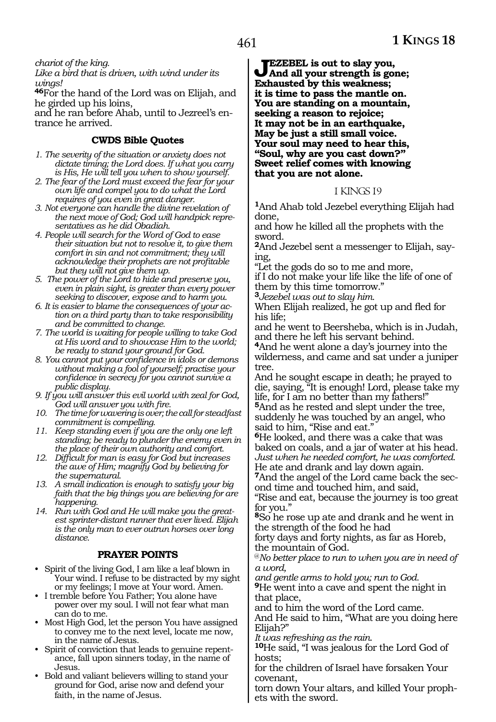*chariot of the king.*

*Like a bird that is driven, with wind under its wings!*

**<sup>46</sup>**For the hand of the Lord was on Elijah, and he girded up his loins,

and he ran before Ahab, until to Jezreel's en- trance he arrived.

### **CWDS Bible Quotes**

- *1. The severity of the situation or anxiety does not dictate timing; the Lord does. If what you carry is His, He will tell you when to show yourself.*
- *2. The fear of the Lord must exceed the fear for your own life and compel you to do what the Lord requires of you even in great danger.*
- *3. Not everyone can handle the divine revelation of the next move of God; God will handpick representatives as he did Obadiah.*
- *4. People will search for the Word of God to ease their situation but not to resolve it, to give them comfort in sin and not commitment; they will acknowledge their prophets are not profitable but they will not give them up.*
- *5. The power of the Lord to hide and preserve you, even in plain sight, is greater than every power seeking to discover, expose and to harm you.*
- *6. It is easier to blame the consequences of your action on a third party than to take responsibility and be committed to change.*
- *7. The world is waiting for people willing to take God at His word and to showcase Him to the world; be ready to stand your ground for God.*
- *8. You cannot put your confidence in idols or demons without making a fool of yourself; practise your confidence in secrecy for you cannot survive a public display.*
- *9. If you will answer this evil world with zeal for God, God will answer you with fire.*
- *10. The time for wavering is over; the call for steadfast commitment is compelling.*
- *11. Keep standing even if you are the only one left standing; be ready to plunder the enemy even in the place of their own authority and comfort.*
- *12. Difficult for man is easy for God but increases the awe of Him; magnify God by believing for the supernatural.*
- *13. A small indication is enough to satisfy your big faith that the big things you are believing for are happening.*
- *14. Run with God and He will make you the greatest sprinter-distant runner that ever lived. Elijah is the only man to ever outrun horses over long distance.*

### **PRAYER POINTS**

- Spirit of the living God, I am like a leaf blown in Your wind. I refuse to be distracted by my sight or my feelings; I move at Your word. Amen.
- I tremble before You Father; You alone have power over my soul. I will not fear what man can do to me.
- Most High God, let the person You have assigned to convey me to the next level, locate me now, in the name of Jesus.
- Spirit of conviction that leads to genuine repentance, fall upon sinners today, in the name of Jesus.
- Bold and valiant believers willing to stand your ground for God, arise now and defend your faith, in the name of Jesus.

**Jezebel is out to slay you, And all your strength is gone; Exhausted by this weakness; it is time to pass the mantle on. You are standing on a mountain, seeking a reason to rejoice; It may not be in an earthquake, May be just a still small voice. Your soul may need to hear this, "Soul, why are you cast down?" Sweet relief comes with knowing that you are not alone.**

#### 1 KINGS 19

**<sup>1</sup>**And Ahab told Jezebel everything Elijah had done,

and how he killed all the prophets with the sword.

**<sup>2</sup>**And Jezebel sent a messenger to Elijah, say- ing,

"Let the gods do so to me and more,

if I do not make your life like the life of one of them by this time tomorrow."

**<sup>3</sup>***Jezebel was out to slay him.*

When Elijah realized, he got up and fled for his life;

and he went to Beersheba, which is in Judah, and there he left his servant behind.

**<sup>4</sup>**And he went alone a day's journey into the wilderness, and came and sat under a juniper tree.

And he sought escape in death; he prayed to die, saying, "It is enough! Lord, please take my life, for I am no better than my fathers!" **<sup>5</sup>**And as he rested and slept under the tree, suddenly he was touched by an angel, who said to him, "Rise and eat."

**<sup>6</sup>**He looked, and there was a cake that was baked on coals, and a jar of water at his head. *Just when he needed comfort, he was comforted.* He ate and drank and lay down again.

**<sup>7</sup>**And the angel of the Lord came back the sec- ond time and touched him, and said,

"Rise and eat, because the journey is too great for you."

**<sup>8</sup>**So he rose up ate and drank and he went in the strength of the food he had

forty days and forty nights, as far as Horeb, the mountain of God.

@*No better place to run to when you are in need of a word,*

*and gentle arms to hold you; run to God.* **<sup>9</sup>**He went into a cave and spent the night in that place,

and to him the word of the Lord came.

And He said to him, "What are you doing here Elijah?"<br>It was refreshing as the rain.

**10**He said, "I was jealous for the Lord God of hosts;

for the children of Israel have forsaken Your covenant,

torn down Your altars, and killed Your prophets with the sword.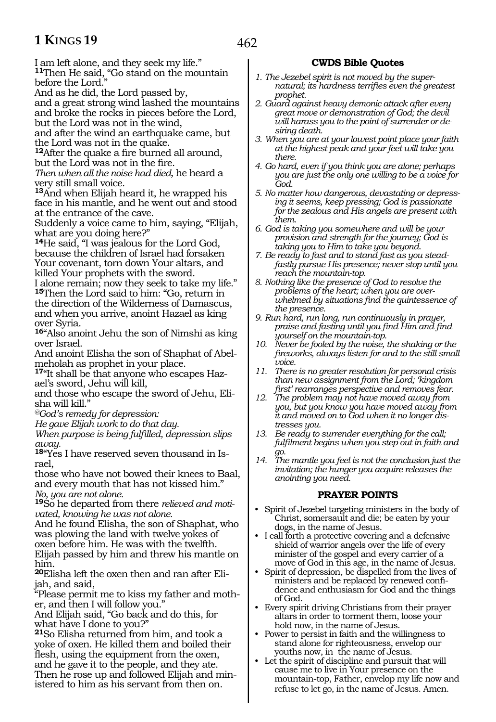462

I am left alone, and they seek my life." **<sup>11</sup>**Then He said, "Go stand on the mountain before the Lord."

And as he did, the Lord passed by,

and a great strong wind lashed the mountains and broke the rocks in pieces before the Lord, but the Lord was not in the wind,

and after the wind an earthquake came, but the Lord was not in the quake.

**<sup>12</sup>**After the quake a fire burned all around, but the Lord was not in the fire.

*Then when all the noise had died,* he heard a very still small voice.

**<sup>13</sup>**And when Elijah heard it, he wrapped his face in his mantle, and he went out and stood at the entrance of the cave.

Suddenly a voice came to him, saying, "Elijah, what are you doing here?"

**<sup>14</sup>**He said, "I was jealous for the Lord God, because the children of Israel had forsaken Your covenant, torn down Your altars, and killed Your prophets with the sword.

I alone remain; now they seek to take my life." **<sup>15</sup>**Then the Lord said to him: "Go, return in the direction of the Wilderness of Damascus, and when you arrive, anoint Hazael as king over Syria.

**<sup>16</sup>**"Also anoint Jehu the son of Nimshi as king over Israel.

And anoint Elisha the son of Shaphat of Abelmeholah as prophet in your place.

**17**"It shall be that anyone who escapes Hazael's sword, Jehu will kill,

and those who escape the sword of Jehu, Elisha will kill."

*@God's remedy for depression:*

*He gave Elijah work to do that day.*

*When purpose is being fulfilled, depression slips away.*

**<sup>18</sup>**"Yes I have reserved seven thousand in Is- rael,

those who have not bowed their knees to Baal, and every mouth that has not kissed him." *No, you are not alone.*

**<sup>19</sup>**So he departed from there *relieved and motivated, knowing he was not alone.*

And he found Elisha, the son of Shaphat, who was plowing the land with twelve yokes of oxen before him. He was with the twelfth. Elijah passed by him and threw his mantle on him.

**20**Elisha left the oxen then and ran after Elijah, and said,

"Please permit me to kiss my father and mother, and then I will follow you."

And Elijah said, "Go back and do this, for what have I done to you?"

**<sup>21</sup>**So Elisha returned from him, and took a yoke of oxen. He killed them and boiled their flesh, using the equipment from the oxen, and he gave it to the people, and they ate. Then he rose up and followed Elijah and min- istered to him as his servant from then on.

### **CWDS Bible Quotes**

- *1. The Jezebel spirit is not moved by the supernatural; its hardness terrifies even the greatest prophet.*
- *2. Guard against heavy demonic attack after every great move or demonstration of God; the devil will harass you to the point of surrender or desiring death.*
- *3. When you are at your lowest point place your faith at the highest peak and your feet will take you there.*
- *4. Go hard, even if you think you are alone; perhaps you are just the only one willing to be a voice for God.*
- *5. No matter how dangerous, devastating or depressing it seems, keep pressing; God is passionate for the zealous and His angels are present with them.*
- *6. God is taking you somewhere and will be your provision and strength for the journey; God is taking you to Him to take you beyond.*
- *7. Be ready to fast and to stand fast as you steadfastly pursue His presence; never stop until you reach the mountain-top.*
- *8. Nothing like the presence of God to resolve the problems of the heart; when you are overwhelmed by situations find the quintessence of the presence.*
- *9. Run hard, run long, run continuously in prayer, praise and fasting until you find Him and find yourself on the mountain-top.*
- *10. Never be fooled by the noise, the shaking or the fireworks, always listen for and to the still small voice.*
- *11. There is no greater resolution for personal crisis than new assignment from the Lord; 'kingdom first' rearranges perspective and removes fear.*
- *12. The problem may not have moved away from you, but you know you have moved away from it and moved on to God when it no longer distresses you.*
- *13. Be ready to surrender everything for the call; fulfilment begins when you step out in faith and go.*
- *14. The mantle you feel is not the conclusion just the invitation; the hunger you acquire releases the anointing you need.*

### **PRAYER POINTS**

- Spirit of Jezebel targeting ministers in the body of Christ, somersault and die; be eaten by your dogs, in the name of Jesus.
- I call forth a protective covering and a defensive shield of warrior angels over the life of every minister of the gospel and every carrier of a move of God in this age, in the name of Jesus.
- Spirit of depression, be dispelled from the lives of ministers and be replaced by renewed confidence and enthusiasm for God and the things of God.
- Every spirit driving Christians from their prayer altars in order to torment them, loose your hold now, in the name of Jesus.
- Power to persist in faith and the willingness to stand alone for righteousness, envelop our youths now, in the name of Jesus.
- Let the spirit of discipline and pursuit that will cause me to live in Your presence on the mountain-top, Father, envelop my life now and refuse to let go, in the name of Jesus. Amen.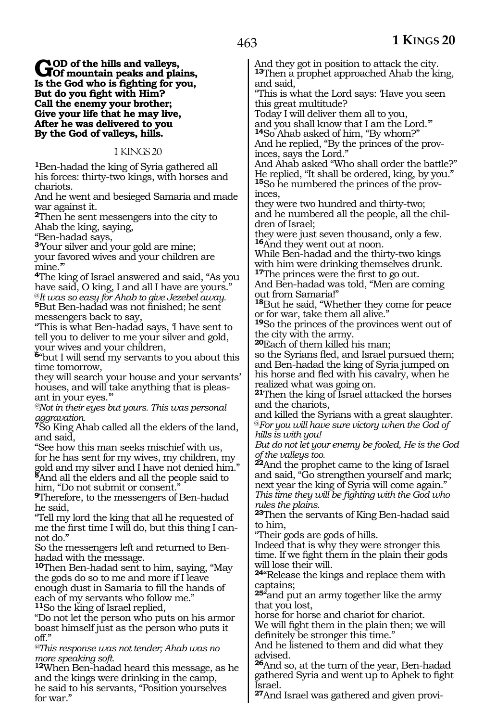**GOD** of the hills and valleys,<br> **Of mountain peaks and plains,**<br> **In the Cod** who is fighting for you, **Is the God who is fighting for you, But do you fight with Him? Call the enemy your brother; Give your life that he may live, After he was delivered to you By the God of valleys, hills.**

1 KINGS 20

**<sup>1</sup>**Ben-hadad the king of Syria gathered all his forces: thirty-two kings, with horses and chariots.

And he went and besieged Samaria and made war against it.

**<sup>2</sup>**Then he sent messengers into the city to Ahab the king, saying,

"Ben-hadad says,

**<sup>3</sup>**'Your silver and your gold are mine; your favored wives and your children are mine."

**<sup>4</sup>**The king of Israel answered and said, "As you have said, O king, I and all I have are yours."<br><sup>@</sup>It was so easy for Ahab to give Jezebel away.

<sup>5</sup>But Ben-hadad was not finished; he sent messengers back to say,

"This is what Ben-hadad says, 'I have sent to tell you to deliver to me your silver and gold, your wives and your children,

**<sup>6</sup>**"but I will send my servants to you about this time tomorrow,

they will search your house and your servants' houses, and will take anything that is pleas- ant in your eyes.'"

*@Not in their eyes but yours. This was personal aggravation.* 

**<sup>7</sup>**So King Ahab called all the elders of the land, and said,

"See how this man seeks mischief with us, for he has sent for my wives, my children, my gold and my silver and I have not denied him." **<sup>8</sup>**And all the elders and all the people said to him, "Do not submit or consent."

**<sup>9</sup>**Therefore, to the messengers of Ben-hadad he said,

"Tell my lord the king that all he requested of me the first time I will do, but this thing I cannot do."

So the messengers left and returned to Benhadad with the message.

**<sup>10</sup>**Then Ben-hadad sent to him, saying, "May the gods do so to me and more if I leave enough dust in Samaria to fill the hands of each of my servants who follow me." **<sup>11</sup>**So the king of Israel replied,

"Do not let the person who puts on his armor boast himself just as the person who puts it off."

*@This response was not tender; Ahab was no more speaking soft.* 

**<sup>12</sup>**When Ben-hadad heard this message, as he and the kings were drinking in the camp, he said to his servants, "Position yourselves for war.'

And they got in position to attack the city. **<sup>13</sup>**Then a prophet approached Ahab the king, and said,

"This is what the Lord says: 'Have you seen this great multitude?

Today I will deliver them all to you,

and you shall know that I am the Lord.'" **<sup>14</sup>**So Ahab asked of him, "By whom?"

And he replied, "By the princes of the provinces, says the Lord."

And Ahab asked "Who shall order the battle?" He replied, "It shall be ordered, king, by you." **15**So he numbered the princes of the provinces,

they were two hundred and thirty-two; and he numbered all the people, all the chil- dren of Israel;

they were just seven thousand, only a few. **<sup>16</sup>**And they went out at noon.

While Ben-hadad and the thirty-two kings with him were drinking themselves drunk. **<sup>17</sup>**The princes were the first to go out.

And Ben-hadad was told, "Men are coming out from Samaria!"

**<sup>18</sup>**But he said, "Whether they come for peace or for war, take them all alive."

**<sup>19</sup>**So the princes of the provinces went out of the city with the army.

**<sup>20</sup>**Each of them killed his man;

so the Syrians fled, and Israel pursued them; and Ben-hadad the king of Syria jumped on his horse and fled with his cavalry, when he realized what was going on.

**<sup>21</sup>**Then the king of Israel attacked the horses and the chariots,

and killed the Syrians with a great slaughter. @*For you will have sure victory when the God of hills is with you!*

*But do not let your enemy be fooled, He is the God of the valleys too.* 

**<sup>22</sup>**And the prophet came to the king of Israel and said, "Go strengthen yourself and mark; next year the king of Syria will come again." *This time they will be fighting with the God who rules the plains.*

**<sup>23</sup>**Then the servants of King Ben-hadad said to him,

"Their gods are gods of hills.

Indeed that is why they were stronger this time. If we fight them in the plain their gods will lose their will.

**<sup>24</sup>**"Release the kings and replace them with captains;

**<sup>25</sup>**"and put an army together like the army that you lost,

horse for horse and chariot for chariot.

We will fight them in the plain then; we will definitely be stronger this time."

And he listened to them and did what they advised.

**<sup>26</sup>**And so, at the turn of the year, Ben-hadad gathered Syria and went up to Aphek to fight Israel.

**27**And Israel was gathered and given provi-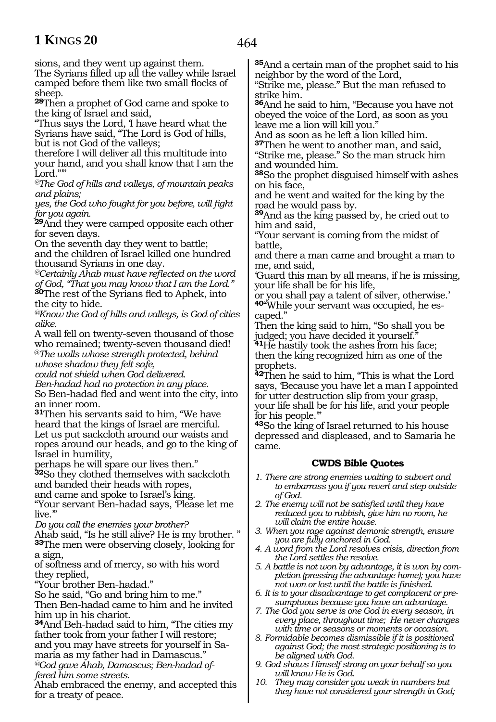sions, and they went up against them.

The Syrians filled up all the valley while Israel camped before them like two small flocks of sheep.

**<sup>28</sup>**Then a prophet of God came and spoke to the king of Israel and said,

"Thus says the Lord, 'I have heard what the Syrians have said, "The Lord is God of hills, but is not God of the valleys;

therefore I will deliver all this multitude into your hand, and you shall know that I am the Lord."'

*@The God of hills and valleys, of mountain peaks and plains;* 

*yes, the God who fought for you before, will fight for you again.*

**<sup>29</sup>**And they were camped opposite each other for seven days.

On the seventh day they went to battle; and the children of Israel killed one hundred thousand Syrians in one day.

*@Certainly Ahab must have reflected on the word of God, "That you may know that I am the Lord."*

**<sup>30</sup>**The rest of the Syrians fled to Aphek, into the city to hide.

*@Know the God of hills and valleys, is God of cities alike.* 

A wall fell on twenty-seven thousand of those who remained; twenty-seven thousand died!

@*The walls whose strength protected, behind whose shadow they felt safe,*

*could not shield when God delivered.*

*Ben-hadad had no protection in any place*.

So Ben-hadad fled and went into the city, into an inner room.

**<sup>31</sup>**Then his servants said to him, "We have heard that the kings of Israel are merciful. Let us put sackcloth around our waists and ropes around our heads, and go to the king of Israel in humility,

perhaps he will spare our lives then." **<sup>32</sup>**So they clothed themselves with sackcloth

and banded their heads with ropes,

and came and spoke to Israel's king.

"Your servant Ben-hadad says, 'Please let me live.'"

*Do you call the enemies your brother?*

Ahab said, "Is he still alive? He is my brother. " **<sup>33</sup>**The men were observing closely, looking for a sign,

of softness and of mercy, so with his word they replied,

"Your brother Ben-hadad."

So he said, "Go and bring him to me."

Then Ben-hadad came to him and he invited him up in his chariot.

**<sup>34</sup>**And Beh-hadad said to him, "The cities my father took from your father I will restore; and you may have streets for yourself in Samaria as my father had in Damascus." *@God gave Ahab, Damascus; Ben-hadad of-*

*fered him some streets.* 

Ahab embraced the enemy, and accepted this for a treaty of peace.

**<sup>35</sup>**And a certain man of the prophet said to his neighbor by the word of the Lord,

"Strike me, please." But the man refused to strike him.

**<sup>36</sup>**And he said to him, "Because you have not obeyed the voice of the Lord, as soon as you leave me a lion will kill you."

And as soon as he left a lion killed him.

**<sup>37</sup>**Then he went to another man, and said, "Strike me, please." So the man struck him and wounded him.

**<sup>38</sup>**So the prophet disguised himself with ashes on his face,

and he went and waited for the king by the road he would pass by.

**<sup>39</sup>**And as the king passed by, he cried out to him and said,

"Your servant is coming from the midst of battle,

and there a man came and brought a man to me, and said,

'Guard this man by all means, if he is missing, your life shall be for his life,

or you shall pay a talent of silver, otherwise.' **40**"While your servant was occupied, he escaped."

Then the king said to him, "So shall you be judged; you have decided it yourself."

**<sup>41</sup>**He hastily took the ashes from his face; then the king recognized him as one of the prophets.

**<sup>42</sup>**Then he said to him, "This is what the Lord says, 'Because you have let a man I appointed for utter destruction slip from your grasp, your life shall be for his life, and your people for his people.'"

**<sup>43</sup>**So the king of Israel returned to his house depressed and displeased, and to Samaria he came.

### **CWDS Bible Quotes**

*1. There are strong enemies waiting to subvert and to embarrass you if you revert and step outside of God.*

- *2. The enemy will not be satisfied until they have reduced you to rubbish, give him no room, he will claim the entire house.*
- *3. When you rage against demonic strength, ensure you are fully anchored in God.*
- *4. A word from the Lord resolves crisis, direction from the Lord settles the resolve.*
- *5. A battle is not won by advantage, it is won by completion (pressing the advantage home); you have not won or lost until the battle is finished.*
- *6. It is to your disadvantage to get complacent or presumptuous because you have an advantage.*
- *7. The God you serve is one God in every season, in every place, throughout time; He never changes with time or seasons or moments or occasion.*
- *8. Formidable becomes dismissible if it is positioned against God; the most strategic positioning is to be aligned with God.*
- *9. God shows Himself strong on your behalf so you will know He is God.*
- *10. They may consider you weak in numbers but they have not considered your strength in God;*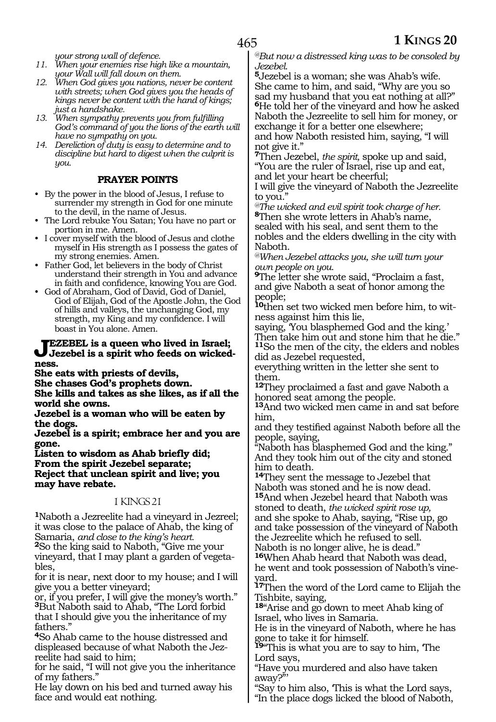*your strong wall of defence.*

- *11. When your enemies rise high like a mountain, your Wall will fall down on them.*
- *12. When God gives you nations, never be content with streets; when God gives you the heads of kings never be content with the hand of kings; just a handshake.*
- *13. When sympathy prevents you from fulfilling God's command of you the lions of the earth will have no sympathy on you.*
- *14. Dereliction of duty is easy to determine and to discipline but hard to digest when the culprit is you.*

### **PRAYER POINTS**

- By the power in the blood of Jesus, I refuse to surrender my strength in God for one minute to the devil, in the name of Jesus.
- The Lord rebuke You Satan; You have no part or portion in me. Amen.
- I cover myself with the blood of Jesus and clothe myself in His strength as I possess the gates of my strong enemies. Amen.
- Father God, let believers in the body of Christ understand their strength in You and advance in faith and confidence, knowing You are God.
- God of Abraham, God of David, God of Daniel, God of Elijah, God of the Apostle John, the God of hills and valleys, the unchanging God, my strength, my King and my confidence. I will boast in You alone. Amen.

### **JEZEBEL** is a queen who lived in Israel;<br>Jezebel is a spirit who feeds on wicked**ness.**

**She eats with priests of devils,** 

**She chases God's prophets down.**

**She kills and takes as she likes, as if all the world she owns.**

**Jezebel is a woman who will be eaten by the dogs.**

**Jezebel is a spirit; embrace her and you are gone.**

**Listen to wisdom as Ahab briefly did; From the spirit Jezebel separate; Reject that unclean spirit and live; you may have rebate.** 

### 1 KINGS 21

**<sup>1</sup>**Naboth a Jezreelite had a vineyard in Jezreel; it was close to the palace of Ahab, the king of<br>Samaria, and close to the king's heart.

<sup>2</sup>So the king said to Naboth, "Give me your vineyard, that I may plant a garden of vegetables,

for it is near, next door to my house; and I will give you a better vineyard;

or, if you prefer, I will give the money's worth." **<sup>3</sup>**But Naboth said to Ahab, "The Lord forbid that I should give you the inheritance of my fathers."

**<sup>4</sup>**So Ahab came to the house distressed and displeased because of what Naboth the Jezreelite had said to him;

for he said, "I will not give you the inheritance of my fathers."

He lay down on his bed and turned away his face and would eat nothing.

*@But now a distressed king was to be consoled by Jezebel.*

**<sup>5</sup>**Jezebel is a woman; she was Ahab's wife. She came to him, and said, "Why are you so sad my husband that you eat nothing at all?" **<sup>6</sup>**He told her of the vineyard and how he asked Naboth the Jezreelite to sell him for money, or exchange it for a better one elsewhere; and how Naboth resisted him, saying, "I will not give it."

**<sup>7</sup>**Then Jezebel, *the spirit,* spoke up and said, "You are the ruler of Israel, rise up and eat, and let your heart be cheerful;

I will give the vineyard of Naboth the Jezreelite to you."

*@The wicked and evil spirit took charge of her.* **<sup>8</sup>**Then she wrote letters in Ahab's name, sealed with his seal, and sent them to the nobles and the elders dwelling in the city with Naboth.

*@When Jezebel attacks you, she will turn your own people on you.*

**<sup>9</sup>**The letter she wrote said, "Proclaim a fast, and give Naboth a seat of honor among the people;

**10**then set two wicked men before him, to witness against him this lie,

saying, 'You blasphemed God and the king.' Then take him out and stone him that he die." **<sup>11</sup>**So the men of the city, the elders and nobles did as Jezebel requested,

everything written in the letter she sent to them.

**<sup>12</sup>**They proclaimed a fast and gave Naboth a honored seat among the people.

**<sup>13</sup>**And two wicked men came in and sat before him,

and they testified against Naboth before all the people, saying,

"Naboth has blasphemed God and the king." And they took him out of the city and stoned him to death.

**<sup>14</sup>**They sent the message to Jezebel that Naboth was stoned and he is now dead. **<sup>15</sup>**And when Jezebel heard that Naboth was stoned to death, *the wicked spirit rose up,* and she spoke to Ahab, saying, "Rise up, go and take possession of the vineyard of Naboth the Jezreelite which he refused to sell.

Naboth is no longer alive, he is dead."

**<sup>16</sup>**When Ahab heard that Naboth was dead,

he went and took possession of Naboth's vineyard.

**<sup>17</sup>**Then the word of the Lord came to Elijah the Tishbite, saying,

**<sup>18</sup>**"Arise and go down to meet Ahab king of Israel, who lives in Samaria.

He is in the vineyard of Naboth, where he has gone to take it for himself.

**<sup>19</sup>**"This is what you are to say to him, 'The Lord says,

"Have you murdered and also have taken away?"'

"Say to him also, 'This is what the Lord says,

"In the place dogs licked the blood of Naboth,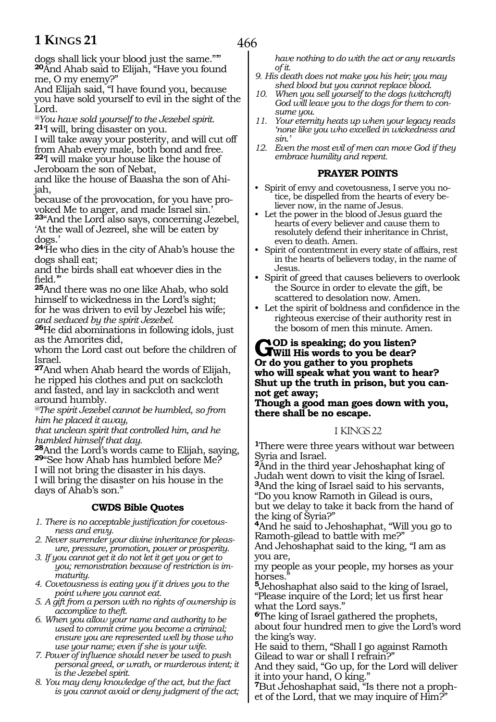466

dogs shall lick your blood just the same."'" **<sup>20</sup>**And Ahab said to Elijah, "Have you found me, O my enemy?"

And Elijah said, "I have found you, because you have sold yourself to evil in the sight of the Lord.

*@You have sold yourself to the Jezebel spirit.* **<sup>21</sup>**'I will, bring disaster on you.

I will take away your posterity, and will cut off from Ahab every male, both bond and free. **<sup>22</sup>**'I will make your house like the house of Jeroboam the son of Nebat,

and like the house of Baasha the son of Ahijah,

because of the provocation, for you have provoked Me to anger, and made Israel sin.'

**<sup>23</sup>**"And the Lord also says, concerning Jezebel, 'At the wall of Jezreel, she will be eaten by dogs.'

**<sup>24</sup>**'He who dies in the city of Ahab's house the dogs shall eat;

and the birds shall eat whoever dies in the field.'"

**<sup>25</sup>**And there was no one like Ahab, who sold himself to wickedness in the Lord's sight; for he was driven to evil by Jezebel his wife; *and seduced by the spirit Jezebel.*

**<sup>26</sup>**He did abominations in following idols, just as the Amorites did,

whom the Lord cast out before the children of Israel.

**<sup>27</sup>**And when Ahab heard the words of Elijah, he ripped his clothes and put on sackcloth and fasted, and lay in sackcloth and went around humbly.

*@The spirit Jezebel cannot be humbled, so from him he placed it away,*

*that unclean spirit that controlled him, and he humbled himself that day.*

**<sup>28</sup>**And the Lord's words came to Elijah, saying, **<sup>29</sup>**"See how Ahab has humbled before Me? I will not bring the disaster in his days. I will bring the disaster on his house in the days of Ahab's son."

### **CWDS Bible Quotes**

*1. There is no acceptable justification for covetousness and envy.*

- *2. Never surrender your divine inheritance for pleasure, pressure, promotion, power or prosperity.*
- *3. If you cannot get it do not let it get you or get to you; remonstration because of restriction is immaturity.*
- *4. Covetousness is eating you if it drives you to the point where you cannot eat.*
- *5. A gift from a person with no rights of ownership is accomplice to theft.*
- *6. When you allow your name and authority to be used to commit crime you become a criminal; ensure you are represented well by those who use your name; even if she is your wife.*
- *7. Power of influence should never be used to push personal greed, or wrath, or murderous intent; it is the Jezebel spirit.*
- *8. You may deny knowledge of the act, but the fact is you cannot avoid or deny judgment of the act;*

*have nothing to do with the act or any rewards of it.*

- *9. His death does not make you his heir; you may shed blood but you cannot replace blood.*
- *10. When you sell yourself to the dogs (witchcraft) God will leave you to the dogs for them to consume you.*
- *11. Your eternity heats up when your legacy reads 'none like you who excelled in wickedness and sin.'*
- *12. Even the most evil of men can move God if they embrace humility and repent.*

### **PRAYER POINTS**

- Spirit of envy and covetousness, I serve you notice, be dispelled from the hearts of every believer now, in the name of Jesus.
- Let the power in the blood of Jesus guard the hearts of every believer and cause them to resolutely defend their inheritance in Christ, even to death. Amen.
- Spirit of contentment in every state of affairs, rest in the hearts of believers today, in the name of Jesus.
- Spirit of greed that causes believers to overlook the Source in order to elevate the gift, be scattered to desolation now. Amen.
- Let the spirit of boldness and confidence in the righteous exercise of their authority rest in the bosom of men this minute. Amen.

### GOD is speaking; do you listen?<br>
Will His words to you be dear?<br>
On de you getben to you getben **Or do you gather to you prophets who will speak what you want to hear? Shut up the truth in prison, but you cannot get away;**

**Though a good man goes down with you, there shall be no escape.**

### 1 KINGS 22

**<sup>1</sup>**There were three years without war between Syria and Israel.

**<sup>2</sup>**And in the third year Jehoshaphat king of Judah went down to visit the king of Israel. **<sup>3</sup>**And the king of Israel said to his servants,

"Do you know Ramoth in Gilead is ours, but we delay to take it back from the hand of the king of Syria?"

**<sup>4</sup>**And he said to Jehoshaphat, "Will you go to Ramoth-gilead to battle with me?"

And Jehoshaphat said to the king, "I am as you are,

my people as your people, my horses as your horses.

**<sup>5</sup>**Jehoshaphat also said to the king of Israel, "Please inquire of the Lord; let us first hear what the Lord says."

**<sup>6</sup>**The king of Israel gathered the prophets, about four hundred men to give the Lord's word the king's way.

He said to them, "Shall I go against Ramoth Gilead to war or shall I refrain?"

And they said, "Go up, for the Lord will deliver it into your hand, O king."

**<sup>7</sup>**But Jehoshaphat said, "Is there not a proph- et of the Lord, that we may inquire of Him?"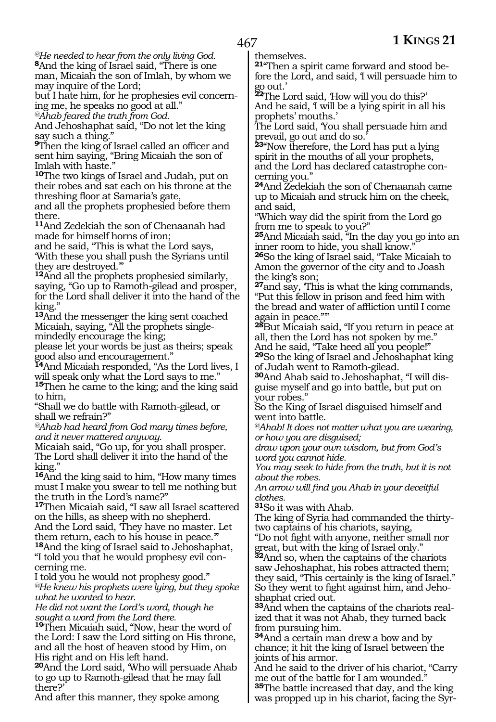*@He needed to hear from the only living God.* 

**<sup>8</sup>**And the king of Israel said, "There is one man, Micaiah the son of Imlah, by whom we may inquire of the Lord;

but I hate him, for he prophesies evil concerning me, he speaks no good at all."

*@Ahab feared the truth from God.*

And Jehoshaphat said, "Do not let the king say such a thing."

**<sup>9</sup>**Then the king of Israel called an officer and sent him saying, "Bring Micaiah the son of Imlah with haste."

**<sup>10</sup>**The two kings of Israel and Judah, put on their robes and sat each on his throne at the threshing floor at Samaria's gate,

and all the prophets prophesied before them there.

**<sup>11</sup>**And Zedekiah the son of Chenaanah had made for himself horns of iron;

and he said, "This is what the Lord says, 'With these you shall push the Syrians until they are destroyed.'"

**<sup>12</sup>**And all the prophets prophesied similarly, saying, "Go up to Ramoth-gilead and prosper, for the Lord shall deliver it into the hand of the king.'

**<sup>13</sup>**And the messenger the king sent coached Micaiah, saying, "All the prophets singlemindedly encourage the king;

please let your words be just as theirs; speak good also and encouragement."

**<sup>14</sup>**And Micaiah responded, "As the Lord lives, I will speak only what the Lord says to me."

**<sup>15</sup>**Then he came to the king; and the king said to him,

"Shall we do battle with Ramoth-gilead, or shall we refrain?"

*@Ahab had heard from God many times before, and it never mattered anyway.*

Micaiah said, "Go up, for you shall prosper. The Lord shall deliver it into the hand of the king.'

**<sup>16</sup>**And the king said to him, "How many times must I make you swear to tell me nothing but the truth in the Lord's name?"

**<sup>17</sup>**Then Micaiah said, "I saw all Israel scattered on the hills, as sheep with no shepherd.

And the Lord said, 'They have no master. Let them return, each to his house in peace.'"

**<sup>18</sup>**And the king of Israel said to Jehoshaphat, "I told you that he would prophesy evil concerning me.

I told you he would not prophesy good." *@He knew his prophets were lying, but they spoke what he wanted to hear.*

*He did not want the Lord's word, though he sought a word from the Lord there.*

**<sup>19</sup>**Then Micaiah said, "Now, hear the word of the Lord: I saw the Lord sitting on His throne, and all the host of heaven stood by Him, on His right and on His left hand.

**<sup>20</sup>**And the Lord said, 'Who will persuade Ahab to go up to Ramoth-gilead that he may fall there?'

And after this manner, they spoke among

themselves.

**21**"Then a spirit came forward and stood before the Lord, and said, 'I will persuade him to go out.'

**<sup>22</sup>**The Lord said, 'How will you do this?' And he said, 'I will be a lying spirit in all his prophets' mouths.'

The Lord said, 'You shall persuade him and prevail, go out and do so.'

**<sup>23</sup>**"Now therefore, the Lord has put a lying spirit in the mouths of all your prophets, and the Lord has declared catastrophe concerning you."

**<sup>24</sup>**And Zedekiah the son of Chenaanah came up to Micaiah and struck him on the cheek, and said,

"Which way did the spirit from the Lord go from me to speak to you?"

**<sup>25</sup>**And Micaiah said, "In the day you go into an inner room to hide, you shall know."

**<sup>26</sup>**So the king of Israel said, "Take Micaiah to Amon the governor of the city and to Joash the king's son;

**<sup>27</sup>**and say, 'This is what the king commands, "Put this fellow in prison and feed him with the bread and water of affliction until I come again in peace."'"

**<sup>28</sup>**But Micaiah said, "If you return in peace at all, then the Lord has not spoken by me." And he said, "Take heed all you people!"

**<sup>29</sup>**So the king of Israel and Jehoshaphat king of Judah went to Ramoth-gilead.

**30**And Ahab said to Jehoshaphat, "I will disguise myself and go into battle, but put on your robes."

So the King of Israel disguised himself and went into battle.

*@Ahab! It does not matter what you are wearing, or how you are disguised;*

*draw upon your own wisdom, but from God's word you cannot hide.*

*You may seek to hide from the truth, but it is not about the robes.*

*An arrow will find you Ahab in your deceitful clothes.*

**<sup>31</sup>**So it was with Ahab.

The king of Syria had commanded the thirtytwo captains of his chariots, saying,

"Do not fight with anyone, neither small nor great, but with the king of Israel only."

**<sup>32</sup>**And so, when the captains of the chariots saw Jehoshaphat, his robes attracted them; they said, "This certainly is the king of Israel." So they went to fight against him, and Jehoshaphat cried out.

**33**And when the captains of the chariots realized that it was not Ahab, they turned back from pursuing him.

**<sup>34</sup>**And a certain man drew a bow and by chance; it hit the king of Israel between the joints of his armor.

And he said to the driver of his chariot, "Carry me out of the battle for I am wounded. **<sup>35</sup>**The battle increased that day, and the king was propped up in his chariot, facing the Syr